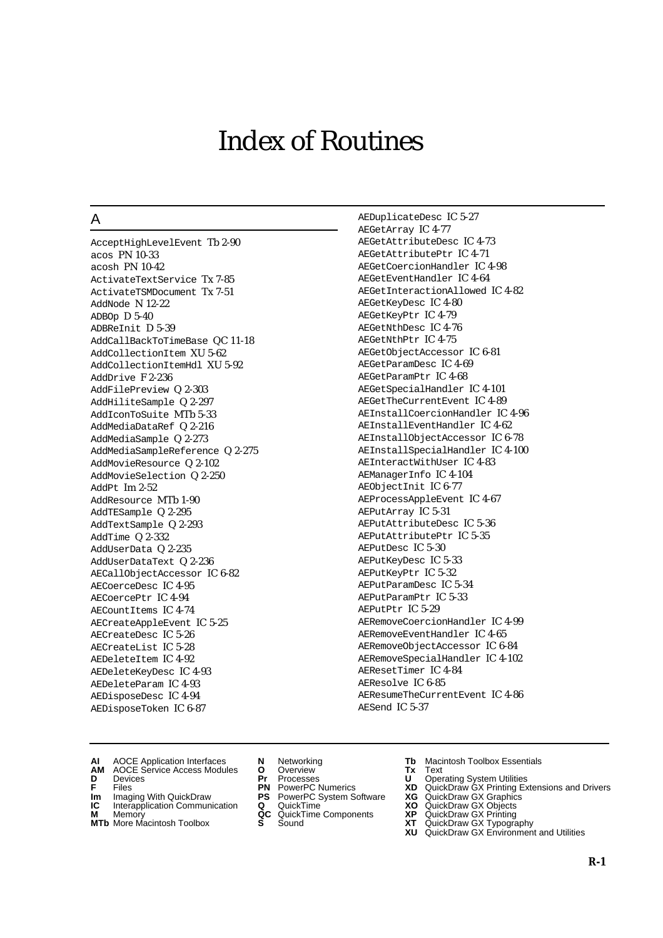# Index of Routines

## A

AcceptHighLevelEvent Tb 2-90 acos PN 10-33 acosh PN 10-42 ActivateTextService Tx 7-85 ActivateTSMDocument Tx 7-51 AddNode N 12-22  $ADBOD D 5-40$ ADBReInit D 5-39 AddCallBackToTimeBase QC 11-18 AddCollectionItem XU 5-62 AddCollectionItemHdl XU 5-92 AddDrive F 2-236 AddFilePreview Q 2-303 AddHiliteSample Q 2-297 AddIconToSuite MTb 5-33 AddMediaDataRef Q 2-216 AddMediaSample Q 2-273 AddMediaSampleReference Q 2-275 AddMovieResource Q 2-102 AddMovieSelection Q 2-250 AddPt Im 2-52 AddResource MTb 1-90 AddTESample Q 2-295 AddTextSample Q 2-293 AddTime Q 2-332 AddUserData Q 2-235 AddUserDataText Q 2-236 AECallObjectAccessor IC 6-82 AECoerceDesc IC 4-95 AECoercePtr IC 4-94 AECountItems IC 4-74 AECreateAppleEvent IC 5-25 AECreateDesc IC 5-26 AECreateList IC 5-28 AEDeleteItem IC 4-92 AEDeleteKeyDesc IC 4-93 AEDeleteParam IC 4-93 AEDisposeDesc IC 4-94 AEDisposeToken IC 6-87

AEDuplicateDesc IC 5-27 AEGetArray IC 4-77 AEGetAttributeDesc IC 4-73 AEGetAttributePtr IC 4-71 AEGetCoercionHandler IC 4-98 AEGetEventHandler IC 4-64 AEGetInteractionAllowed IC 4-82 AEGetKeyDesc IC 4-80 AEGetKeyPtr IC 4-79 AEGetNthDesc IC 4-76 AEGetNthPtr IC 4-75 AEGetObjectAccessor IC 6-81 AEGetParamDesc IC 4-69 AEGetParamPtr IC 4-68 AEGetSpecialHandler IC 4-101 AEGetTheCurrentEvent IC 4-89 AEInstallCoercionHandler IC 4-96 AEInstallEventHandler IC 4-62 AEInstallObjectAccessor IC 6-78 AEInstallSpecialHandler IC 4-100 AEInteractWithUser IC 4-83 AEManagerInfo IC 4-104 AEObjectInit IC 6-77 AEProcessAppleEvent IC 4-67 AEPutArray IC 5-31 AEPutAttributeDesc IC 5-36 AEPutAttributePtr IC 5-35 AEPutDesc IC 5-30 AEPutKeyDesc IC 5-33 AEPutKeyPtr IC 5-32 AEPutParamDesc IC 5-34 AEPutParamPtr IC 5-33 AEPutPtr IC 5-29 AERemoveCoercionHandler IC 4-99 AERemoveEventHandler IC 4-65 AERemoveObjectAccessor IC 6-84 AERemoveSpecialHandler IC 4-102 AEResetTimer IC 4-84 AEResolve IC 6-85 AEResumeTheCurrentEvent IC 4-86 AESend IC 5-37

- **AI** AOCE Application Interfaces **N** Networking **Tb** Macintosh Toolbox Essentials
- **AM** AOCE Service Access Modules **O** Overview **Tx** Text
- 
- 
- **Im** Imaging With QuickDraw **PS** PowerPC System Software **XG IC** Interapplication Communication **Q** QuickTime **XO IC** Interapplication Communication **Q** QuickTime **XO M** Memory **XO QC** QuickTime Components **XP**
- **M** Memory **QC** QuickTime Components **XP**<br>**MTb** More Macintosh Toolbox **S** Sound **XT**
- **MTb** More Macintosh Toolbox **S** Sound **XT** QuickDraw GX Typography
- 
- **D** Devices **Pr** Processes **U** Operating System Utilities
	-
	-
	-
	-
- 
- 
- **F** Files **PN** PowerPC Numerics **XD** QuickDraw GX Printing Extensions and Drivers
	-
	-
	-
	- **XU** QuickDraw GX Environment and Utilities
- **R-1**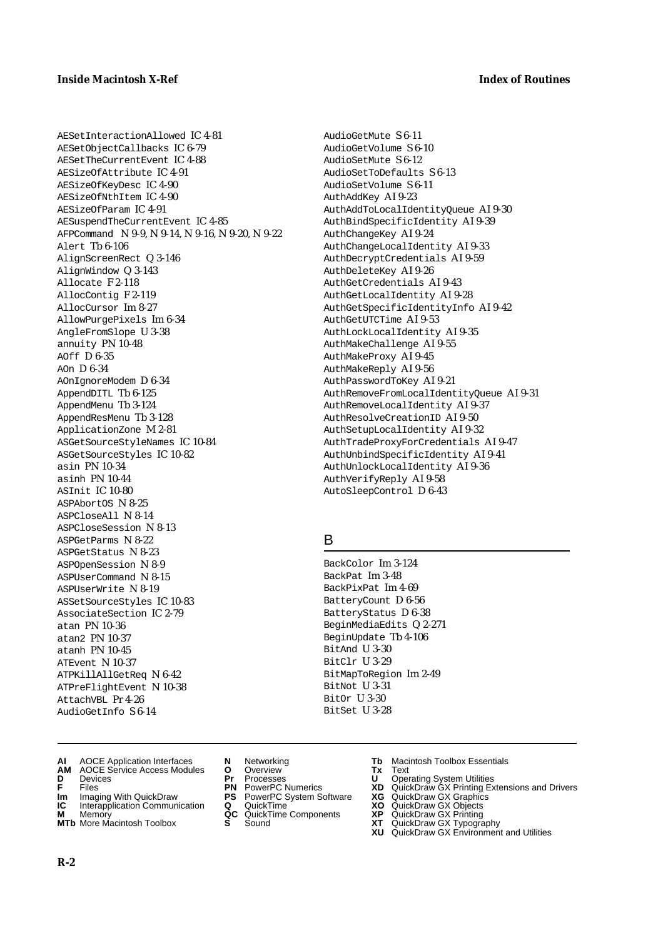AESetInteractionAllowed IC 4-81 AESetObjectCallbacks IC 6-79 AESetTheCurrentEvent IC 4-88 AESizeOfAttribute IC 4-91 AESizeOfKeyDesc IC 4-90 AESizeOfNthItem IC 4-90 AESizeOfParam IC 4-91 AESuspendTheCurrentEvent IC 4-85 AFPCommand N 9-9, N 9-14, N 9-16, N 9-20, N 9-22 Alert Tb 6-106 AlignScreenRect Q 3-146 AlignWindow Q 3-143 Allocate F 2-118 AllocContig F 2-119 AllocCursor Im 8-27 AllowPurgePixels Im 6-34 AngleFromSlope U 3-38 annuity PN 10-48 AOff D 6-35 AOn D 6-34 AOnIgnoreModem D 6-34 AppendDITL Tb 6-125 AppendMenu Tb 3-124 AppendResMenu Tb 3-128 ApplicationZone M 2-81 ASGetSourceStyleNames IC 10-84 ASGetSourceStyles IC 10-82 asin PN 10-34 asinh PN 10-44 ASInit IC 10-80 ASPAbortOS N 8-25 ASPCloseAll N 8-14 ASPCloseSession N 8-13 ASPGetParms N 8-22 ASPGetStatus N 8-23 ASPOpenSession N 8-9 ASPUserCommand N 8-15 ASPUserWrite N 8-19 ASSetSourceStyles IC 10-83 AssociateSection IC 2-79 atan PN 10-36 atan2 PN 10-37 atanh PN 10-45 ATEvent N 10-37 ATPKillAllGetReq N 6-42 ATPreFlightEvent N 10-38 AttachVBL Pr 4-26 AudioGetInfo S 6-14

AudioGetMute S 6-11 AudioGetVolume S 6-10 AudioSetMute S 6-12 AudioSetToDefaults S 6-13 AudioSetVolume S 6-11 AuthAddKey AI 9-23 AuthAddToLocalIdentityQueue AI 9-30 AuthBindSpecificIdentity AI 9-39 AuthChangeKey AI 9-24 AuthChangeLocalIdentity AI 9-33 AuthDecryptCredentials AI 9-59 AuthDeleteKey AI 9-26 AuthGetCredentials AI 9-43 AuthGetLocalIdentity AI 9-28 AuthGetSpecificIdentityInfo AI 9-42 AuthGetUTCTime AI 9-53 AuthLockLocalIdentity AI 9-35 AuthMakeChallenge AI 9-55 AuthMakeProxy AI 9-45 AuthMakeReply AI 9-56 AuthPasswordToKey AI 9-21 AuthRemoveFromLocalIdentityQueue AI 9-31 AuthRemoveLocalIdentity AI 9-37 AuthResolveCreationID AI 9-50 AuthSetupLocalIdentity AI 9-32 AuthTradeProxyForCredentials AI 9-47 AuthUnbindSpecificIdentity AI 9-41 AuthUnlockLocalIdentity AI 9-36 AuthVerifyReply AI 9-58 AutoSleepControl D 6-43

### B

BackColor Im 3-124 BackPat Im 3-48 BackPixPat Im 4-69 BatteryCount D 6-56 BatteryStatus D 6-38 BeginMediaEdits Q 2-271 BeginUpdate Tb 4-106 BitAnd U 3-30 BitClr U 3-29 BitMapToRegion Im 2-49 BitNot U 3-31 BitOr U 3-30 BitSet U 3-28

- **AI** AOCE Application Interfaces **N** Networking **Tb** Macintosh Toolbox Essentials<br> **AM** AOCE Service Access Modules **O** Overview **Tx** Text<br> **D** Devices **Pr** Processes **U** Operating System Utilities
- **AM** AOCE Service Access Modules **O** Overview **Tx** Text
- 
- 
- **Im** Imaging With QuickDraw **PS** PowerPC System Software **XG** QuickDraw GX Graphics
- **IC** Interapplication Communication **Q** QuickTime M<br>**M** Memory **X C** QuickTime Components
- **M** Memory **COMPONENTS COMPONENTS COMPONENTS NEWSLA**<br> **M** More Macintosh Toolbox **S** Sound **MTb** More Macintosh Toolbox **S** Sound **XT** QuickDraw GX Typography
- 
- 
- 
- 
- -
- 
- **D** Devices **Pr** Processes **U** Operating System Utilities
- **FILENCE CONSIGNATION**<br> **F** Files **PN** PowerPC Numerics **XD** QuickDraw GX Printing Extensions and Drivers<br> **FILES PN** PowerPC System Software **XG** QuickDraw GX Graphics<br> **Im** Imaging With QuickDraw **PS** PowerPC System Soft
	-
	-
	-
	-
	- **XU** QuickDraw GX Environment and Utilities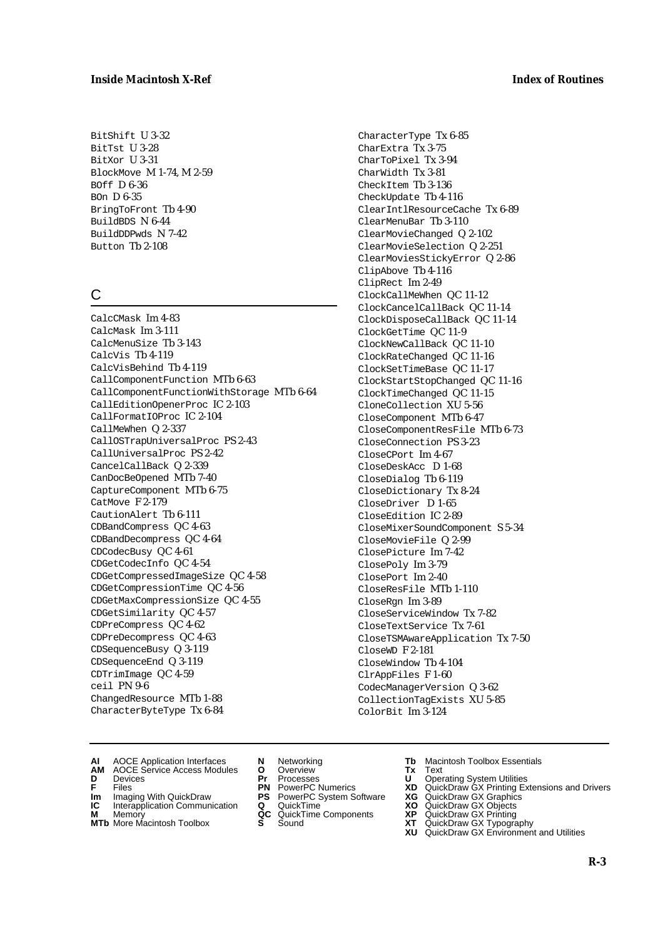BitShift U 3-32 BitTst U 3-28 BitXor U 3-31 BlockMove M 1-74, M 2-59 BOff D 6-36 BOn D 6-35 BringToFront Tb 4-90 BuildBDS N 6-44 BuildDDPwds N 7-42 Button Tb 2-108

# C

CalcCMask Im 4-83 CalcMask Im 3-111 CalcMenuSize Tb 3-143 CalcVis Tb 4-119 CalcVisBehind Tb 4-119 CallComponentFunction MTb 6-63 CallComponentFunctionWithStorage MTb 6-64 CallEditionOpenerProc IC 2-103 CallFormatIOProc IC 2-104 CallMeWhen Q 2-337 CallOSTrapUniversalProc PS 2-43 CallUniversalProc PS 2-42 CancelCallBack Q 2-339 CanDocBeOpened MTb 7-40 CaptureComponent MTb 6-75 CatMove F 2-179 CautionAlert Tb 6-111 CDBandCompress QC 4-63 CDBandDecompress QC 4-64 CDCodecBusy QC 4-61 CDGetCodecInfo QC 4-54 CDGetCompressedImageSize QC 4-58 CDGetCompressionTime QC 4-56 CDGetMaxCompressionSize QC 4-55 CDGetSimilarity QC 4-57 CDPreCompress QC 4-62 CDPreDecompress QC 4-63 CDSequenceBusy Q 3-119 CDSequenceEnd Q 3-119 CDTrimImage QC 4-59 ceil PN 9-6 ChangedResource MTb 1-88 CharacterByteType Tx 6-84

CharacterType Tx 6-85 CharExtra Tx 3-75 CharToPixel Tx 3-94 CharWidth Tx 3-81 CheckItem Tb 3-136 CheckUpdate Tb 4-116 ClearIntlResourceCache Tx 6-89 ClearMenuBar Tb 3-110 ClearMovieChanged Q 2-102 ClearMovieSelection Q 2-251 ClearMoviesStickyError Q 2-86 ClipAbove Tb 4-116 ClipRect Im 2-49 ClockCallMeWhen QC 11-12 ClockCancelCallBack QC 11-14 ClockDisposeCallBack QC 11-14 ClockGetTime QC 11-9 ClockNewCallBack QC 11-10 ClockRateChanged QC 11-16 ClockSetTimeBase QC 11-17 ClockStartStopChanged QC 11-16 ClockTimeChanged QC 11-15 CloneCollection XU 5-56 CloseComponent MTb 6-47 CloseComponentResFile MTb 6-73 CloseConnection PS 3-23 CloseCPort Im 4-67 CloseDeskAcc D 1-68 CloseDialog Tb 6-119 CloseDictionary Tx 8-24 CloseDriver D 1-65 CloseEdition IC 2-89 CloseMixerSoundComponent S 5-34 CloseMovieFile Q 2-99 ClosePicture Im 7-42 ClosePoly Im 3-79 ClosePort Im 2-40 CloseResFile MTb 1-110 CloseRgn Im 3-89 CloseServiceWindow Tx 7-82 CloseTextService Tx 7-61 CloseTSMAwareApplication Tx 7-50 CloseWD F 2-181 CloseWindow Tb 4-104 ClrAppFiles F 1-60 CodecManagerVersion Q 3-62 CollectionTagExists XU 5-85 ColorBit Im 3-124

- **AI** AOCE Application Interfaces **N** Networking **Tb** Macintosh Toolbox Essentials
- **AM** AOCE Service Access Modules **O** Overview **Tx** Text
- 
- 
- **Im** Files<br> **Im** Imaging With QuickDraw **PS** PowerPC System Software **XG**<br> **IC** Interapplication Communication **Q** QuickTime **XO IC** Interapplication Communication **Q** QuickTime **XO M** Memory **XP QC** QuickTime Components **XP**
- **M** Memory **CONSISTENT COMPONENT MEMORY MEMORY MEMORY AND MEMORY OF A VIDEO MEMORY CONSISTENT CONSISTENT CONSISTENT CONSISTENT CONSISTENT CONSISTENT CONSISTENT CONSISTENT CONSISTENT CONSISTENT CONSISTENT CONSISTENT CONSIST**
- **MTb** More Macintosh Toolbox **S** Sound **XT** QuickDraw GX Typography
- 
- **D** Devices **Pr** Processes **U** Operating System Utilities
	-
	-
	-
	-
- 
- 
- **F** Files **PN** PowerPC Numerics **XD** QuickDraw GX Printing Extensions and Drivers
	-
	-
	-
	- **XU** QuickDraw GX Environment and Utilities
- **R-3**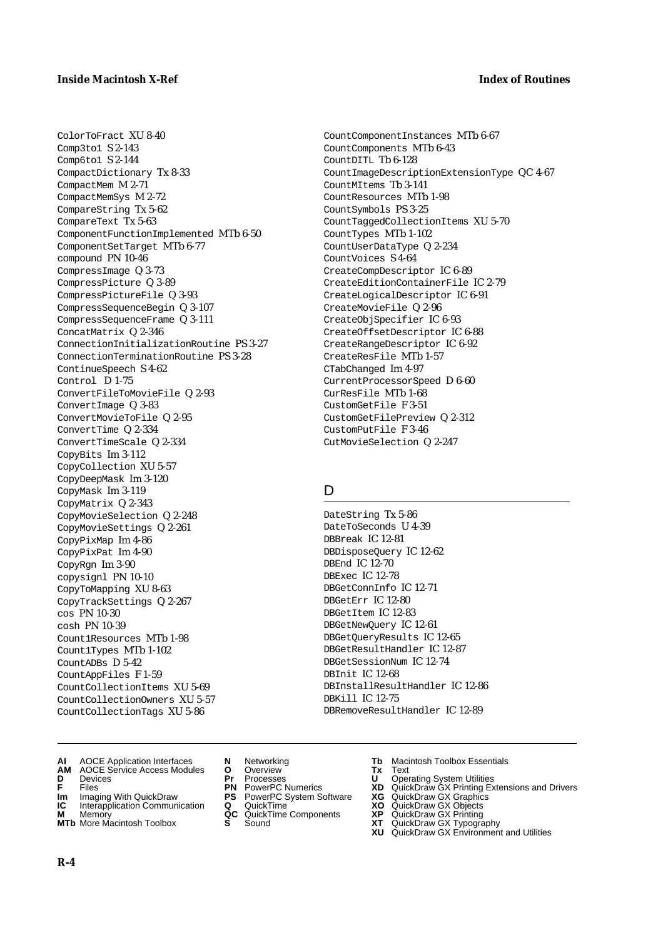ColorToFract XU 8-40 Comp3to1 S 2-143 Comp6to1 S 2-144 CompactDictionary Tx 8-33 CompactMem M 2-71 CompactMemSys M 2-72 CompareString Tx 5-62 CompareText Tx 5-63 ComponentFunctionImplemented MTb 6-50 ComponentSetTarget MTb 6-77 compound PN 10-46 CompressImage Q 3-73 CompressPicture Q 3-89 CompressPictureFile Q 3-93 CompressSequenceBegin Q 3-107 CompressSequenceFrame Q 3-111 ConcatMatrix Q 2-346 ConnectionInitializationRoutine PS 3-27 ConnectionTerminationRoutine PS 3-28 ContinueSpeech S 4-62 Control D 1-75 ConvertFileToMovieFile Q 2-93 ConvertImage Q 3-83 ConvertMovieToFile Q 2-95 ConvertTime Q 2-334 ConvertTimeScale Q 2-334 CopyBits Im 3-112 CopyCollection XU 5-57 CopyDeepMask Im 3-120 CopyMask Im 3-119 CopyMatrix Q 2-343 CopyMovieSelection Q 2-248 CopyMovieSettings Q 2-261 CopyPixMap Im 4-86 CopyPixPat Im 4-90 CopyRgn Im 3-90 copysignl PN 10-10 CopyToMapping XU 8-63 CopyTrackSettings Q 2-267 cos PN 10-30 cosh PN 10-39 Count1Resources MTb 1-98 Count1Types MTb 1-102 CountADBs D 5-42 CountAppFiles F 1-59 CountCollectionItems XU 5-69 CountCollectionOwners XU 5-57 CountCollectionTags XU 5-86

- **AI** AOCE Application Interfaces **N** Networking **Tb** Macintosh Toolbox Essentials
- **AM** AOCE Service Access Modules **O** Overview **Tx** Text
- 
- 
- **Im** Imaging With QuickDraw **PS** PowerPC System Software<br> **IC** Interapplication Communication **Q** QuickTime<br> **M** Memory **GC** QuickTime Components
- 
- **M** Memory **COMPONENTS COMPONENTS COMPONENTS NEWSLA**<br> **M** More Macintosh Toolbox **S** Sound **MTb** More Macintosh Toolbox **S** Sound **XT** QuickDraw GX Typography
- 
- **D** Devices **Pr** Processes **U** Operating System Utilities
	-
- **Im** Imaging With QuickDraw **PS** PowerPC System Software **XG** QuickDraw GX Graphics
	-
	-

CountComponentInstances MTb 6-67 CountComponents MTb 6-43 CountDITL Tb 6-128 CountImageDescriptionExtensionType QC 4-67 CountMItems Tb 3-141 CountResources MTb 1-98 CountSymbols PS 3-25 CountTaggedCollectionItems XU 5-70 CountTypes MTb 1-102 CountUserDataType Q 2-234 CountVoices S 4-64 CreateCompDescriptor IC 6-89 CreateEditionContainerFile IC 2-79 CreateLogicalDescriptor IC 6-91 CreateMovieFile Q 2-96 CreateObjSpecifier IC 6-93 CreateOffsetDescriptor IC 6-88 CreateRangeDescriptor IC 6-92 CreateResFile MTb 1-57 CTabChanged Im 4-97 CurrentProcessorSpeed D 6-60 CurResFile MTb 1-68 CustomGetFile F 3-51 CustomGetFilePreview Q 2-312 CustomPutFile F 3-46

#### D

DateString Tx 5-86 DateToSeconds U 4-39 DBBreak IC 12-81 DBDisposeQuery IC 12-62 DBEnd IC 12-70 DBExec IC 12-78 DBGetConnInfo IC 12-71 DBGetErr IC 12-80 DBGetItem IC 12-83 DBGetNewQuery IC 12-61 DBGetQueryResults IC 12-65 DBGetResultHandler IC 12-87 DBGetSessionNum IC 12-74 DBInit IC 12-68 DBInstallResultHandler IC 12-86 DBKill IC 12-75 DBRemoveResultHandler IC 12-89

CutMovieSelection Q 2-247

- 
- 
- **F** Files **PN** PowerPC Numerics **XD** QuickDraw GX Printing Extensions and Drivers
	-
	-
	-
	-
	- **XU** QuickDraw GX Environment and Utilities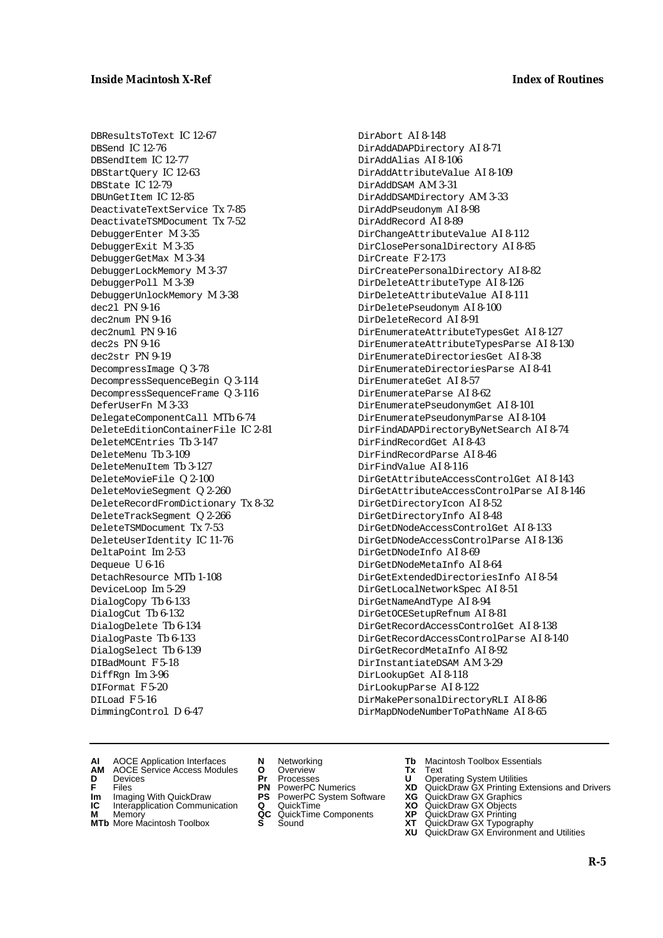DBResultsToText IC 12-67 DBSend IC 12-76 DBSendItem IC 12-77 DBStartQuery IC 12-63 DBState IC 12-79 DBUnGetItem IC 12-85 DeactivateTextService Tx 7-85 DeactivateTSMDocument Tx 7-52 DebuggerEnter M 3-35 DebuggerExit M 3-35 DebuggerGetMax M 3-34 DebuggerLockMemory M 3-37 DebuggerPoll M 3-39 DebuggerUnlockMemory M 3-38 dec2l PN 9-16 dec2num PN 9-16 dec2numl PN 9-16 dec2s PN 9-16 dec2str PN 9-19 DecompressImage Q 3-78 DecompressSequenceBegin Q 3-114 DecompressSequenceFrame Q 3-116 DeferUserFn M 3-33 DelegateComponentCall MTb 6-74 DeleteEditionContainerFile IC 2-81 DeleteMCEntries Tb 3-147 DeleteMenu Tb 3-109 DeleteMenuItem Tb 3-127 DeleteMovieFile Q 2-100 DeleteMovieSegment Q 2-260 DeleteRecordFromDictionary Tx 8-32 DeleteTrackSegment Q 2-266 DeleteTSMDocument Tx 7-53 DeleteUserIdentity IC 11-76 DeltaPoint Im 2-53 Dequeue U 6-16 DetachResource MTb 1-108 DeviceLoop Im 5-29 DialogCopy Tb 6-133 DialogCut Tb 6-132 DialogDelete Tb 6-134 DialogPaste Tb 6-133 DialogSelect Tb 6-139 DIBadMount F 5-18 DiffRgn Im 3-96 DIFormat F 5-20 DILoad F 5-16 DimmingControl D 6-47

DirAbort AI 8-148 DirAddADAPDirectory AI 8-71 DirAddAlias AI 8-106 DirAddAttributeValue AI 8-109 DirAddDSAM AM 3-31 DirAddDSAMDirectory AM 3-33 DirAddPseudonym AI 8-98 DirAddRecord AI 8-89 DirChangeAttributeValue AI 8-112 DirClosePersonalDirectory AI 8-85 DirCreate F 2-173 DirCreatePersonalDirectory AI 8-82 DirDeleteAttributeType AI 8-126 DirDeleteAttributeValue AI 8-111 DirDeletePseudonym AI 8-100 DirDeleteRecord AI 8-91 DirEnumerateAttributeTypesGet AI 8-127 DirEnumerateAttributeTypesParse AI 8-130 DirEnumerateDirectoriesGet AI 8-38 DirEnumerateDirectoriesParse AI 8-41 DirEnumerateGet AI 8-57 DirEnumerateParse AI 8-62 DirEnumeratePseudonymGet AI 8-101 DirEnumeratePseudonymParse AI 8-104 DirFindADAPDirectoryByNetSearch AI 8-74 DirFindRecordGet AI 8-43 DirFindRecordParse AI 8-46 DirFindValue AI 8-116 DirGetAttributeAccessControlGet AI 8-143 DirGetAttributeAccessControlParse AI 8-146 DirGetDirectoryIcon AI 8-52 DirGetDirectoryInfo AI 8-48 DirGetDNodeAccessControlGet AI 8-133 DirGetDNodeAccessControlParse AI 8-136 DirGetDNodeInfo AI 8-69 DirGetDNodeMetaInfo AI 8-64 DirGetExtendedDirectoriesInfo AI 8-54 DirGetLocalNetworkSpec AI 8-51 DirGetNameAndType AI 8-94 DirGetOCESetupRefnum AI 8-81 DirGetRecordAccessControlGet AI 8-138 DirGetRecordAccessControlParse AI 8-140 DirGetRecordMetaInfo AI 8-92 DirInstantiateDSAM AM 3-29 DirLookupGet AI 8-118 DirLookupParse AI 8-122 DirMakePersonalDirectoryRLI AI 8-86 DirMapDNodeNumberToPathName AI 8-65

- **AI** AOCE Application Interfaces **N** Networking **Tb** Macintosh Toolbox Essentials
- **AM** AOCE Service Access Modules **O** Overview **Tx** Text
- 
- **Im** Imaging With QuickDraw **PS** PowerPC System Software **XG** QuickDraw GX Graphics **Im** Imaging With QuickDraw **PS** PowerPC System Software<br> **IC** Interapplication Communication **Q** QuickTime<br> **M** Memorv **GC** QuickTime Components
- 
- **M** Memory **M** Memory **QC** QuickTime Components<br>**MTb** More Macintosh Toolbox **S** Sound
- 
- **D** Devices **Pr** Processes **U** Operating System Utilities
	-
	-
	-
	-
- 
- 
- **F** Files **PN** PowerPC Numerics **XD** QuickDraw GX Printing Extensions and Drivers
	-
	-
	-
- **MTb** More Macintosh Toolbox **S** Sound **XT** QuickDraw GX Typography
	- **XU** QuickDraw GX Environment and Utilities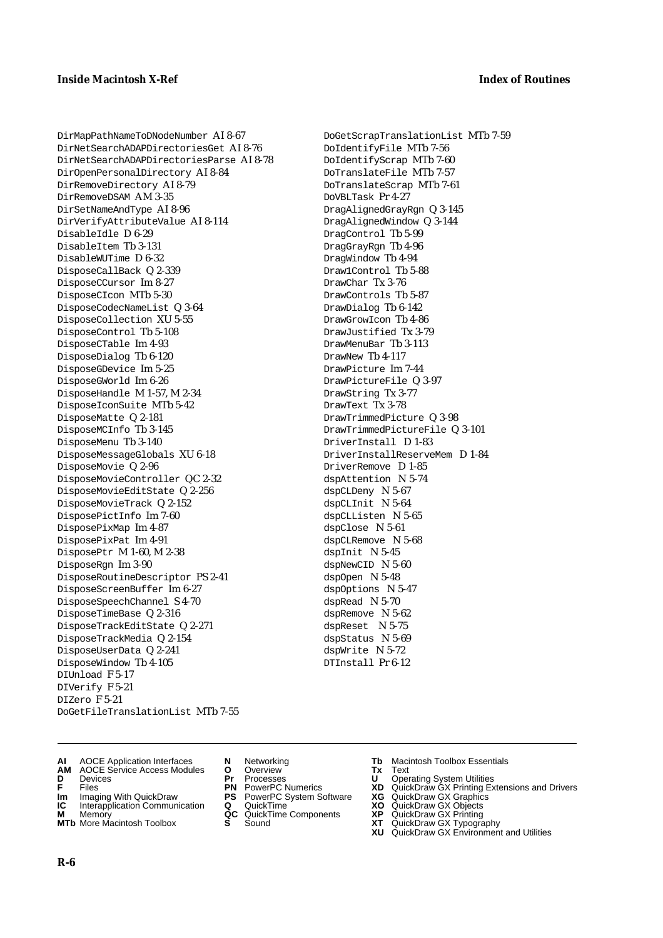DirMapPathNameToDNodeNumber AI 8-67 DirNetSearchADAPDirectoriesGet AI 8-76 DirNetSearchADAPDirectoriesParse AI 8-78 DirOpenPersonalDirectory AI 8-84 DirRemoveDirectory AI 8-79 DirRemoveDSAM AM 3-35 DirSetNameAndType AI 8-96 DirVerifyAttributeValue AI 8-114 DisableIdle D 6-29 DisableItem Tb 3-131 DisableWUTime D 6-32 DisposeCallBack Q 2-339 DisposeCCursor Im 8-27 DisposeCIcon MTb 5-30 DisposeCodecNameList Q 3-64 DisposeCollection XU 5-55 DisposeControl Tb 5-108 DisposeCTable Im 4-93 DisposeDialog Tb 6-120 DisposeGDevice Im 5-25 DisposeGWorld Im 6-26 DisposeHandle M 1-57, M 2-34 DisposeIconSuite MTb 5-42 DisposeMatte Q 2-181 DisposeMCInfo Tb 3-145 DisposeMenu Tb 3-140 DisposeMessageGlobals XU 6-18 DisposeMovie Q 2-96 DisposeMovieController QC 2-32 DisposeMovieEditState Q 2-256 DisposeMovieTrack Q 2-152 DisposePictInfo Im 7-60 DisposePixMap Im 4-87 DisposePixPat Im 4-91 DisposePtr M 1-60, M 2-38 DisposeRgn Im 3-90 DisposeRoutineDescriptor PS 2-41 DisposeScreenBuffer Im 6-27 DisposeSpeechChannel S 4-70 DisposeTimeBase Q 2-316 DisposeTrackEditState Q 2-271 DisposeTrackMedia Q 2-154 DisposeUserData Q 2-241 DisposeWindow Tb 4-105 DIUnload F 5-17 DIVerify F 5-21 DIZero F 5-21 DoGetFileTranslationList MTb 7-55

DoGetScrapTranslationList MTb 7-59 DoIdentifyFile MTb 7-56 DoIdentifyScrap MTb 7-60 DoTranslateFile MTb 7-57 DoTranslateScrap MTb 7-61 DoVBLTask Pr 4-27 DragAlignedGrayRgn Q 3-145 DragAlignedWindow Q 3-144 DragControl Tb 5-99 DragGrayRgn Tb 4-96 DragWindow Tb 4-94 Draw1Control Tb 5-88 DrawChar Tx 3-76 DrawControls Tb 5-87 DrawDialog Tb 6-142 DrawGrowIcon Tb 4-86 DrawJustified Tx 3-79 DrawMenuBar Tb 3-113 DrawNew Tb 4-117 DrawPicture Im 7-44 DrawPictureFile Q 3-97 DrawString Tx 3-77 DrawText Tx 3-78 DrawTrimmedPicture Q 3-98 DrawTrimmedPictureFile Q 3-101 DriverInstall D 1-83 DriverInstallReserveMem D 1-84 DriverRemove D 1-85 dspAttention N 5-74 dspCLDeny N 5-67 dspCLInit N 5-64 dspCLListen N 5-65 dspClose N 5-61 dspCLRemove N 5-68 dspInit N 5-45 dspNewCID N 5-60 dspOpen N 5-48 dspOptions N 5-47 dspRead N 5-70 dspRemove N 5-62 dspReset N 5-75 dspStatus N 5-69 dspWrite N 5-72 DTInstall Pr 6-12

- **AI** AOCE Application Interfaces **N** Networking **Tb** Macintosh Toolbox Essentials
- **AM** AOCE Service Access Modules **O** Overview **Tx** Text
- 
- 
- **Im** Imaging With QuickDraw **PS** PowerPC System Software<br> **IC** Interapplication Communication **Q** QuickTime<br> **M** Memory **GC** QuickTime Components
- **M** Memory **COMPONENTS COMPONENTS COMPONENTS COMPONENTS <b>XP** QC QuickT<br> **MTb** More Macintosh Toolbox **S** Sound
- **MTb** More Macintosh Toolbox **S** Sound **XT** QuickDraw GX Typography
- 
- 
- 
- 
- 
- 
- 
- **D** Devices **Pr** Processes **U** Operating System Utilities
- **F** Files **PN** PowerPC Numerics **XD** QuickDraw GX Printing Extensions and Drivers
- **Im** Imaging With QuickDraw **PS** PowerPC System Software **XG** QuickDraw GX Graphics
	-
	-
	-
	- **XU** QuickDraw GX Environment and Utilities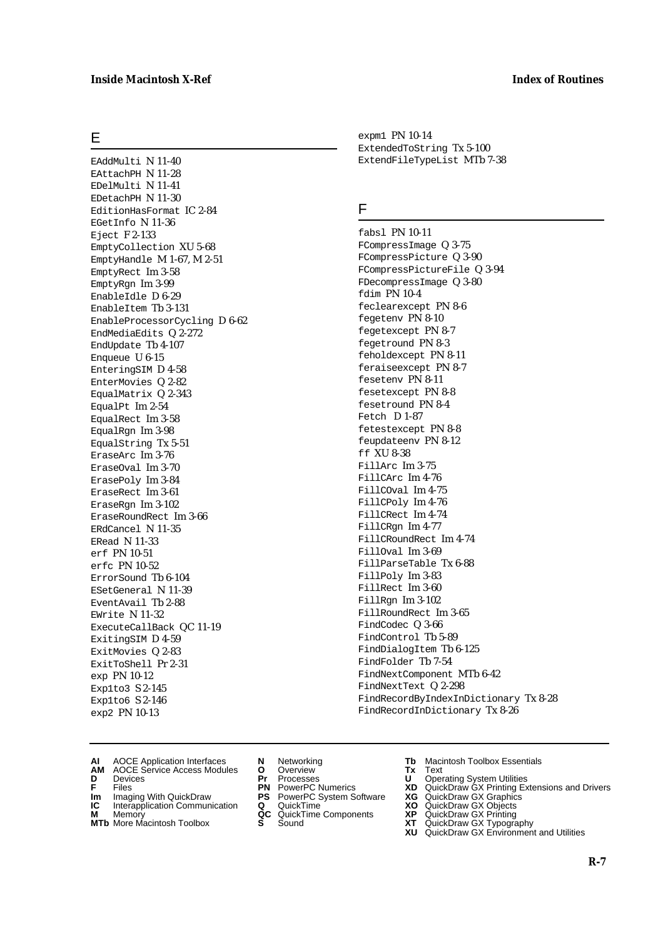# E

EAddMulti N 11-40 EAttachPH N 11-28 EDelMulti N 11-41 EDetachPH N 11-30 EditionHasFormat IC 2-84 EGetInfo N 11-36 Eject F 2-133 EmptyCollection XU 5-68 EmptyHandle M 1-67, M 2-51 EmptyRect Im 3-58 EmptyRgn Im 3-99 EnableIdle D 6-29 EnableItem Tb 3-131 EnableProcessorCycling D 6-62 EndMediaEdits Q 2-272 EndUpdate Tb 4-107 Enqueue U 6-15 EnteringSIM D 4-58 EnterMovies Q 2-82 EqualMatrix Q 2-343 EqualPt Im 2-54 EqualRect Im 3-58 EqualRgn Im 3-98 EqualString Tx 5-51 EraseArc Im 3-76 EraseOval Im 3-70 ErasePoly Im 3-84 EraseRect Im 3-61 EraseRgn Im 3-102 EraseRoundRect Im 3-66 ERdCancel N 11-35 ERead N 11-33 erf PN 10-51 erfc PN 10-52 ErrorSound Tb 6-104 ESetGeneral N 11-39 EventAvail Tb 2-88 EWrite N 11-32 ExecuteCallBack QC 11-19 ExitingSIM D 4-59 ExitMovies Q 2-83 ExitToShell Pr 2-31 exp PN 10-12 Exp1to3 S 2-145 Exp1to6 S 2-146 exp2 PN 10-13

expm1 PN 10-14 ExtendedToString Tx 5-100 ExtendFileTypeList MTb 7-38

# F

fabsl PN 10-11 FCompressImage Q 3-75 FCompressPicture Q 3-90 FCompressPictureFile Q 3-94 FDecompressImage Q 3-80 fdim PN 10-4 feclearexcept PN 8-6 fegetenv PN 8-10 fegetexcept PN 8-7 fegetround PN 8-3 feholdexcept PN 8-11 feraiseexcept PN 8-7 fesetenv PN 8-11 fesetexcept PN 8-8 fesetround PN 8-4 Fetch D 1-87 fetestexcept PN 8-8 feupdateenv PN 8-12 ff XU 8-38 FillArc Im 3-75 FillCArc Im 4-76 FillCOval Im 4-75 FillCPoly Im 4-76 FillCRect Im 4-74 FillCRgn Im 4-77 FillCRoundRect Im 4-74 FillOval Im 3-69 FillParseTable Tx 6-88 FillPoly Im 3-83 FillRect Im 3-60 FillRgn Im 3-102 FillRoundRect Im 3-65 FindCodec Q 3-66 FindControl Tb 5-89 FindDialogItem Tb 6-125 FindFolder Tb 7-54 FindNextComponent MTb 6-42 FindNextText Q 2-298 FindRecordByIndexInDictionary Tx 8-28 FindRecordInDictionary Tx 8-26

- **AI** AOCE Application Interfaces **N** Networking **Tb** Macintosh Toolbox Essentials
- **AM** AOCE Service Access Modules **O** Overview **Tx** Text
- 
- 
- **Im** Imaging With QuickDraw **PS** PowerPC System Software **XG IC** Interapplication Communication **Q** QuickTime **XO IC** Interapplication Communication **Q** QuickTime **XO M** Memory **XP QC** QuickTime Components **XP**
- **M** Memory **Manufacture Communication**<br> **M** Memory **QC** QuickTime Components **XP**<br> **MTb** More Macintosh Toolbox **S** Sound **XT**
- **MTb** More Macintosh Toolbox **S** Sound **XT** QuickDraw GX Typography
- 
- **D** Devices **Pr** Processes **U** Operating System Utilities
	-
	-
	-
	-
- 
- 
- **F** Files **PN** PowerPC Numerics **XD** QuickDraw GX Printing Extensions and Drivers
	-
	-
	-
	-
	- **XU** QuickDraw GX Environment and Utilities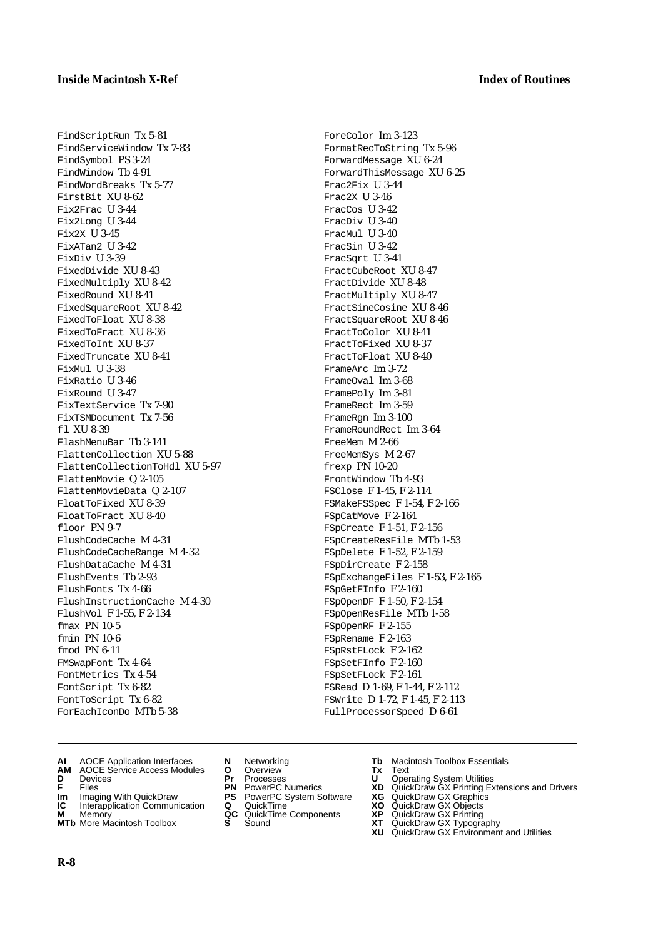FindScriptRun Tx 5-81 FindServiceWindow Tx 7-83 FindSymbol PS 3-24 FindWindow Tb 4-91 FindWordBreaks Tx 5-77 FirstBit XU 8-62 Fix2Frac U 3-44 Fix2Long U 3-44 Fix2X U 3-45 FixATan2 U 3-42 FixDiv U 3-39 FixedDivide XU 8-43 FixedMultiply XU 8-42 FixedRound XU 8-41 FixedSquareRoot XU 8-42 FixedToFloat XU 8-38 FixedToFract XU 8-36 FixedToInt XU 8-37 FixedTruncate XU 8-41 FixMul U 3-38 FixRatio U 3-46 FixRound U 3-47 FixTextService Tx 7-90 FixTSMDocument Tx 7-56 fl XU 8-39 FlashMenuBar Tb 3-141 FlattenCollection XU 5-88 FlattenCollectionToHdl XU 5-97 FlattenMovie Q 2-105 FlattenMovieData Q 2-107 FloatToFixed XU 8-39 FloatToFract XU 8-40 floor PN 9-7 FlushCodeCache M 4-31 FlushCodeCacheRange M 4-32 FlushDataCache M 4-31 FlushEvents Tb 2-93 FlushFonts Tx 4-66 FlushInstructionCache M 4-30 FlushVol F 1-55, F 2-134 fmax PN 10-5 fmin PN 10-6 fmod PN 6-11 FMSwapFont Tx 4-64 FontMetrics Tx 4-54 FontScript Tx 6-82 FontToScript Tx 6-82 ForEachIconDo MTb 5-38

- **AI** AOCE Application Interfaces **N** Networking **Tb** Macintosh Toolbox Essentials
- **AM** AOCE Service Access Modules **O** Overview **Tx** Text
- 
- 
- **Im** Imaging With QuickDraw **PS** PowerPC System Software<br> **IC** Interapplication Communication **Q** QuickTime<br> **M** Memory **GC** QuickTime Components
- 
- **M** Memory **COMPONENTS COMPONENTS COMPONENTS NEWSLA**<br> **M** More Macintosh Toolbox **S** Sound **MTb** More Macintosh Toolbox **S** Sound **XT** QuickDraw GX Typography
- 
- **D** Devices **Pr** Processes **U** Operating System Utilities
	-
	-
	-
	-
- 
- 

ForeColor Im 3-123 FormatRecToString Tx 5-96 ForwardMessage XU 6-24 ForwardThisMessage XU 6-25

Frac2Fix U 3-44 Frac2X U 3-46 FracCos U 3-42 FracDiv U 3-40 FracMul U 3-40 FracSin U 3-42 FracSqrt U 3-41 FractCubeRoot XU 8-47 FractDivide XU 8-48 FractMultiply XU 8-47 FractSineCosine XU 8-46 FractSquareRoot XU 8-46 FractToColor XU 8-41 FractToFixed XU 8-37 FractToFloat XU 8-40 FrameArc Im 3-72 FrameOval Im 3-68 FramePoly Im 3-81 FrameRect Im 3-59 FrameRgn Im 3-100 FrameRoundRect Im 3-64

FreeMem M 2-66 FreeMemSys M 2-67 frexp PN 10-20 FrontWindow Tb 4-93 FSClose F 1-45, F 2-114 FSMakeFSSpec F 1-54, F 2-166

FSpCatMove F 2-164 FSpCreate F 1-51, F 2-156 FSpCreateResFile MTb 1-53 FSpDelete F 1-52, F 2-159 FSpDirCreate F 2-158

FSpGetFInfo F 2-160 FSpOpenDF F 1-50, F 2-154 FSpOpenResFile MTb 1-58

FSpOpenRF F 2-155 FSpRename F 2-163 FSpRstFLock F 2-162 FSpSetFInfo F 2-160 FSpSetFLock F 2-161 FSRead D 1-69, F 1-44, F 2-112 FSWrite D 1-72, F 1-45, F 2-113 FullProcessorSpeed D 6-61

FSpExchangeFiles F 1-53, F 2-165

- **F** Files **PN** PowerPC Numerics **XD** QuickDraw GX Printing Extensions and Drivers
- **Im** Imaging With QuickDraw **PS** PowerPC System Software **XG** QuickDraw GX Graphics
	-
	-
	-
	- **XU** QuickDraw GX Environment and Utilities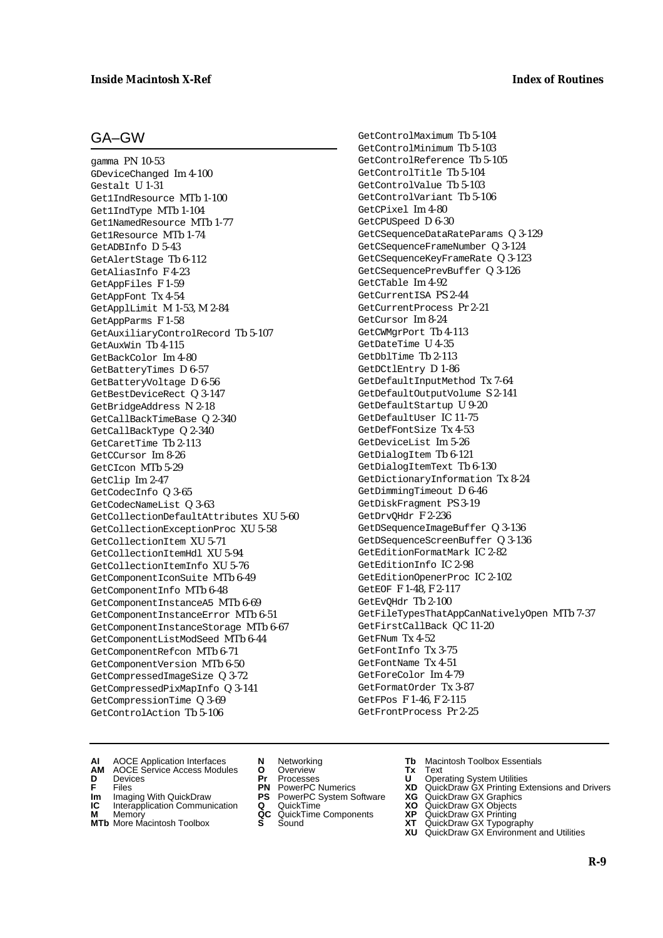# GA–GW

gamma PN 10-53 GDeviceChanged Im 4-100 Gestalt U 1-31 Get1IndResource MTb 1-100 Get1IndType MTb 1-104 Get1NamedResource MTb 1-77 Get1Resource MTb 1-74 GetADBInfo D 5-43 GetAlertStage Tb 6-112 GetAliasInfo F 4-23 GetAppFiles F 1-59 GetAppFont Tx 4-54 GetApplLimit M 1-53, M 2-84 GetAppParms F 1-58 GetAuxiliaryControlRecord Tb 5-107 GetAuxWin Tb 4-115 GetBackColor Im 4-80 GetBatteryTimes D 6-57 GetBatteryVoltage D 6-56 GetBestDeviceRect Q 3-147 GetBridgeAddress N 2-18 GetCallBackTimeBase Q 2-340 GetCallBackType Q 2-340 GetCaretTime Tb 2-113 GetCCursor Im 8-26 GetCIcon MTb 5-29 GetClip Im 2-47 GetCodecInfo Q 3-65 GetCodecNameList Q 3-63 GetCollectionDefaultAttributes XU 5-60 GetCollectionExceptionProc XU 5-58 GetCollectionItem XU 5-71 GetCollectionItemHdl XU 5-94 GetCollectionItemInfo XU 5-76 GetComponentIconSuite MTb 6-49 GetComponentInfo MTb 6-48 GetComponentInstanceA5 MTb 6-69 GetComponentInstanceError MTb 6-51 GetComponentInstanceStorage MTb 6-67 GetComponentListModSeed MTb 6-44 GetComponentRefcon MTb 6-71 GetComponentVersion MTb 6-50 GetCompressedImageSize Q 3-72 GetCompressedPixMapInfo Q 3-141 GetCompressionTime Q 3-69 GetControlAction Tb 5-106

GetControlMaximum Tb 5-104 GetControlMinimum Tb 5-103 GetControlReference Tb 5-105 GetControlTitle Tb 5-104 GetControlValue Tb 5-103 GetControlVariant Tb 5-106 GetCPixel Im 4-80 GetCPUSpeed D 6-30 GetCSequenceDataRateParams Q 3-129 GetCSequenceFrameNumber Q 3-124 GetCSequenceKeyFrameRate Q 3-123 GetCSequencePrevBuffer Q 3-126 GetCTable Im 4-92 GetCurrentISA PS 2-44 GetCurrentProcess Pr 2-21 GetCursor Im 8-24 GetCWMgrPort Tb 4-113 GetDateTime U 4-35 GetDblTime Tb 2-113 GetDCtlEntry D 1-86 GetDefaultInputMethod Tx 7-64 GetDefaultOutputVolume S 2-141 GetDefaultStartup U 9-20 GetDefaultUser IC 11-75 GetDefFontSize Tx 4-53 GetDeviceList Im 5-26 GetDialogItem Tb 6-121 GetDialogItemText Tb 6-130 GetDictionaryInformation Tx 8-24 GetDimmingTimeout D 6-46 GetDiskFragment PS 3-19 GetDrvQHdr F 2-236 GetDSequenceImageBuffer Q 3-136 GetDSequenceScreenBuffer Q 3-136 GetEditionFormatMark IC 2-82 GetEditionInfo IC 2-98 GetEditionOpenerProc IC 2-102 GetEOF F 1-48, F 2-117 GetEvQHdr Tb 2-100 GetFileTypesThatAppCanNativelyOpen MTb 7-37 GetFirstCallBack QC 11-20 GetFNum Tx 4-52 GetFontInfo Tx 3-75 GetFontName Tx 4-51 GetForeColor Im 4-79 GetFormatOrder Tx 3-87 GetFPos F 1-46, F 2-115 GetFrontProcess Pr 2-25

- 
- **AM** AOCE Service Access Modules **O** Overview **Tx** Text
- 
- 
- **Im** Files<br> **Im** Imaging With QuickDraw **PS** PowerPC System Software **XG**<br> **IC** Interapplication Communication **Q** QuickTime **XO IC** Interapplication Communication **Q** QuickTime **XO M** Memory **XP QC** QuickTime Components **XP**
- **M** Memory **Manufacture Communication**<br> **M** Memory **QC** QuickTime Components **XP**<br> **MTb** More Macintosh Toolbox **S** Sound **XT**
- 
- **D** Devices **Pr** Processes **U** Operating System Utilities
	-
	-
	-
- **MTb** More Macintosh Toolbox **S** Sound **XT** QuickDraw GX Typography
- **AI** AOCE Application Interfaces **N** Networking **Tb** Macintosh Toolbox Essentials
	-
- **F** Files **PN** PowerPC Numerics **XD** QuickDraw GX Printing Extensions and Drivers
	-
	-
	-
	- **XU** QuickDraw GX Environment and Utilities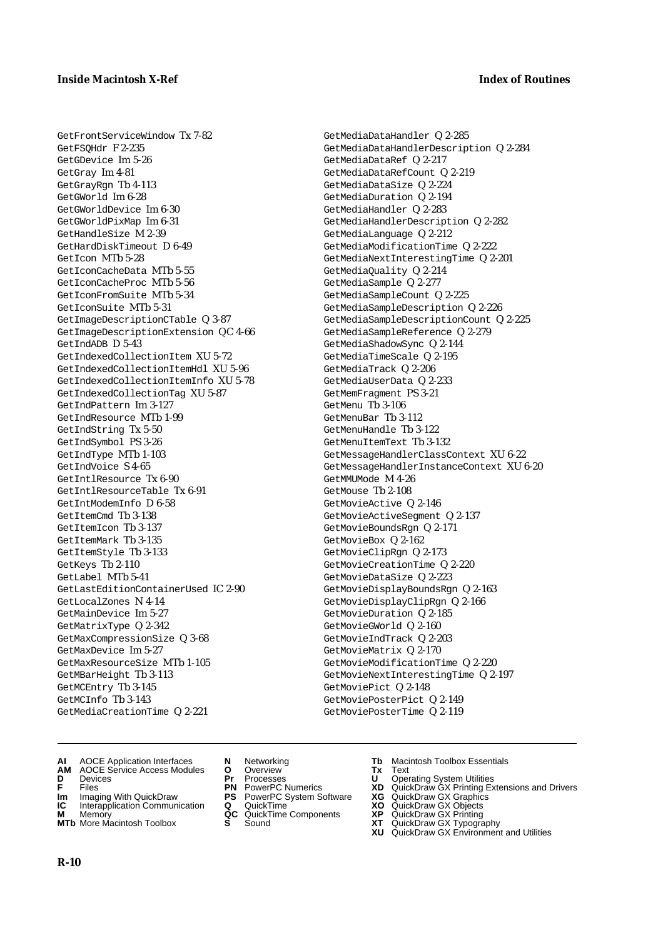GetFrontServiceWindow Tx 7-82 GetFSQHdr F 2-235 GetGDevice Im 5-26 GetGray Im 4-81 GetGrayRgn Tb 4-113 GetGWorld Im 6-28 GetGWorldDevice Im 6-30 GetGWorldPixMap Im 6-31 GetHandleSize M 2-39 GetHardDiskTimeout D 6-49 GetIcon MTb 5-28 GetIconCacheData MTb 5-55 GetIconCacheProc MTb 5-56 GetIconFromSuite MTb 5-34 GetIconSuite MTb 5-31 GetImageDescriptionCTable Q 3-87 GetImageDescriptionExtension QC 4-66 GetIndADB D 5-43 GetIndexedCollectionItem XU 5-72 GetIndexedCollectionItemHdl XU 5-96 GetIndexedCollectionItemInfo XU 5-78 GetIndexedCollectionTag XU 5-87 GetIndPattern Im 3-127 GetIndResource MTb 1-99 GetIndString Tx 5-50 GetIndSymbol PS 3-26 GetIndType MTb 1-103 GetIndVoice S 4-65 GetIntlResource Tx 6-90 GetIntlResourceTable Tx 6-91 GetIntModemInfo D 6-58 GetItemCmd Tb 3-138 GetItemIcon Tb 3-137 GetItemMark Tb 3-135 GetItemStyle Tb 3-133 GetKeys Tb 2-110 GetLabel MTb 5-41 GetLastEditionContainerUsed IC 2-90 GetLocalZones N 4-14 GetMainDevice Im 5-27 GetMatrixType Q 2-342 GetMaxCompressionSize Q 3-68 GetMaxDevice Im 5-27 GetMaxResourceSize MTb 1-105 GetMBarHeight Tb 3-113 GetMCEntry Tb 3-145 GetMCInfo Tb 3-143 GetMediaCreationTime Q 2-221

- GetMediaDataHandler Q 2-285 GetMediaDataHandlerDescription Q 2-284 GetMediaDataRef Q 2-217 GetMediaDataRefCount Q 2-219 GetMediaDataSize Q 2-224 GetMediaDuration Q 2-194 GetMediaHandler Q 2-283 GetMediaHandlerDescription Q 2-282 GetMediaLanguage Q 2-212 GetMediaModificationTime Q 2-222 GetMediaNextInterestingTime Q 2-201 GetMediaQuality Q 2-214 GetMediaSample Q 2-277 GetMediaSampleCount Q 2-225 GetMediaSampleDescription Q 2-226 GetMediaSampleDescriptionCount Q 2-225 GetMediaSampleReference Q 2-279 GetMediaShadowSync Q 2-144 GetMediaTimeScale Q 2-195 GetMediaTrack Q 2-206 GetMediaUserData Q 2-233 GetMemFragment PS 3-21 GetMenu Tb 3-106 GetMenuBar Tb 3-112 GetMenuHandle Tb 3-122 GetMenuItemText Tb 3-132 GetMessageHandlerClassContext XU 6-22 GetMessageHandlerInstanceContext XU 6-20 GetMMUMode M 4-26 GetMouse Tb 2-108 GetMovieActive Q 2-146 GetMovieActiveSegment Q 2-137 GetMovieBoundsRgn Q 2-171 GetMovieBox Q 2-162 GetMovieClipRgn Q 2-173 GetMovieCreationTime Q 2-220 GetMovieDataSize Q 2-223 GetMovieDisplayBoundsRgn Q 2-163 GetMovieDisplayClipRgn Q 2-166 GetMovieDuration Q 2-185 GetMovieGWorld Q 2-160 GetMovieIndTrack Q 2-203 GetMovieMatrix Q 2-170 GetMovieModificationTime Q 2-220 GetMovieNextInterestingTime Q 2-197 GetMoviePict Q 2-148 GetMoviePosterPict Q 2-149 GetMoviePosterTime Q 2-119
- **AI** AOCE Application Interfaces **N** Networking **Tb** Macintosh Toolbox Essentials
- **AM** AOCE Service Access Modules **O** Overview **Tx** Text
- 
- 
- **Im** Imaging With QuickDraw **PS** PowerPC System Software<br> **IC** Interapplication Communication **Q** QuickTime<br> **M** Memorv **GC** QuickTime Components
- **M** Memory<br>**MTb** More Macintosh Toolbox **S** Sound<br>**XP** Sound Gallery Gallery Gallery S Sound
- 
- 
- 
- 
- **Im** Imaging With QuickDraw **PS** PowerPC System Software **XG** QuickDraw GX Graphics
	-
	-
	-
- 
- **D** Devices **Pr** Processes **U** Operating System Utilities
- **F** Files **PN** PowerPC Numerics **XD** QuickDraw GX Printing Extensions and Drivers
	-
	-
	-
- **MTb** More Macintosh Toolbox **S** Sound **XT** QuickDraw GX Typography
	- **XU** QuickDraw GX Environment and Utilities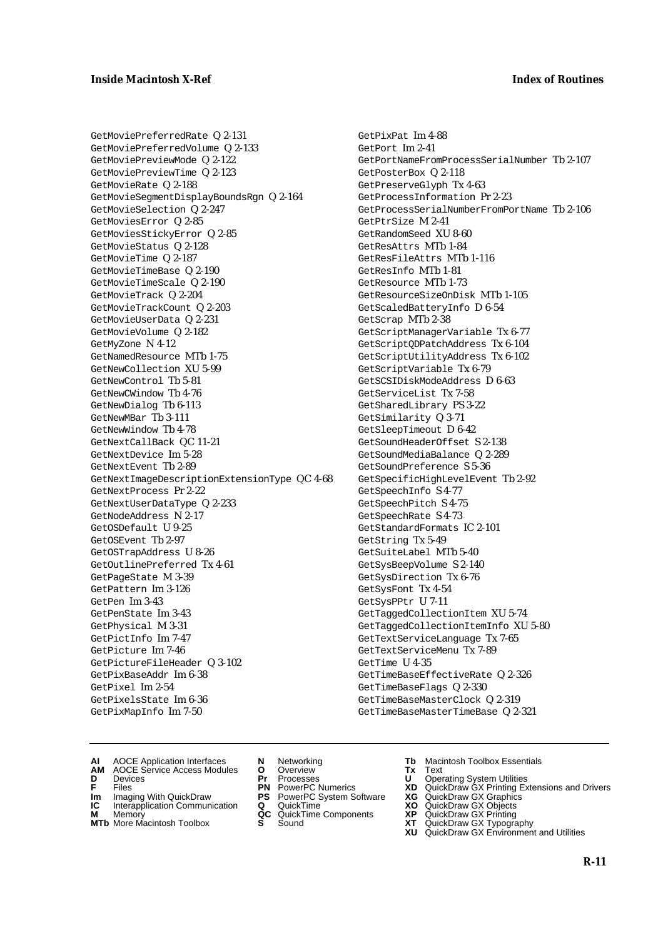GetMoviePreferredRate Q 2-131 GetMoviePreferredVolume Q 2-133 GetMoviePreviewMode Q 2-122 GetMoviePreviewTime Q 2-123 GetMovieRate Q 2-188 GetMovieSegmentDisplayBoundsRgn Q 2-164 GetMovieSelection Q 2-247 GetMoviesError Q 2-85 GetMoviesStickyError Q 2-85 GetMovieStatus Q 2-128 GetMovieTime Q 2-187 GetMovieTimeBase Q 2-190 GetMovieTimeScale Q 2-190 GetMovieTrack Q 2-204 GetMovieTrackCount Q 2-203 GetMovieUserData Q 2-231 GetMovieVolume Q 2-182 GetMyZone N 4-12 GetNamedResource MTb 1-75 GetNewCollection XU 5-99 GetNewControl Tb 5-81 GetNewCWindow Tb 4-76 GetNewDialog Tb 6-113 GetNewMBar Tb 3-111 GetNewWindow Tb 4-78 GetNextCallBack QC 11-21 GetNextDevice Im 5-28 GetNextEvent Tb 2-89 GetNextImageDescriptionExtensionType QC 4-68 GetNextProcess Pr 2-22 GetNextUserDataType Q 2-233 GetNodeAddress N 2-17 GetOSDefault U 9-25 GetOSEvent Tb 2-97 GetOSTrapAddress U 8-26 GetOutlinePreferred Tx 4-61 GetPageState M 3-39 GetPattern Im 3-126 GetPen Im 3-43 GetPenState Im 3-43 GetPhysical M 3-31 GetPictInfo Im 7-47 GetPicture Im 7-46 GetPictureFileHeader Q 3-102 GetPixBaseAddr Im 6-38 GetPixel Im 2-54 GetPixelsState Im 6-36 GetPixMapInfo Im 7-50

GetPixPat Im 4-88 GetPort Im 2-41 GetPortNameFromProcessSerialNumber Tb 2-107 GetPosterBox Q 2-118 GetPreserveGlyph Tx 4-63 GetProcessInformation Pr 2-23 GetProcessSerialNumberFromPortName Tb 2-106 GetPtrSize M 2-41 GetRandomSeed XU 8-60 GetResAttrs MTb 1-84 GetResFileAttrs MTb 1-116 GetResInfo MTb 1-81 GetResource MTb 1-73 GetResourceSizeOnDisk MTb 1-105 GetScaledBatteryInfo D 6-54 GetScrap MTb 2-38 GetScriptManagerVariable Tx 6-77 GetScriptQDPatchAddress Tx 6-104 GetScriptUtilityAddress Tx 6-102 GetScriptVariable Tx 6-79 GetSCSIDiskModeAddress D 6-63 GetServiceList Tx 7-58 GetSharedLibrary PS 3-22 GetSimilarity Q 3-71 GetSleepTimeout D 6-42 GetSoundHeaderOffset S 2-138 GetSoundMediaBalance Q 2-289 GetSoundPreference S 5-36 GetSpecificHighLevelEvent Tb 2-92 GetSpeechInfo S 4-77 GetSpeechPitch S 4-75 GetSpeechRate S 4-73 GetStandardFormats IC 2-101 GetString Tx 5-49 GetSuiteLabel MTb 5-40 GetSysBeepVolume S 2-140 GetSysDirection Tx 6-76 GetSysFont Tx 4-54 GetSysPPtr U 7-11 GetTaggedCollectionItem XU 5-74 GetTaggedCollectionItemInfo XU 5-80 GetTextServiceLanguage Tx 7-65 GetTextServiceMenu Tx 7-89 GetTime U 4-35 GetTimeBaseEffectiveRate Q 2-326 GetTimeBaseFlags Q 2-330 GetTimeBaseMasterClock Q 2-319 GetTimeBaseMasterTimeBase Q 2-321

- **AI** AOCE Application Interfaces **N** Networking **Tb** Macintosh Toolbox Essentials
- **AM** AOCE Service Access Modules **O** Overview **Tx** Text
- 
- **Im** Imaging With QuickDraw **PS** PowerPC System Software **XG** QuickDraw GX Graphics
- **Im** Imaging With QuickDraw **PS** PowerPC System Software<br> **IC** Interapplication Communication **Q** QuickTime<br> **M** Memorv **GC** QuickTime Components
- **M** Memory **M** Memory **QC** QuickTime Components<br>**MTb** More Macintosh Toolbox **S** Sound
- **MTb** More Macintosh Toolbox **S** Sound **XT** QuickDraw GX Typography
- 
- **D** Devices **Pr** Processes **U** Operating System Utilities
	-
	-
	-
	-
- 
- 
- **F** Files **PN** PowerPC Numerics **XD** QuickDraw GX Printing Extensions and Drivers
	-
	-
	-
	-
	- **XU** QuickDraw GX Environment and Utilities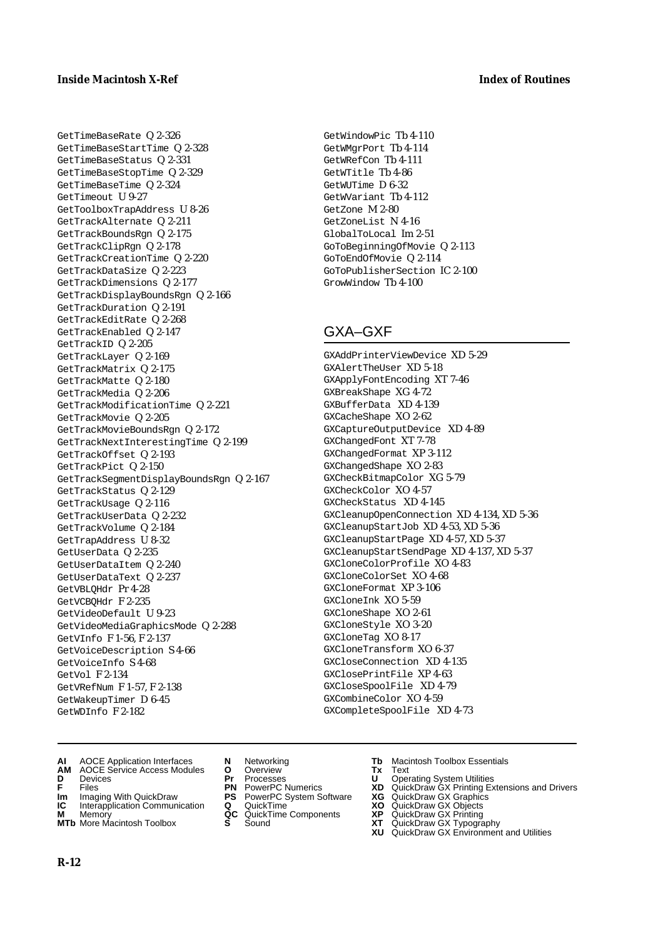GetTimeBaseRate Q 2-326 GetTimeBaseStartTime Q 2-328 GetTimeBaseStatus Q 2-331 GetTimeBaseStopTime Q 2-329 GetTimeBaseTime Q 2-324 GetTimeout U 9-27 GetToolboxTrapAddress U 8-26 GetTrackAlternate Q 2-211 GetTrackBoundsRgn Q 2-175 GetTrackClipRgn Q 2-178 GetTrackCreationTime Q 2-220 GetTrackDataSize Q 2-223 GetTrackDimensions Q 2-177 GetTrackDisplayBoundsRgn Q 2-166 GetTrackDuration Q 2-191 GetTrackEditRate Q 2-268 GetTrackEnabled Q 2-147 GetTrackID Q 2-205 GetTrackLayer Q 2-169 GetTrackMatrix Q 2-175 GetTrackMatte Q 2-180 GetTrackMedia Q 2-206 GetTrackModificationTime Q 2-221 GetTrackMovie Q 2-205 GetTrackMovieBoundsRgn Q 2-172 GetTrackNextInterestingTime Q 2-199 GetTrackOffset Q 2-193 GetTrackPict Q 2-150 GetTrackSegmentDisplayBoundsRgn Q 2-167 GetTrackStatus Q 2-129 GetTrackUsage Q 2-116 GetTrackUserData Q 2-232 GetTrackVolume Q 2-184 GetTrapAddress U 8-32 GetUserData Q 2-235 GetUserDataItem Q 2-240 GetUserDataText Q 2-237 GetVBLQHdr Pr 4-28 GetVCBQHdr F 2-235 GetVideoDefault U 9-23 GetVideoMediaGraphicsMode Q 2-288 GetVInfo F 1-56, F 2-137 GetVoiceDescription S 4-66 GetVoiceInfo S 4-68 GetVol F 2-134 GetVRefNum F 1-57, F 2-138 GetWakeupTimer D 6-45 GetWDInfo F 2-182

GetWindowPic Tb 4-110 GetWMgrPort Tb 4-114 GetWRefCon Tb 4-111 GetWTitle Tb 4-86 GetWUTime D 6-32 GetWVariant Tb 4-112 GetZone M 2-80 GetZoneList N 4-16 GlobalToLocal Im 2-51 GoToBeginningOfMovie Q 2-113 GoToEndOfMovie Q 2-114 GoToPublisherSection IC 2-100 GrowWindow Tb 4-100

# GXA–GXF

GXAddPrinterViewDevice XD 5-29 GXAlertTheUser XD 5-18 GXApplyFontEncoding XT 7-46 GXBreakShape XG 4-72 GXBufferData XD 4-139 GXCacheShape XO 2-62 GXCaptureOutputDevice XD 4-89 GXChangedFont XT 7-78 GXChangedFormat XP 3-112 GXChangedShape XO 2-83 GXCheckBitmapColor XG 5-79 GXCheckColor XO 4-57 GXCheckStatus XD 4-145 GXCleanupOpenConnection XD 4-134, XD 5-36 GXCleanupStartJob XD 4-53, XD 5-36 GXCleanupStartPage XD 4-57, XD 5-37 GXCleanupStartSendPage XD 4-137, XD 5-37 GXCloneColorProfile XO 4-83 GXCloneColorSet XO 4-68 GXCloneFormat XP 3-106 GXCloneInk XO 5-59 GXCloneShape XO 2-61 GXCloneStyle XO 3-20 GXCloneTag XO 8-17 GXCloneTransform XO 6-37 GXCloseConnection XD 4-135 GXClosePrintFile XP 4-63 GXCloseSpoolFile XD 4-79 GXCombineColor XO 4-59 GXCompleteSpoolFile XD 4-73

- **AI** AOCE Application Interfaces **N** Networking **Tb** Macintosh Toolbox Essentials
- **AM** AOCE Service Access Modules **O** Overview **Tx** Text
- 
- 
- 
- **IC** Interapplication Communication **Q** QuickTime **M** Memory **CALC A** Memory
- **M** Memory **Markt Communication**<br> **M** Memory **QC** QuickTime Components<br> **MTb** More Macintosh Toolbox **S** Sound **MTb** More Macintosh Toolbox **S** Sound **XT** QuickDraw GX Typography
- 
- **D** Devices **Pr** Processes **U** Operating System Utilities
	-
	-
	-
	-
- 
- 
- **FILENCE CONSIGNATION**<br> **F** Files **PN** PowerPC Numerics **XD** QuickDraw GX Printing Extensions and Drivers<br> **FILES PN** PowerPC System Software **XG** QuickDraw GX Graphics<br> **Im** Imaging With QuickDraw **PS** PowerPC System Soft
- **Im** Imaging With QuickDraw **PS** PowerPC System Software **XG** QuickDraw GX Graphics
	-
	-
	- **XU** QuickDraw GX Environment and Utilities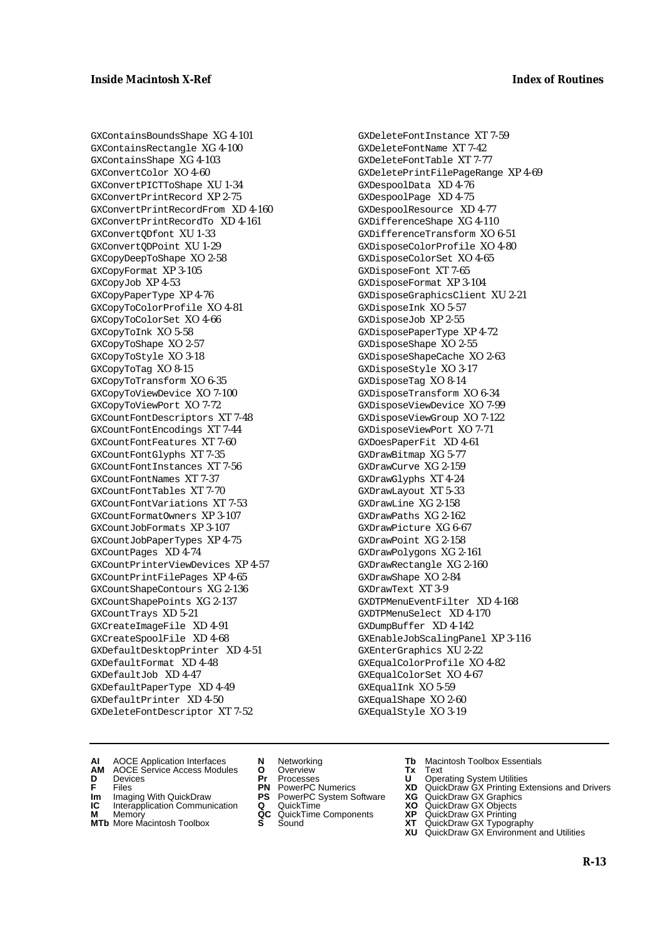GXContainsBoundsShape XG 4-101 GXContainsRectangle XG 4-100 GXContainsShape XG 4-103 GXConvertColor XO 4-60 GXConvertPICTToShape XU 1-34 GXConvertPrintRecord XP 2-75 GXConvertPrintRecordFrom XD 4-160 GXConvertPrintRecordTo XD 4-161 GXConvertQDfont XU 1-33 GXConvertQDPoint XU 1-29 GXCopyDeepToShape XO 2-58 GXCopyFormat XP 3-105 GXCopyJob XP 4-53 GXCopyPaperType XP 4-76 GXCopyToColorProfile XO 4-81 GXCopyToColorSet XO 4-66 GXCopyToInk XO 5-58 GXCopyToShape XO 2-57 GXCopyToStyle XO 3-18 GXCopyToTag XO 8-15 GXCopyToTransform XO 6-35 GXCopyToViewDevice XO 7-100 GXCopyToViewPort XO 7-72 GXCountFontDescriptors XT 7-48 GXCountFontEncodings XT 7-44 GXCountFontFeatures XT 7-60 GXCountFontGlyphs XT 7-35 GXCountFontInstances XT 7-56 GXCountFontNames XT 7-37 GXCountFontTables XT 7-70 GXCountFontVariations XT 7-53 GXCountFormatOwners XP 3-107 GXCountJobFormats XP 3-107 GXCountJobPaperTypes XP 4-75 GXCountPages XD 4-74 GXCountPrinterViewDevices XP 4-57 GXCountPrintFilePages XP 4-65 GXCountShapeContours XG 2-136 GXCountShapePoints XG 2-137 GXCountTrays XD 5-21 GXCreateImageFile XD 4-91 GXCreateSpoolFile XD 4-68 GXDefaultDesktopPrinter XD 4-51 GXDefaultFormat XD 4-48 GXDefaultJob XD 4-47 GXDefaultPaperType XD 4-49 GXDefaultPrinter XD 4-50 GXDeleteFontDescriptor XT 7-52

GXDeleteFontInstance XT 7-59 GXDeleteFontName XT 7-42 GXDeleteFontTable XT 7-77 GXDeletePrintFilePageRange XP 4-69 GXDespoolData XD 4-76 GXDespoolPage XD 4-75 GXDespoolResource XD 4-77 GXDifferenceShape XG 4-110 GXDifferenceTransform XO 6-51 GXDisposeColorProfile XO 4-80 GXDisposeColorSet XO 4-65 GXDisposeFont XT 7-65 GXDisposeFormat XP 3-104 GXDisposeGraphicsClient XU 2-21 GXDisposeInk XO 5-57 GXDisposeJob XP 2-55 GXDisposePaperType XP 4-72 GXDisposeShape XO 2-55 GXDisposeShapeCache XO 2-63 GXDisposeStyle XO 3-17 GXDisposeTag XO 8-14 GXDisposeTransform XO 6-34 GXDisposeViewDevice XO 7-99 GXDisposeViewGroup XO 7-122 GXDisposeViewPort XO 7-71 GXDoesPaperFit XD 4-61 GXDrawBitmap XG 5-77 GXDrawCurve XG 2-159 GXDrawGlyphs XT 4-24 GXDrawLayout XT 5-33 GXDrawLine XG 2-158 GXDrawPaths XG 2-162 GXDrawPicture XG 6-67 GXDrawPoint XG 2-158 GXDrawPolygons XG 2-161 GXDrawRectangle XG 2-160 GXDrawShape XO 2-84 GXDrawText XT 3-9 GXDTPMenuEventFilter XD 4-168 GXDTPMenuSelect XD 4-170 GXDumpBuffer XD 4-142 GXEnableJobScalingPanel XP 3-116 GXEnterGraphics XU 2-22 GXEqualColorProfile XO 4-82 GXEqualColorSet XO 4-67 GXEqualInk XO 5-59 GXEqualShape XO 2-60 GXEqualStyle XO 3-19

- **AI** AOCE Application Interfaces **N** Networking **Tb** Macintosh Toolbox Essentials
- **AM** AOCE Service Access Modules **O** Overview **Tx** Text
- 
- **Im** Files<br> **Im** Imaging With QuickDraw **PS** PowerPC System Software **XG**<br> **IC** Interapplication Communication **Q** QuickTime **XO**
- **IC** Interapplication Communication **Q** QuickTime **XO M** Memory **XO QC** QuickTime Components **XP**
- **M** Memory **Manufacture Communication**<br> **M** Memory **QC** QuickTime Components **XP**<br> **MTb** More Macintosh Toolbox **S** Sound **XT**
- 
- **D** Devices **Pr** Processes **U** Operating System Utilities
	-
	-
	-
	-
- 
- 
- **F** Files **PN** PowerPC Numerics **XD** QuickDraw GX Printing Extensions and Drivers
	-
	-
	-
- **MTb** More Macintosh Toolbox **S** Sound **XT** QuickDraw GX Typography **XU** QuickDraw GX Environment and Utilities
	- **R-13**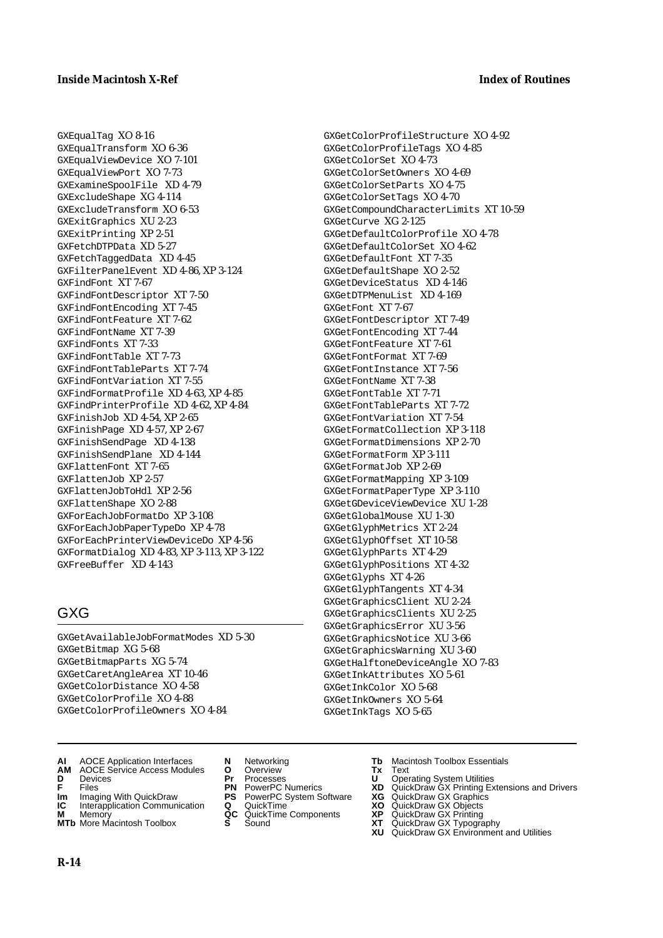GXEqualTag XO 8-16 GXEqualTransform XO 6-36 GXEqualViewDevice XO 7-101 GXEqualViewPort XO 7-73 GXExamineSpoolFile XD 4-79 GXExcludeShape XG 4-114 GXExcludeTransform XO 6-53 GXExitGraphics XU 2-23 GXExitPrinting XP 2-51 GXFetchDTPData XD 5-27 GXFetchTaggedData XD 4-45 GXFilterPanelEvent XD 4-86, XP 3-124 GXFindFont XT 7-67 GXFindFontDescriptor XT 7-50 GXFindFontEncoding XT 7-45 GXFindFontFeature XT 7-62 GXFindFontName XT 7-39 GXFindFonts XT 7-33 GXFindFontTable XT 7-73 GXFindFontTableParts XT 7-74 GXFindFontVariation XT 7-55 GXFindFormatProfile XD 4-63, XP 4-85 GXFindPrinterProfile XD 4-62, XP 4-84 GXFinishJob XD 4-54, XP 2-65 GXFinishPage XD 4-57, XP 2-67 GXFinishSendPage XD 4-138 GXFinishSendPlane XD 4-144 GXFlattenFont XT 7-65 GXFlattenJob XP 2-57 GXFlattenJobToHdl XP 2-56 GXFlattenShape XO 2-88 GXForEachJobFormatDo XP 3-108 GXForEachJobPaperTypeDo XP 4-78 GXForEachPrinterViewDeviceDo XP 4-56 GXFormatDialog XD 4-83, XP 3-113, XP 3-122 GXFreeBuffer XD 4-143

# GXG

GXGetAvailableJobFormatModes XD 5-30 GXGetBitmap XG 5-68 GXGetBitmapParts XG 5-74 GXGetCaretAngleArea XT 10-46 GXGetColorDistance XO 4-58 GXGetColorProfile XO 4-88 GXGetColorProfileOwners XO 4-84

GXGetColorProfileTags XO 4-85 GXGetColorSet XO 4-73 GXGetColorSetOwners XO 4-69 GXGetColorSetParts XO 4-75 GXGetColorSetTags XO 4-70 GXGetCompoundCharacterLimits XT 10-59 GXGetCurve XG 2-125 GXGetDefaultColorProfile XO 4-78 GXGetDefaultColorSet XO 4-62 GXGetDefaultFont XT 7-35 GXGetDefaultShape XO 2-52 GXGetDeviceStatus XD 4-146 GXGetDTPMenuList XD 4-169 GXGetFont XT 7-67 GXGetFontDescriptor XT 7-49 GXGetFontEncoding XT 7-44 GXGetFontFeature XT 7-61 GXGetFontFormat XT 7-69 GXGetFontInstance XT 7-56 GXGetFontName XT 7-38 GXGetFontTable XT 7-71 GXGetFontTableParts XT 7-72 GXGetFontVariation XT 7-54 GXGetFormatCollection XP 3-118 GXGetFormatDimensions XP 2-70 GXGetFormatForm XP 3-111 GXGetFormatJob XP 2-69 GXGetFormatMapping XP 3-109 GXGetFormatPaperType XP 3-110 GXGetGDeviceViewDevice XU 1-28 GXGetGlobalMouse XU 1-30 GXGetGlyphMetrics XT 2-24 GXGetGlyphOffset XT 10-58 GXGetGlyphParts XT 4-29 GXGetGlyphPositions XT 4-32 GXGetGlyphs XT 4-26 GXGetGlyphTangents XT 4-34 GXGetGraphicsClient XU 2-24 GXGetGraphicsClients XU 2-25 GXGetGraphicsError XU 3-56 GXGetGraphicsNotice XU 3-66 GXGetGraphicsWarning XU 3-60 GXGetHalftoneDeviceAngle XO 7-83 GXGetInkAttributes XO 5-61 GXGetInkColor XO 5-68 GXGetInkOwners XO 5-64 GXGetInkTags XO 5-65

GXGetColorProfileStructure XO 4-92

- **AI** AOCE Application Interfaces **N** Networking **Tb** Macintosh Toolbox Essentials
- **AM** AOCE Service Access Modules **O** Overview **Tx** Text
- 
- 
- **Im** Imaging With QuickDraw **PS** PowerPC System Software **XG IC** Interapplication Communication **Q** QuickTime **CO**
- **IC** Interapplication Communication **Q** QuickTime MOD **XO M** Memory **XP XP M** Memory **CONSISTENT CONSIDER**<br> **MITE** More Macintosh Toolbox **CONSISTENT S** Sound **CONSISTER**
- **MTb** More Macintosh Toolbox **S** Sound **XT** QuickDraw GX Typography
- 
- **D** Devices **Pr** Processes **U** Operating System Utilities
	-
	-
	-
	-
- 
- 
- **FILENCE ACCESS MODULES CONSUMING PROCESS CONSUMING THE SAME CONSUMING THE SAME CONSUMING PROCESSES**<br> **F** Files **PN** PowerPC Numerics **XD** QuickDraw GX Printing Extensions and Drivers<br> **Im** Imaging With QuickDraw **PS** Powe
	-
	-
	-
	-
	- **XU** QuickDraw GX Environment and Utilities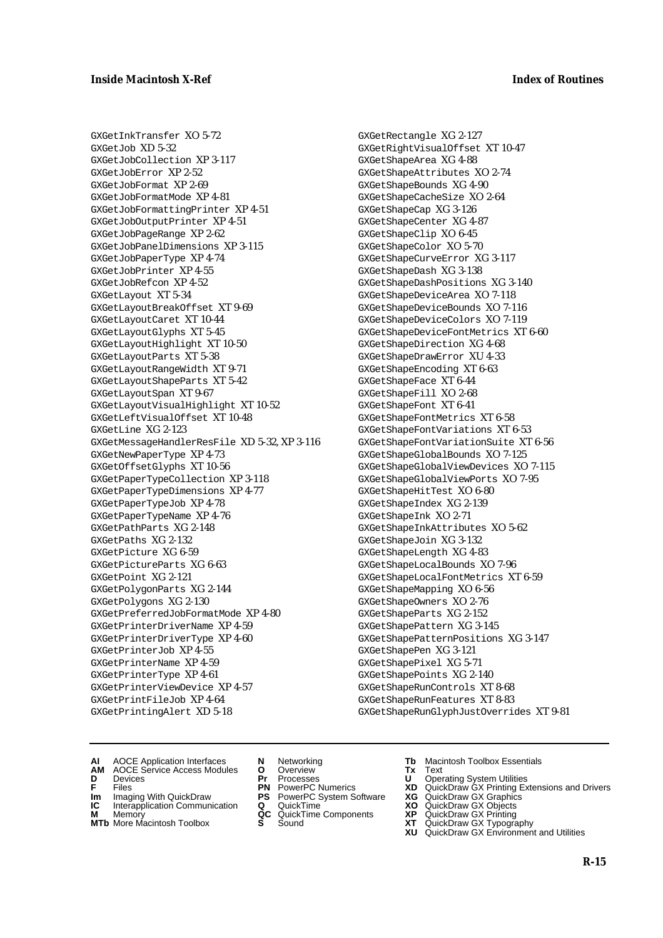GXGetInkTransfer XO 5-72 GXGetJob XD 5-32 GXGetJobCollection XP 3-117 GXGetJobError XP 2-52 GXGetJobFormat XP 2-69 GXGetJobFormatMode XP 4-81 GXGetJobFormattingPrinter XP 4-51 GXGetJobOutputPrinter XP 4-51 GXGetJobPageRange XP 2-62 GXGetJobPanelDimensions XP 3-115 GXGetJobPaperType XP 4-74 GXGetJobPrinter XP 4-55 GXGetJobRefcon XP 4-52 GXGetLayout XT 5-34 GXGetLayoutBreakOffset XT 9-69 GXGetLayoutCaret XT 10-44 GXGetLayoutGlyphs XT 5-45 GXGetLayoutHighlight XT 10-50 GXGetLayoutParts XT 5-38 GXGetLayoutRangeWidth XT 9-71 GXGetLayoutShapeParts XT 5-42 GXGetLayoutSpan XT 9-67 GXGetLayoutVisualHighlight XT 10-52 GXGetLeftVisualOffset XT 10-48 GXGetLine XG 2-123 GXGetMessageHandlerResFile XD 5-32, XP 3-116 GXGetNewPaperType XP 4-73 GXGetOffsetGlyphs XT 10-56 GXGetPaperTypeCollection XP 3-118 GXGetPaperTypeDimensions XP 4-77 GXGetPaperTypeJob XP 4-78 GXGetPaperTypeName XP 4-76 GXGetPathParts XG 2-148 GXGetPaths XG 2-132 GXGetPicture XG 6-59 GXGetPictureParts XG 6-63 GXGetPoint XG 2-121 GXGetPolygonParts XG 2-144 GXGetPolygons XG 2-130 GXGetPreferredJobFormatMode XP 4-80 GXGetPrinterDriverName XP 4-59 GXGetPrinterDriverType XP 4-60 GXGetPrinterJob XP 4-55 GXGetPrinterName XP 4-59 GXGetPrinterType XP 4-61 GXGetPrinterViewDevice XP 4-57 GXGetPrintFileJob XP 4-64 GXGetPrintingAlert XD 5-18

GXGetRectangle XG 2-127 GXGetRightVisualOffset XT 10-47 GXGetShapeArea XG 4-88 GXGetShapeAttributes XO 2-74 GXGetShapeBounds XG 4-90 GXGetShapeCacheSize XO 2-64 GXGetShapeCap XG 3-126 GXGetShapeCenter XG 4-87 GXGetShapeClip XO 6-45 GXGetShapeColor XO 5-70 GXGetShapeCurveError XG 3-117 GXGetShapeDash XG 3-138 GXGetShapeDashPositions XG 3-140 GXGetShapeDeviceArea XO 7-118 GXGetShapeDeviceBounds XO 7-116 GXGetShapeDeviceColors XO 7-119 GXGetShapeDeviceFontMetrics XT 6-60 GXGetShapeDirection XG 4-68 GXGetShapeDrawError XU 4-33 GXGetShapeEncoding XT 6-63 GXGetShapeFace XT 6-44 GXGetShapeFill XO 2-68 GXGetShapeFont XT 6-41 GXGetShapeFontMetrics XT 6-58 GXGetShapeFontVariations XT 6-53 GXGetShapeFontVariationSuite XT 6-56 GXGetShapeGlobalBounds XO 7-125 GXGetShapeGlobalViewDevices XO 7-115 GXGetShapeGlobalViewPorts XO 7-95 GXGetShapeHitTest XO 6-80 GXGetShapeIndex XG 2-139 GXGetShapeInk XO 2-71 GXGetShapeInkAttributes XO 5-62 GXGetShapeJoin XG 3-132 GXGetShapeLength XG 4-83 GXGetShapeLocalBounds XO 7-96 GXGetShapeLocalFontMetrics XT 6-59 GXGetShapeMapping XO 6-56 GXGetShapeOwners XO 2-76 GXGetShapeParts XG 2-152 GXGetShapePattern XG 3-145 GXGetShapePatternPositions XG 3-147 GXGetShapePen XG 3-121 GXGetShapePixel XG 5-71 GXGetShapePoints XG 2-140 GXGetShapeRunControls XT 8-68 GXGetShapeRunFeatures XT 8-83 GXGetShapeRunGlyphJustOverrides XT 9-81

- **AI** AOCE Application Interfaces **N** Networking **Tb** Macintosh Toolbox Essentials
- **AM** AOCE Service Access Modules **O** Overview **Tx** Text
- 
- 
- **Im** Files<br> **Im** Imaging With QuickDraw **PS** PowerPC System Software **XG**<br> **IC** Interapplication Communication **Q** QuickTime **XO IC** Interapplication Communication **Q** QuickTime **XO M** Memory **XP QC** QuickTime Components **XP**
- **M** Memory **Manufacture Communication**<br> **M** Memory **QC** QuickTime Components **XP**<br> **MTb** More Macintosh Toolbox **S** Sound **XT**
- **MTb** More Macintosh Toolbox **S** Sound **XT** QuickDraw GX Typography
- 
- **D** Devices **Pr** Processes **U** Operating System Utilities
	-
	-
	-
	-
- 
- 
- **F** Files **PN** PowerPC Numerics **XD** QuickDraw GX Printing Extensions and Drivers
	-
	-
	-
	-
	- **XU** QuickDraw GX Environment and Utilities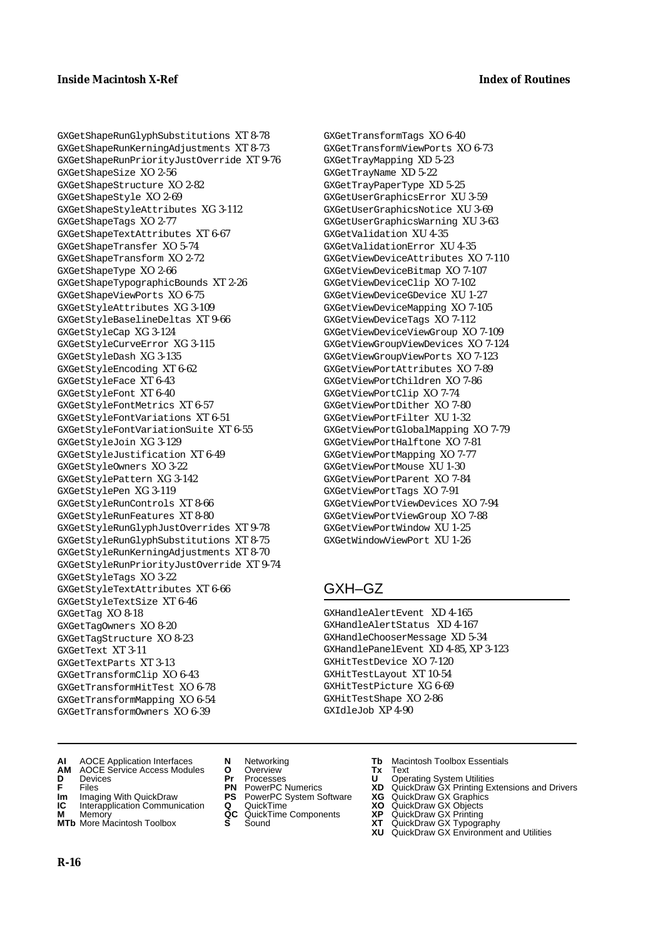GXGetShapeRunGlyphSubstitutions XT 8-78 GXGetShapeRunKerningAdjustments XT 8-73 GXGetShapeRunPriorityJustOverride XT 9-76 GXGetShapeSize XO 2-56 GXGetShapeStructure XO 2-82 GXGetShapeStyle XO 2-69 GXGetShapeStyleAttributes XG 3-112 GXGetShapeTags XO 2-77 GXGetShapeTextAttributes XT 6-67 GXGetShapeTransfer XO 5-74 GXGetShapeTransform XO 2-72 GXGetShapeType XO 2-66 GXGetShapeTypographicBounds XT 2-26 GXGetShapeViewPorts XO 6-75 GXGetStyleAttributes XG 3-109 GXGetStyleBaselineDeltas XT 9-66 GXGetStyleCap XG 3-124 GXGetStyleCurveError XG 3-115 GXGetStyleDash XG 3-135 GXGetStyleEncoding XT 6-62 GXGetStyleFace XT 6-43 GXGetStyleFont XT 6-40 GXGetStyleFontMetrics XT 6-57 GXGetStyleFontVariations XT 6-51 GXGetStyleFontVariationSuite XT 6-55 GXGetStyleJoin XG 3-129 GXGetStyleJustification XT 6-49 GXGetStyleOwners XO 3-22 GXGetStylePattern XG 3-142 GXGetStylePen XG 3-119 GXGetStyleRunControls XT 8-66 GXGetStyleRunFeatures XT 8-80 GXGetStyleRunGlyphJustOverrides XT 9-78 GXGetStyleRunGlyphSubstitutions XT 8-75 GXGetStyleRunKerningAdjustments XT 8-70 GXGetStyleRunPriorityJustOverride XT 9-74 GXGetStyleTags XO 3-22 GXGetStyleTextAttributes XT 6-66 GXGetStyleTextSize XT 6-46 GXGetTag XO 8-18 GXGetTagOwners XO 8-20 GXGetTagStructure XO 8-23 GXGetText XT 3-11 GXGetTextParts XT 3-13 GXGetTransformClip XO 6-43 GXGetTransformHitTest XO 6-78 GXGetTransformMapping XO 6-54 GXGetTransformOwners XO 6-39

GXGetTransformTags XO 6-40 GXGetTransformViewPorts XO 6-73 GXGetTrayMapping XD 5-23 GXGetTrayName XD 5-22 GXGetTrayPaperType XD 5-25 GXGetUserGraphicsError XU 3-59 GXGetUserGraphicsNotice XU 3-69 GXGetUserGraphicsWarning XU 3-63 GXGetValidation XU 4-35 GXGetValidationError XU 4-35 GXGetViewDeviceAttributes XO 7-110 GXGetViewDeviceBitmap XO 7-107 GXGetViewDeviceClip XO 7-102 GXGetViewDeviceGDevice XU 1-27 GXGetViewDeviceMapping XO 7-105 GXGetViewDeviceTags XO 7-112 GXGetViewDeviceViewGroup XO 7-109 GXGetViewGroupViewDevices XO 7-124 GXGetViewGroupViewPorts XO 7-123 GXGetViewPortAttributes XO 7-89 GXGetViewPortChildren XO 7-86 GXGetViewPortClip XO 7-74 GXGetViewPortDither XO 7-80 GXGetViewPortFilter XU 1-32 GXGetViewPortGlobalMapping XO 7-79 GXGetViewPortHalftone XO 7-81 GXGetViewPortMapping XO 7-77 GXGetViewPortMouse XU 1-30 GXGetViewPortParent XO 7-84 GXGetViewPortTags XO 7-91 GXGetViewPortViewDevices XO 7-94 GXGetViewPortViewGroup XO 7-88 GXGetViewPortWindow XU 1-25 GXGetWindowViewPort XU 1-26

# GXH–GZ

GXHandleAlertEvent XD 4-165 GXHandleAlertStatus XD 4-167 GXHandleChooserMessage XD 5-34 GXHandlePanelEvent XD 4-85, XP 3-123 GXHitTestDevice XO 7-120 GXHitTestLayout XT 10-54 GXHitTestPicture XG 6-69 GXHitTestShape XO 2-86 GXIdleJob XP 4-90

- **AI** AOCE Application Interfaces **N** Networking **Tb** Macintosh Toolbox Essentials
- **AM** AOCE Service Access Modules **O** Overview **Tx** Text
- 
- 
- **Im** Imaging With QuickDraw **PS** PowerPC System Software **XG IC** Interapplication Communication **Q** QuickTime **CO**
- **IC** Interapplication Communication **Q** QuickTime **XO M** Memory **XP C** QuickTime Components **XP M** Memory **CONSIST MANUS AND MEMORY AND MEMORY AND MEMORY AND MEMORY OF A VIDEO CONSIST MANUSCRIPS AND MEMORY GALLERY GALLERY CONSISTENT CONTINUES AND MEMORY GALLERY CONTINUES AND MEMORY CONTINUES AND MANUSCRIPS AND MEMOR**
- **MTb** More Macintosh Toolbox **S** Sound **XT** QuickDraw GX Typography
- 
- **D** Devices **Pr** Processes **U** Operating System Utilities
	-
	-
	-
	-
- 
- 
- **FILENCE CONSIGNATION**<br> **F** Files **PN** PowerPC Numerics **XD** QuickDraw GX Printing Extensions and Drivers<br> **F** Files **PN** PowerPC System Software **XG** QuickDraw GX Graphics<br> **Im** Imaging With QuickDraw **PS** PowerPC System
	-
	-
	-
	- **XU** QuickDraw GX Environment and Utilities

**R-16**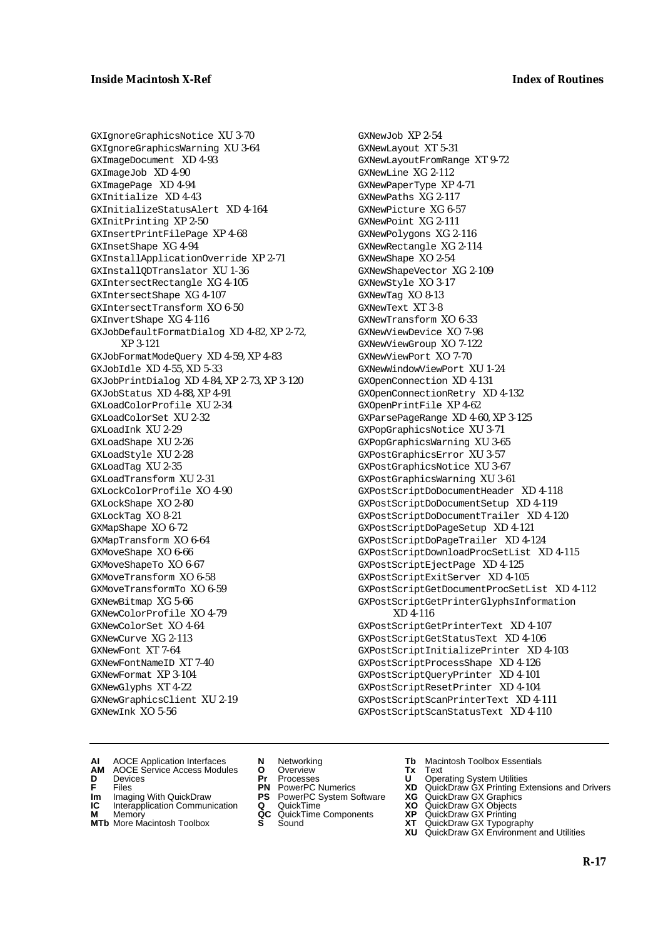GXIgnoreGraphicsNotice XU 3-70 GXIgnoreGraphicsWarning XU 3-64 GXImageDocument XD 4-93 GXImageJob XD 4-90 GXImagePage XD 4-94 GXInitialize XD 4-43 GXInitializeStatusAlert XD 4-164 GXInitPrinting XP 2-50 GXInsertPrintFilePage XP 4-68 GXInsetShape XG 4-94 GXInstallApplicationOverride XP 2-71 GXInstallQDTranslator XU 1-36 GXIntersectRectangle XG 4-105 GXIntersectShape XG 4-107 GXIntersectTransform XO 6-50 GXInvertShape XG 4-116 GXJobDefaultFormatDialog XD 4-82, XP 2-72, XP 3-121 GXJobFormatModeQuery XD 4-59, XP 4-83 GXJobIdle XD 4-55, XD 5-33 GXJobPrintDialog XD 4-84, XP 2-73, XP 3-120 GXJobStatus XD 4-88, XP 4-91 GXLoadColorProfile XU 2-34 GXLoadColorSet XU 2-32 GXLoadInk XU 2-29 GXLoadShape XU 2-26 GXLoadStyle XU 2-28 GXLoadTag XU 2-35 GXLoadTransform XU 2-31 GXLockColorProfile XO 4-90 GXLockShape XO 2-80 GXLockTag XO 8-21 GXMapShape XO 6-72 GXMapTransform XO 6-64 GXMoveShape XO 6-66 GXMoveShapeTo XO 6-67 GXMoveTransform XO 6-58 GXMoveTransformTo XO 6-59 GXNewBitmap XG 5-66 GXNewColorProfile XO 4-79 GXNewColorSet XO 4-64 GXNewCurve XG 2-113 GXNewFont XT 7-64 GXNewFontNameID XT 7-40 GXNewFormat XP 3-104 GXNewGlyphs XT 4-22 GXNewGraphicsClient XU 2-19 GXNewInk XO 5-56

GXNewJob XP 2-54 GXNewLayout XT 5-31 GXNewLayoutFromRange XT 9-72 GXNewLine XG 2-112 GXNewPaperType XP 4-71 GXNewPaths XG 2-117 GXNewPicture XG 6-57 GXNewPoint XG 2-111 GXNewPolygons XG 2-116 GXNewRectangle XG 2-114 GXNewShape XO 2-54 GXNewShapeVector XG 2-109 GXNewStyle XO 3-17 GXNewTag XO 8-13 GXNewText XT 3-8 GXNewTransform XO 6-33 GXNewViewDevice XO 7-98 GXNewViewGroup XO 7-122 GXNewViewPort XO 7-70 GXNewWindowViewPort XU 1-24 GXOpenConnection XD 4-131 GXOpenConnectionRetry XD 4-132 GXOpenPrintFile XP 4-62 GXParsePageRange XD 4-60, XP 3-125 GXPopGraphicsNotice XU 3-71 GXPopGraphicsWarning XU 3-65 GXPostGraphicsError XU 3-57 GXPostGraphicsNotice XU 3-67 GXPostGraphicsWarning XU 3-61 GXPostScriptDoDocumentHeader XD 4-118 GXPostScriptDoDocumentSetup XD 4-119 GXPostScriptDoDocumentTrailer XD 4-120 GXPostScriptDoPageSetup XD 4-121 GXPostScriptDoPageTrailer XD 4-124 GXPostScriptDownloadProcSetList XD 4-115 GXPostScriptEjectPage XD 4-125 GXPostScriptExitServer XD 4-105 GXPostScriptGetDocumentProcSetList XD 4-112 GXPostScriptGetPrinterGlyphsInformation XD 4-116 GXPostScriptGetPrinterText XD 4-107 GXPostScriptGetStatusText XD 4-106 GXPostScriptInitializePrinter XD 4-103 GXPostScriptProcessShape XD 4-126 GXPostScriptQueryPrinter XD 4-101 GXPostScriptResetPrinter XD 4-104 GXPostScriptScanPrinterText XD 4-111 GXPostScriptScanStatusText XD 4-110

- **AI** AOCE Application Interfaces **N** Networking **Tb** Macintosh Toolbox Essentials
- **AM** AOCE Service Access Modules **O** Overview **Tx** Text
- 
- **Im** Files<br> **Im** Imaging With QuickDraw **PS** PowerPC System Software **XG**<br> **IC** Interapplication Communication **Q** QuickTime **XO**
- **IC** Interapplication Communication **Q** QuickTime **XO M** Memory **XP QC** QuickTime Components **XP**
- **M** Memory **Manufacture Communication**<br> **M** Memory **QC** QuickTime Components **XP**<br> **MTb** More Macintosh Toolbox **S** Sound **XT**
- 
- **D** Devices **Pr** Processes **U** Operating System Utilities
	-
	-
	-
	-
- 
- 
- **F** Files **PN** PowerPC Numerics **XD** QuickDraw GX Printing Extensions and Drivers
	-
	-
	-
- **MTb** More Macintosh Toolbox **S** Sound **XT** QuickDraw GX Typography
	- **XU** QuickDraw GX Environment and Utilities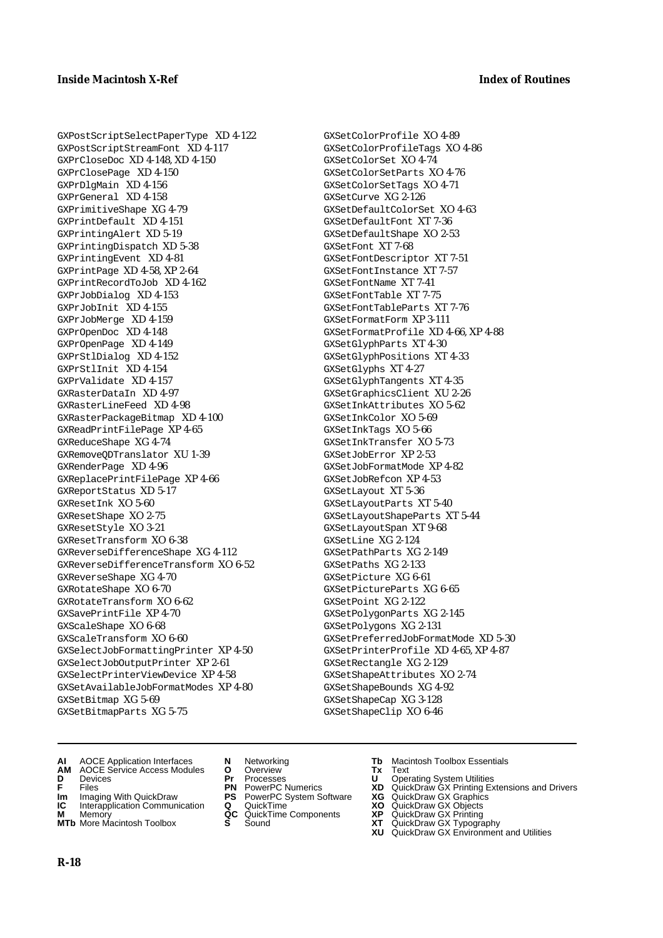GXPostScriptSelectPaperType XD 4-122 GXPostScriptStreamFont XD 4-117 GXPrCloseDoc XD 4-148, XD 4-150 GXPrClosePage XD 4-150 GXPrDlgMain XD 4-156 GXPrGeneral XD 4-158 GXPrimitiveShape XG 4-79 GXPrintDefault XD 4-151 GXPrintingAlert XD 5-19 GXPrintingDispatch XD 5-38 GXPrintingEvent XD 4-81 GXPrintPage XD 4-58, XP 2-64 GXPrintRecordToJob XD 4-162 GXPrJobDialog XD 4-153 GXPrJobInit XD 4-155 GXPrJobMerge XD 4-159 GXPrOpenDoc XD 4-148 GXPrOpenPage XD 4-149 GXPrStlDialog XD 4-152 GXPrStlInit XD 4-154 GXPrValidate XD 4-157 GXRasterDataIn XD 4-97 GXRasterLineFeed XD 4-98 GXRasterPackageBitmap XD 4-100 GXReadPrintFilePage XP 4-65 GXReduceShape XG 4-74 GXRemoveQDTranslator XU 1-39 GXRenderPage XD 4-96 GXReplacePrintFilePage XP 4-66 GXReportStatus XD 5-17 GXResetInk XO 5-60 GXResetShape XO 2-75 GXResetStyle XO 3-21 GXResetTransform XO 6-38 GXReverseDifferenceShape XG 4-112 GXReverseDifferenceTransform XO 6-52 GXReverseShape XG 4-70 GXRotateShape XO 6-70 GXRotateTransform XO 6-62 GXSavePrintFile XP 4-70 GXScaleShape XO 6-68 GXScaleTransform XO 6-60 GXSelectJobFormattingPrinter XP 4-50 GXSelectJobOutputPrinter XP 2-61 GXSelectPrinterViewDevice XP 4-58 GXSetAvailableJobFormatModes XP 4-80 GXSetBitmap XG 5-69 GXSetBitmapParts XG 5-75

GXSetColorProfile XO 4-89 GXSetColorProfileTags XO 4-86 GXSetColorSet XO 4-74 GXSetColorSetParts XO 4-76 GXSetColorSetTags XO 4-71 GXSetCurve XG 2-126 GXSetDefaultColorSet XO 4-63 GXSetDefaultFont XT 7-36 GXSetDefaultShape XO 2-53 GXSetFont XT 7-68 GXSetFontDescriptor XT 7-51 GXSetFontInstance XT 7-57 GXSetFontName XT 7-41 GXSetFontTable XT 7-75 GXSetFontTableParts XT 7-76 GXSetFormatForm XP 3-111 GXSetFormatProfile XD 4-66, XP 4-88 GXSetGlyphParts XT 4-30 GXSetGlyphPositions XT 4-33 GXSetGlyphs XT 4-27 GXSetGlyphTangents XT 4-35 GXSetGraphicsClient XU 2-26 GXSetInkAttributes XO 5-62 GXSetInkColor XO 5-69 GXSetInkTags XO 5-66 GXSetInkTransfer XO 5-73 GXSetJobError XP 2-53 GXSetJobFormatMode XP 4-82 GXSetJobRefcon XP 4-53 GXSetLayout XT 5-36 GXSetLayoutParts XT 5-40 GXSetLayoutShapeParts XT 5-44 GXSetLayoutSpan XT 9-68 GXSetLine XG 2-124 GXSetPathParts XG 2-149 GXSetPaths XG 2-133 GXSetPicture XG 6-61 GXSetPictureParts XG 6-65 GXSetPoint XG 2-122 GXSetPolygonParts XG 2-145 GXSetPolygons XG 2-131 GXSetPreferredJobFormatMode XD 5-30 GXSetPrinterProfile XD 4-65, XP 4-87 GXSetRectangle XG 2-129 GXSetShapeAttributes XO 2-74 GXSetShapeBounds XG 4-92 GXSetShapeCap XG 3-128 GXSetShapeClip XO 6-46

- **AI** AOCE Application Interfaces **N** Networking **Tb** Macintosh Toolbox Essentials
- **AM** AOCE Service Access Modules **O** Overview **Tx** Text
- 
- 
- **Im** Imaging With QuickDraw **PS** PowerPC System Software<br> **IC** Interapplication Communication **Q** QuickTime<br> **M** Memorv **GC** QuickTime Components
- **M** Memory **Markt Communication**<br> **M** Memory **QC** QuickTime Components<br> **MTb** More Macintosh Toolbox **S** Sound
- **MTb** More Macintosh Toolbox **S** Sound **XT** QuickDraw GX Typography
- 
- **D** Devices **Pr** Processes **U** Operating System Utilities
	-
	-
	-
	-
- 
- 
- **F** Files **PN** PowerPC Numerics **XD** QuickDraw GX Printing Extensions and Drivers
- **Im** Imaging With QuickDraw **PS** PowerPC System Software **XG** QuickDraw GX Graphics
	-
	-
	- **XU** QuickDraw GX Environment and Utilities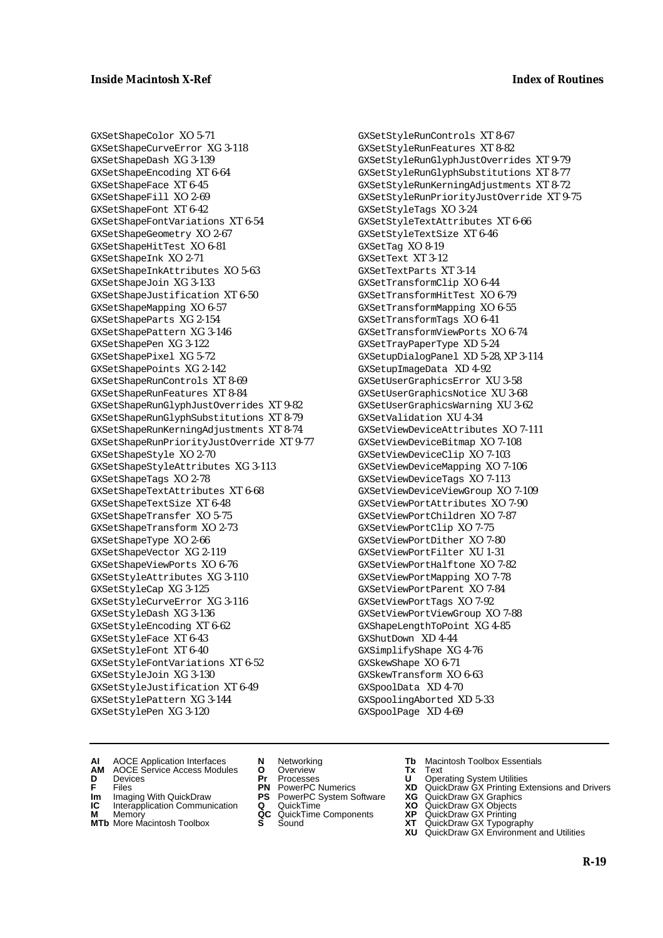GXSetShapeColor XO 5-71 GXSetShapeCurveError XG 3-118 GXSetShapeDash XG 3-139 GXSetShapeEncoding XT 6-64 GXSetShapeFace XT 6-45 GXSetShapeFill XO 2-69 GXSetShapeFont XT 6-42 GXSetShapeFontVariations XT 6-54 GXSetShapeGeometry XO 2-67 GXSetShapeHitTest XO 6-81 GXSetShapeInk XO 2-71 GXSetShapeInkAttributes XO 5-63 GXSetShapeJoin XG 3-133 GXSetShapeJustification XT 6-50 GXSetShapeMapping XO 6-57 GXSetShapeParts XG 2-154 GXSetShapePattern XG 3-146 GXSetShapePen XG 3-122 GXSetShapePixel XG 5-72 GXSetShapePoints XG 2-142 GXSetShapeRunControls XT 8-69 GXSetShapeRunFeatures XT 8-84 GXSetShapeRunGlyphJustOverrides XT 9-82 GXSetShapeRunGlyphSubstitutions XT 8-79 GXSetShapeRunKerningAdjustments XT 8-74 GXSetShapeRunPriorityJustOverride XT 9-77 GXSetShapeStyle XO 2-70 GXSetShapeStyleAttributes XG 3-113 GXSetShapeTags XO 2-78 GXSetShapeTextAttributes XT 6-68 GXSetShapeTextSize XT 6-48 GXSetShapeTransfer XO 5-75 GXSetShapeTransform XO 2-73 GXSetShapeType XO 2-66 GXSetShapeVector XG 2-119 GXSetShapeViewPorts XO 6-76 GXSetStyleAttributes XG 3-110 GXSetStyleCap XG 3-125 GXSetStyleCurveError XG 3-116 GXSetStyleDash XG 3-136 GXSetStyleEncoding XT 6-62 GXSetStyleFace XT 6-43 GXSetStyleFont XT 6-40 GXSetStyleFontVariations XT 6-52 GXSetStyleJoin XG 3-130 GXSetStyleJustification XT 6-49 GXSetStylePattern XG 3-144 GXSetStylePen XG 3-120

GXSetStyleRunControls XT 8-67 GXSetStyleRunFeatures XT 8-82 GXSetStyleRunGlyphJustOverrides XT 9-79 GXSetStyleRunGlyphSubstitutions XT 8-77 GXSetStyleRunKerningAdjustments XT 8-72 GXSetStyleRunPriorityJustOverride XT 9-75 GXSetStyleTags XO 3-24 GXSetStyleTextAttributes XT 6-66 GXSetStyleTextSize XT 6-46 GXSetTag XO 8-19 GXSetText XT 3-12 GXSetTextParts XT 3-14 GXSetTransformClip XO 6-44 GXSetTransformHitTest XO 6-79 GXSetTransformMapping XO 6-55 GXSetTransformTags XO 6-41 GXSetTransformViewPorts XO 6-74 GXSetTrayPaperType XD 5-24 GXSetupDialogPanel XD 5-28, XP 3-114 GXSetupImageData XD 4-92 GXSetUserGraphicsError XU 3-58 GXSetUserGraphicsNotice XU 3-68 GXSetUserGraphicsWarning XU 3-62 GXSetValidation XU 4-34 GXSetViewDeviceAttributes XO 7-111 GXSetViewDeviceBitmap XO 7-108 GXSetViewDeviceClip XO 7-103 GXSetViewDeviceMapping XO 7-106 GXSetViewDeviceTags XO 7-113 GXSetViewDeviceViewGroup XO 7-109 GXSetViewPortAttributes XO 7-90 GXSetViewPortChildren XO 7-87 GXSetViewPortClip XO 7-75 GXSetViewPortDither XO 7-80 GXSetViewPortFilter XU 1-31 GXSetViewPortHalftone XO 7-82 GXSetViewPortMapping XO 7-78 GXSetViewPortParent XO 7-84 GXSetViewPortTags XO 7-92 GXSetViewPortViewGroup XO 7-88 GXShapeLengthToPoint XG 4-85 GXShutDown XD 4-44 GXSimplifyShape XG 4-76 GXSkewShape XO 6-71 GXSkewTransform XO 6-63 GXSpoolData XD 4-70 GXSpoolingAborted XD 5-33 GXSpoolPage XD 4-69

- **AI** AOCE Application Interfaces **N** Networking **Tb** Macintosh Toolbox Essentials
- **AM** AOCE Service Access Modules **O** Overview **Tx** Text
- 
- 
- **Im** Files<br> **Im** Imaging With QuickDraw **PS** PowerPC System Software **XG**<br> **IC** Interapplication Communication **Q** QuickTime **XO IC** Interapplication Communication **Q** QuickTime **XO M** Memory **XP QC** QuickTime Components **XP**
- **M** Memory **Manufacture Communication**<br> **M** Memory **QC** QuickTime Components **XP**<br> **MTb** More Macintosh Toolbox **S** Sound **XT**
- 
- **D** Devices **Pr** Processes **U** Operating System Utilities
	-
	-
	-
	-
- 
- 
- **F** Files **PN** PowerPC Numerics **XD** QuickDraw GX Printing Extensions and Drivers
	-
	-
	-
- **MTb** More Macintosh Toolbox **S** Sound **XT** QuickDraw GX Typography **XU** QuickDraw GX Environment and Utilities
	- **R-19**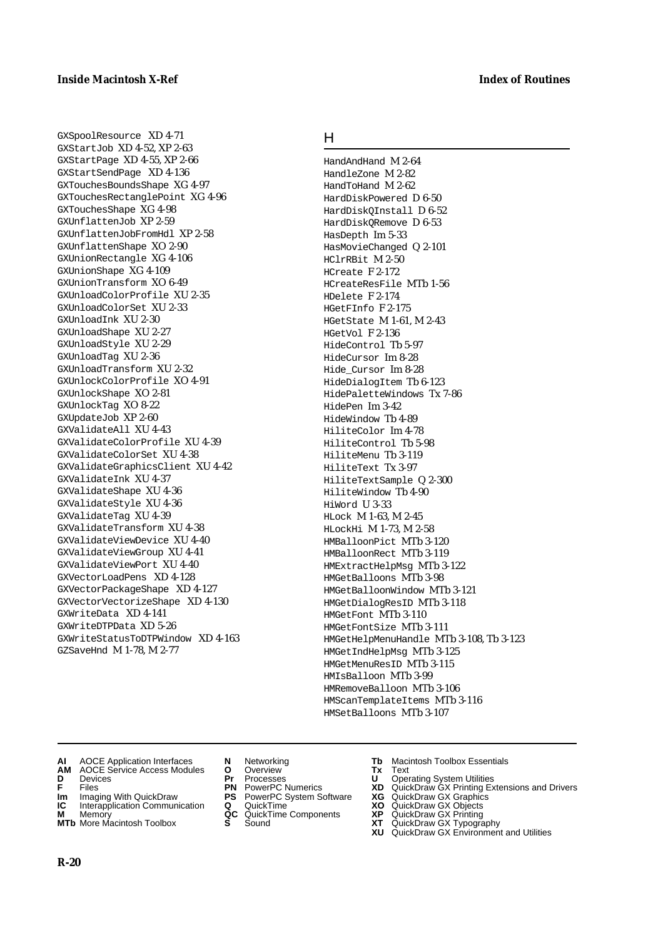GXSpoolResource XD 4-71 GXStartJob XD 4-52, XP 2-63 GXStartPage XD 4-55, XP 2-66 GXStartSendPage XD 4-136 GXTouchesBoundsShape XG 4-97 GXTouchesRectanglePoint XG 4-96 GXTouchesShape XG 4-98 GXUnflattenJob XP 2-59 GXUnflattenJobFromHdl XP 2-58 GXUnflattenShape XO 2-90 GXUnionRectangle XG 4-106 GXUnionShape XG 4-109 GXUnionTransform XO 6-49 GXUnloadColorProfile XU 2-35 GXUnloadColorSet XU 2-33 GXUnloadInk XU 2-30 GXUnloadShape XU 2-27 GXUnloadStyle XU 2-29 GXUnloadTag XU 2-36 GXUnloadTransform XU 2-32 GXUnlockColorProfile XO 4-91 GXUnlockShape XO 2-81 GXUnlockTag XO 8-22 GXUpdateJob XP 2-60 GXValidateAll XU 4-43 GXValidateColorProfile XU 4-39 GXValidateColorSet XU 4-38 GXValidateGraphicsClient XU 4-42 GXValidateInk XU 4-37 GXValidateShape XU 4-36 GXValidateStyle XU 4-36 GXValidateTag XU 4-39 GXValidateTransform XU 4-38 GXValidateViewDevice XU 4-40 GXValidateViewGroup XU 4-41 GXValidateViewPort XU 4-40 GXVectorLoadPens XD 4-128 GXVectorPackageShape XD 4-127 GXVectorVectorizeShape XD 4-130 GXWriteData XD 4-141 GXWriteDTPData XD 5-26 GXWriteStatusToDTPWindow XD 4-163 GZSaveHnd M 1-78, M 2-77

#### H

HandAndHand M 2-64 HandleZone M 2-82 HandToHand M 2-62 HardDiskPowered D 6-50 HardDiskQInstall D 6-52 HardDiskQRemove D 6-53 HasDepth Im 5-33 HasMovieChanged Q 2-101 HClrRBit M 2-50 HCreate F 2-172 HCreateResFile MTb 1-56 HDelete F 2-174 HGetFInfo F 2-175 HGetState M 1-61, M 2-43 HGetVol F 2-136 HideControl Tb 5-97 HideCursor Im 8-28 Hide\_Cursor Im 8-28 HideDialogItem Tb 6-123 HidePaletteWindows Tx 7-86 HidePen Im 3-42 HideWindow Tb 4-89 HiliteColor Im 4-78 HiliteControl Tb 5-98 HiliteMenu Tb 3-119 HiliteText Tx 3-97 HiliteTextSample Q 2-300 HiliteWindow Tb 4-90 HiWord U 3-33 HLock M 1-63, M 2-45 HLockHi M 1-73, M 2-58 HMBalloonPict MTb 3-120 HMBalloonRect MTb 3-119 HMExtractHelpMsg MTb 3-122 HMGetBalloons MTb 3-98 HMGetBalloonWindow MTb 3-121 HMGetDialogResID MTb 3-118 HMGetFont MTb 3-110 HMGetFontSize MTb 3-111 HMGetHelpMenuHandle MTb 3-108, Tb 3-123 HMGetIndHelpMsg MTb 3-125 HMGetMenuResID MTb 3-115 HMIsBalloon MTb 3-99 HMRemoveBalloon MTb 3-106 HMScanTemplateItems MTb 3-116 HMSetBalloons MTb 3-107

**AI** AOCE Application Interfaces **N** Networking **Tb** Macintosh Toolbox Essentials<br> **AM** AOCE Service Access Modules **O** Overview **Tx** Text<br> **D** Devices **Pr** Processes **U** Operating System Utilities

- **AOCE Service Access Modules <b>O** Overview **Tx** Text<br> **Devices Devices D** Oper
- 
- 
- **Im** Imaging With QuickDraw **PS** PowerPC System Software **XG** QuickDraw GX Graphics **Im** Imaging With QuickDraw **PS** PowerPC System Software<br> **IC** Interapplication Communication **Q** QuickTime<br> **M** Memorv **GC** QuickTime Components
- 
- **M** Memory **CONTACT COMPONENT MEMORY AND MEMORY MEMORY OF QUICKTIME Components <b>MTb** More Macintosh Toolbox **S** Sound **MTb** More Macintosh Toolbox **S** Sound **XT** QuickDraw GX Typography
- 
- **D** Devices **Pr** Processes **U** Operating System Utilities
	-
	-
	-
	-
- 
- 
- **F** Files **PN** PowerPC Numerics **XD** QuickDraw GX Printing Extensions and Drivers
	-
	-
	-
	-
	- **XU** QuickDraw GX Environment and Utilities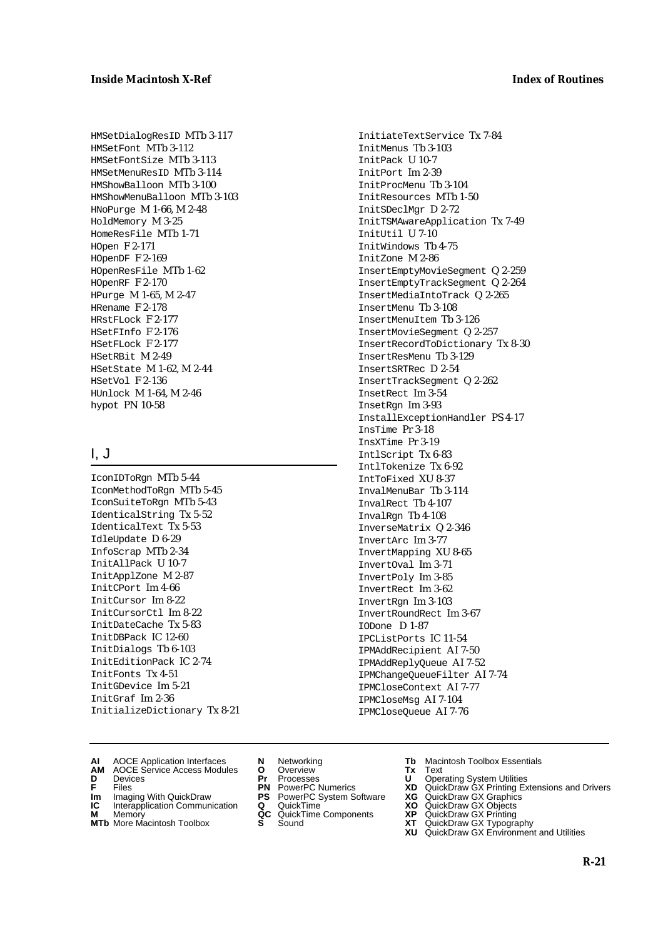HMSetDialogResID MTb 3-117 HMSetFont MTb 3-112 HMSetFontSize MTb 3-113 HMSetMenuResID MTb 3-114 HMShowBalloon MTb 3-100 HMShowMenuBalloon MTb 3-103 HNoPurge M 1-66, M 2-48 HoldMemory M 3-25 HomeResFile MTb 1-71 HOpen F 2-171 HOpenDF F 2-169 HOpenResFile MTb 1-62 HOpenRF F 2-170 HPurge M 1-65, M 2-47 HRename F 2-178 HRstFLock F 2-177 HSetFInfo F 2-176 HSetFLock F 2-177 HSetRBit M 2-49 HSetState M 1-62, M 2-44 HSetVol F 2-136 HUnlock M 1-64, M 2-46 hypot PN 10-58

# I, J

IconIDToRgn MTb 5-44 IconMethodToRgn MTb 5-45 IconSuiteToRgn MTb 5-43 IdenticalString Tx 5-52 IdenticalText Tx 5-53 IdleUpdate D 6-29 InfoScrap MTb 2-34 InitAllPack U 10-7 InitApplZone M 2-87 InitCPort Im 4-66 InitCursor Im 8-22 InitCursorCtl Im 8-22 InitDateCache Tx 5-83 InitDBPack IC 12-60 InitDialogs Tb 6-103 InitEditionPack IC 2-74 InitFonts Tx 4-51 InitGDevice Im 5-21 InitGraf Im 2-36 InitializeDictionary Tx 8-21 InitiateTextService Tx 7-84 InitMenus Tb 3-103 InitPack U 10-7 InitPort Im 2-39 InitProcMenu Tb 3-104 InitResources MTb 1-50 InitSDeclMgr D 2-72 InitTSMAwareApplication Tx 7-49 InitUtil U 7-10 InitWindows Tb 4-75 InitZone M 2-86 InsertEmptyMovieSegment Q 2-259 InsertEmptyTrackSegment Q 2-264 InsertMediaIntoTrack Q 2-265 InsertMenu Tb 3-108 InsertMenuItem Tb 3-126 InsertMovieSegment Q 2-257 InsertRecordToDictionary Tx 8-30 InsertResMenu Tb 3-129 InsertSRTRec D 2-54 InsertTrackSegment Q 2-262 InsetRect Im 3-54 InsetRgn Im 3-93 InstallExceptionHandler PS 4-17 InsTime Pr 3-18 InsXTime Pr 3-19 IntlScript Tx 6-83 IntlTokenize Tx 6-92 IntToFixed XU 8-37 InvalMenuBar Tb 3-114 InvalRect Tb 4-107 InvalRgn Tb 4-108 InverseMatrix Q 2-346 InvertArc Im 3-77 InvertMapping XU 8-65 InvertOval Im 3-71 InvertPoly Im 3-85 InvertRect Im 3-62 InvertRgn Im 3-103 InvertRoundRect Im 3-67 IODone D 1-87 IPCListPorts IC 11-54 IPMAddRecipient AI 7-50 IPMAddReplyQueue AI 7-52 IPMChangeQueueFilter AI 7-74 IPMCloseContext AI 7-77 IPMCloseMsg AI 7-104 IPMCloseQueue AI 7-76

- 
- **AI** AOCE Application Interfaces **N** Networking **Tb** Macintosh Toolbox Essentials
- **D** Devices **Pr** Processes **U** Operating System Utilities
- 
- **Im** Imaging With QuickDraw **PS** PowerPC System Software **XG IC** Interapplication Communication **Q** QuickTime **XO**
- **IC** Interapplication Communication **Q** QuickTime **XO M** Memory **XP QC** QuickTime Components **XP**
- **M** Memory **Manufacture Communication**<br> **M** Memory **QC** QuickTime Components **XP**<br> **MTb** More Macintosh Toolbox **S** Sound **XT MTb** More Macintosh Toolbox **S** Sound **XT** QuickDraw GX Typography
- **AM** AOCE Service Access Modules **O** Overview **Tx** Text
	-
	-
	-
	-
	-
- 
- 
- **F** Files **PN** PowerPC Numerics **XD** QuickDraw GX Printing Extensions and Drivers
	-
	-
	-
	- **XU** QuickDraw GX Environment and Utilities
		- **R-21**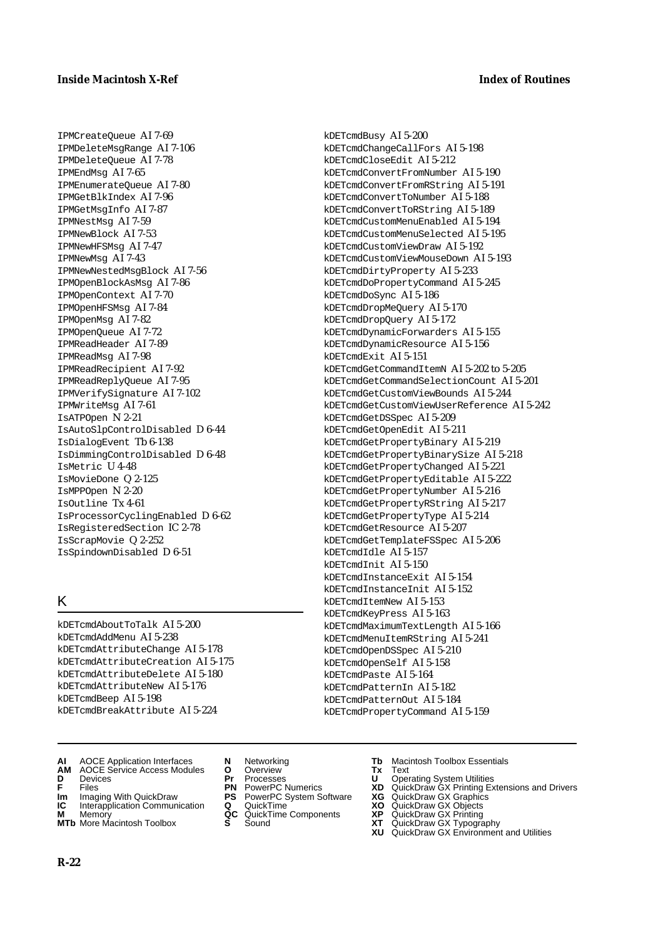IPMCreateQueue AI 7-69 IPMDeleteMsgRange AI 7-106 IPMDeleteQueue AI 7-78 IPMEndMsg AI 7-65 IPMEnumerateQueue AI 7-80 IPMGetBlkIndex AI 7-96 IPMGetMsgInfo AI 7-87 IPMNestMsg AI 7-59 IPMNewBlock AI 7-53 IPMNewHFSMsg AI 7-47 IPMNewMsg AI 7-43 IPMNewNestedMsgBlock AI 7-56 IPMOpenBlockAsMsg AI 7-86 IPMOpenContext AI 7-70 IPMOpenHFSMsg AI 7-84 IPMOpenMsg AI 7-82 IPMOpenQueue AI 7-72 IPMReadHeader AI 7-89 IPMReadMsg AI 7-98 IPMReadRecipient AI 7-92 IPMReadReplyQueue AI 7-95 IPMVerifySignature AI 7-102 IPMWriteMsg AI 7-61 IsATPOpen N 2-21 IsAutoSlpControlDisabled D 6-44 IsDialogEvent Tb 6-138 IsDimmingControlDisabled D 6-48 IsMetric U 4-48 IsMovieDone Q 2-125 IsMPPOpen N 2-20 IsOutline Tx 4-61 IsProcessorCyclingEnabled D 6-62 IsRegisteredSection IC 2-78 IsScrapMovie Q 2-252 IsSpindownDisabled D 6-51

# K

kDETcmdAboutToTalk AI 5-200 kDETcmdAddMenu AI 5-238 kDETcmdAttributeChange AI 5-178 kDETcmdAttributeCreation AI 5-175 kDETcmdAttributeDelete AI 5-180 kDETcmdAttributeNew AI 5-176 kDETcmdBeep AI 5-198 kDETcmdBreakAttribute AI 5-224

- **AI** AOCE Application Interfaces **N** Networking **Tb** Macintosh Toolbox Essentials
- **AM** AOCE Service Access Modules **O** Overview **Tx** Text
- 
- 
- **Im** Imaging With QuickDraw **PS** PowerPC System Software<br> **IC** Interapplication Communication **Q** QuickTime<br> **M** Memorv **GC** QuickTime Components
- **M** Memory **Markt Communication**<br> **M** Memory **QC** QuickTime Components<br> **MTb** More Macintosh Toolbox **S** Sound
- **MTb** More Macintosh Toolbox **S** Sound **XT** QuickDraw GX Typography
- 
- 
- 
- **Im** Imaging With QuickDraw **PS** PowerPC System Software **XG** QuickDraw GX Graphics
	-
	-
- 
- **D** Devices **Pr** Processes **U** Operating System Utilities

kDETcmdBusy AI 5-200

kDETcmdDoSync AI 5-186 kDETcmdDropMeQuery AI 5-170 kDETcmdDropQuery AI 5-172

kDETcmdExit AI 5-151

kDETcmdIdle AI 5-157 kDETcmdInit AI 5-150

kDETcmdInstanceExit AI 5-154 kDETcmdInstanceInit AI 5-152 kDETcmdItemNew AI 5-153 kDETcmdKeyPress AI 5-163

kDETcmdMaximumTextLength AI 5-166 kDETcmdMenuItemRString AI 5-241 kDETcmdOpenDSSpec AI 5-210 kDETcmdOpenSelf AI 5-158 kDETcmdPaste AI 5-164 kDETcmdPatternIn AI 5-182 kDETcmdPatternOut AI 5-184 kDETcmdPropertyCommand AI 5-159

kDETcmdGetDSSpec AI 5-209 kDETcmdGetOpenEdit AI 5-211 kDETcmdGetPropertyBinary AI 5-219 kDETcmdGetPropertyBinarySize AI 5-218 kDETcmdGetPropertyChanged AI 5-221 kDETcmdGetPropertyEditable AI 5-222 kDETcmdGetPropertyNumber AI 5-216 kDETcmdGetPropertyRString AI 5-217 kDETcmdGetPropertyType AI 5-214 kDETcmdGetResource AI 5-207 kDETcmdGetTemplateFSSpec AI 5-206

kDETcmdChangeCallFors AI 5-198 kDETcmdCloseEdit AI 5-212

kDETcmdConvertFromNumber AI 5-190 kDETcmdConvertFromRString AI 5-191 kDETcmdConvertToNumber AI 5-188 kDETcmdConvertToRString AI 5-189 kDETcmdCustomMenuEnabled AI 5-194 kDETcmdCustomMenuSelected AI 5-195 kDETcmdCustomViewDraw AI 5-192 kDETcmdCustomViewMouseDown AI 5-193 kDETcmdDirtyProperty AI 5-233 kDETcmdDoPropertyCommand AI 5-245

kDETcmdDynamicForwarders AI 5-155 kDETcmdDynamicResource AI 5-156

kDETcmdGetCommandItemN AI 5-202 to 5-205 kDETcmdGetCommandSelectionCount AI 5-201 kDETcmdGetCustomViewBounds AI 5-244

kDETcmdGetCustomViewUserReference AI 5-242

- **F** Files **PN** PowerPC Numerics **XD** QuickDraw GX Printing Extensions and Drivers
	-
	-
	-
	- **XU** QuickDraw GX Environment and Utilities

**R-22**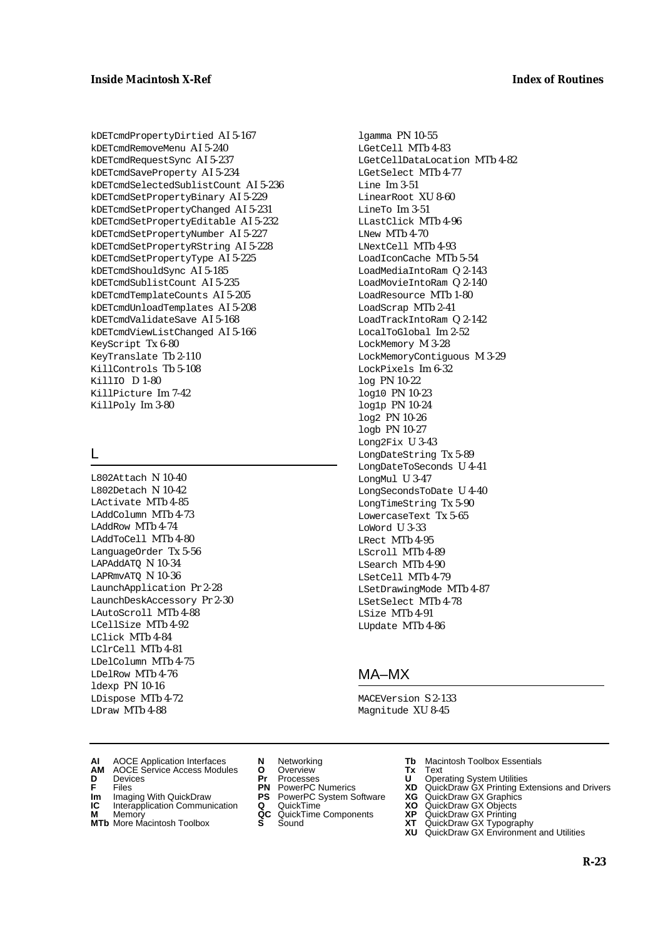kDETcmdPropertyDirtied AI 5-167 kDETcmdRemoveMenu AI 5-240 kDETcmdRequestSync AI 5-237 kDETcmdSaveProperty AI 5-234 kDETcmdSelectedSublistCount AI 5-236 kDETcmdSetPropertyBinary AI 5-229 kDETcmdSetPropertyChanged AI 5-231 kDETcmdSetPropertyEditable AI 5-232 kDETcmdSetPropertyNumber AI 5-227 kDETcmdSetPropertyRString AI 5-228 kDETcmdSetPropertyType AI 5-225 kDETcmdShouldSync AI 5-185 kDETcmdSublistCount AI 5-235 kDETcmdTemplateCounts AI 5-205 kDETcmdUnloadTemplates AI 5-208 kDETcmdValidateSave AI 5-168 kDETcmdViewListChanged AI 5-166 KeyScript Tx 6-80 KeyTranslate Tb 2-110 KillControls Tb 5-108 KillIO D 1-80 KillPicture Im 7-42 KillPoly Im 3-80

### $\mathbf{L}$

L802Attach N 10-40 L802Detach N 10-42 LActivate MTb 4-85 LAddColumn MTb 4-73 LAddRow MTb 4-74 LAddToCell MTb 4-80 LanguageOrder Tx 5-56 LAPAddATQ N 10-34 LAPRmvATQ N 10-36 LaunchApplication Pr 2-28 LaunchDeskAccessory Pr 2-30 LAutoScroll MTb 4-88 LCellSize MTb 4-92 LClick MTb 4-84 LClrCell MTb 4-81 LDelColumn MTb 4-75 LDelRow MTb 4-76 ldexp PN 10-16 LDispose MTb 4-72 LDraw MTb 4-88

lgamma PN 10-55 LGetCell MTb 4-83 LGetCellDataLocation MTb 4-82 LGetSelect MTb 4-77 Line Im 3-51 LinearRoot XU 8-60 LineTo Im 3-51 LLastClick MTb 4-96 LNew MTb 4-70 LNextCell MTb 4-93 LoadIconCache MTb 5-54 LoadMediaIntoRam Q 2-143 LoadMovieIntoRam Q 2-140 LoadResource MTb 1-80 LoadScrap MTb 2-41 LoadTrackIntoRam Q 2-142 LocalToGlobal Im 2-52 LockMemory M 3-28 LockMemoryContiguous M 3-29 LockPixels Im 6-32 log PN 10-22 log10 PN 10-23 log1p PN 10-24 log2 PN 10-26 logb PN 10-27 Long2Fix U 3-43 LongDateString Tx 5-89 LongDateToSeconds U 4-41 LongMul U 3-47 LongSecondsToDate U 4-40 LongTimeString Tx 5-90 LowercaseText Tx 5-65 LoWord U 3-33 LRect MTb 4-95 LScroll MTb 4-89 LSearch MTb 4-90 LSetCell MTb 4-79 LSetDrawingMode MTb 4-87 LSetSelect MTb 4-78 LSize MTb 4-91 LUpdate MTb 4-86

#### MA–MX

MACEVersion S 2-133 Magnitude XU 8-45

- **AI** AOCE Application Interfaces **N** Networking **Tb** Macintosh Toolbox Essentials
- **AM** AOCE Service Access Modules **O** Overview **Tx** Text
- 
- **Im** Files<br> **Im** Imaging With QuickDraw **PS** PowerPC System Software **XG**<br> **IC** Interapplication Communication **Q** QuickTime **XO**
- **IC** Interapplication Communication **Q** QuickTime **XO M** Memory **XP QC** QuickTime Components **XP**
- **M** Memory **Manufacture Communication**<br> **M** Memory **QC** QuickTime Components **XP**<br> **MTb** More Macintosh Toolbox **S** Sound **XT**
- 
- **MTb** More Macintosh Toolbox **S** Sound **XT** QuickDraw GX Typography
- 
- **D** Devices **Pr** Processes **U** Operating System Utilities
	-
	-
	-
	-
- 
- 
- **F** Files **PN** PowerPC Numerics **XD** QuickDraw GX Printing Extensions and Drivers
	-
	-
	-
	-
	- **XU** QuickDraw GX Environment and Utilities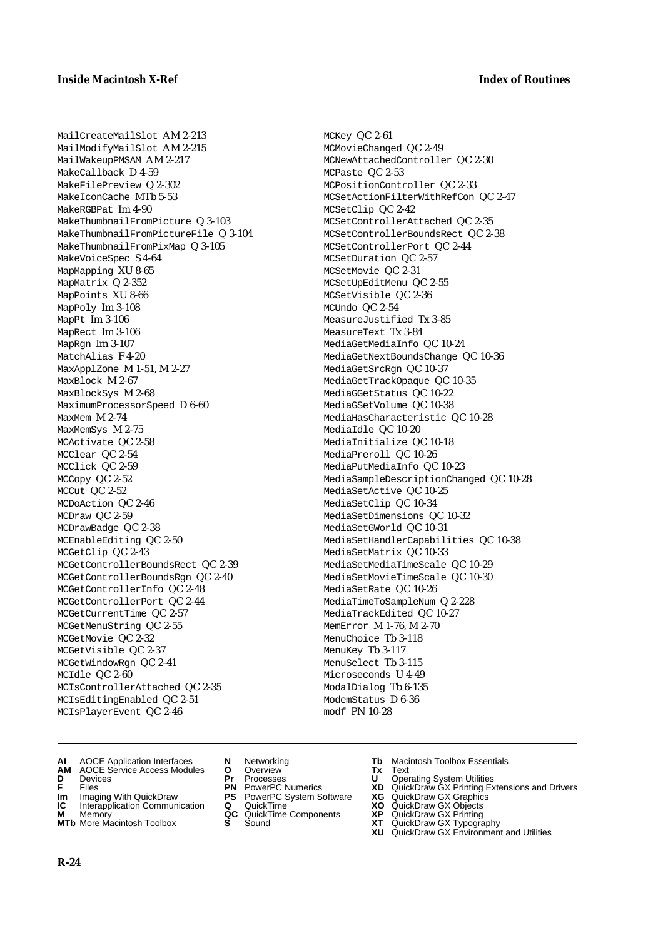MailCreateMailSlot AM 2-213 MailModifyMailSlot AM 2-215 MailWakeupPMSAM AM 2-217 MakeCallback D 4-59 MakeFilePreview Q 2-302 MakeIconCache MTb 5-53 MakeRGBPat Im 4-90 MakeThumbnailFromPicture Q 3-103 MakeThumbnailFromPictureFile Q 3-104 MakeThumbnailFromPixMap Q 3-105 MakeVoiceSpec S 4-64 MapMapping XU 8-65 MapMatrix Q 2-352 MapPoints XU 8-66 MapPoly Im 3-108 MapPt Im 3-106 MapRect Im 3-106 MapRgn Im 3-107 MatchAlias F 4-20 MaxApplZone M 1-51, M 2-27 MaxBlock M 2-67 MaxBlockSys M 2-68 MaximumProcessorSpeed D 6-60 MaxMem M 2-74 MaxMemSys M 2-75 MCActivate QC 2-58 MCClear QC 2-54 MCClick QC 2-59 MCCopy QC 2-52 MCCut QC 2-52 MCDoAction QC 2-46 MCDraw QC 2-59 MCDrawBadge QC 2-38 MCEnableEditing QC 2-50 MCGetClip QC 2-43 MCGetControllerBoundsRect QC 2-39 MCGetControllerBoundsRgn QC 2-40 MCGetControllerInfo QC 2-48 MCGetControllerPort QC 2-44 MCGetCurrentTime QC 2-57 MCGetMenuString QC 2-55 MCGetMovie QC 2-32 MCGetVisible QC 2-37 MCGetWindowRgn QC 2-41 MCIdle QC 2-60 MCIsControllerAttached QC 2-35 MCIsEditingEnabled QC 2-51 MCIsPlayerEvent QC 2-46

MCKey QC 2-61 MCMovieChanged QC 2-49 MCNewAttachedController QC 2-30 MCPaste QC 2-53 MCPositionController QC 2-33 MCSetActionFilterWithRefCon QC 2-47 MCSetClip QC 2-42 MCSetControllerAttached QC 2-35 MCSetControllerBoundsRect QC 2-38 MCSetControllerPort QC 2-44 MCSetDuration QC 2-57 MCSetMovie QC 2-31 MCSetUpEditMenu QC 2-55 MCSetVisible QC 2-36 MCUndo QC 2-54 MeasureJustified Tx 3-85 MeasureText Tx 3-84 MediaGetMediaInfo QC 10-24 MediaGetNextBoundsChange QC 10-36 MediaGetSrcRgn QC 10-37 MediaGetTrackOpaque QC 10-35 MediaGGetStatus QC 10-22 MediaGSetVolume QC 10-38 MediaHasCharacteristic QC 10-28 MediaIdle QC 10-20 MediaInitialize QC 10-18 MediaPreroll QC 10-26 MediaPutMediaInfo QC 10-23 MediaSampleDescriptionChanged QC 10-28 MediaSetActive QC 10-25 MediaSetClip QC 10-34 MediaSetDimensions QC 10-32 MediaSetGWorld QC 10-31 MediaSetHandlerCapabilities QC 10-38 MediaSetMatrix QC 10-33 MediaSetMediaTimeScale QC 10-29 MediaSetMovieTimeScale QC 10-30 MediaSetRate QC 10-26 MediaTimeToSampleNum Q 2-228 MediaTrackEdited QC 10-27 MemError M 1-76, M 2-70 MenuChoice Tb 3-118 MenuKey Tb 3-117 MenuSelect Tb 3-115 Microseconds U 4-49 ModalDialog Tb 6-135 ModemStatus D 6-36 modf PN 10-28

- **AI** AOCE Application Interfaces **N** Networking **Tb** Macintosh Toolbox Essentials<br> **AM** AOCE Service Access Modules **O** Overview **Tx** Text<br> **D** Devices **Pr** Processes **U** Operating System Utilities
- **AM** AOCE Service Access Modules **O** Overview **Tx** Text
- 
- 
- **Im** Imaging With QuickDraw **PS** PowerPC System Software<br> **IC** Interapplication Communication **Q** QuickTime<br> **M** Memory **GC** QuickTime Components
- 
- **M** Memory **COMPONENTS COMPONENTS COMPONENTS NEWSLA**<br> **M** More Macintosh Toolbox **S** Sound **MTb** More Macintosh Toolbox **S** Sound **XT** QuickDraw GX Typography
- 
- **D** Devices **Pr** Processes **U** Operating System Utilities
	-
- **Im** Imaging With QuickDraw **PS** PowerPC System Software **XG** QuickDraw GX Graphics
	-
	-
- 
- 
- **F** Files **PN** PowerPC Numerics **XD** QuickDraw GX Printing Extensions and Drivers
	-
	-
	-
	-
	- **XU** QuickDraw GX Environment and Utilities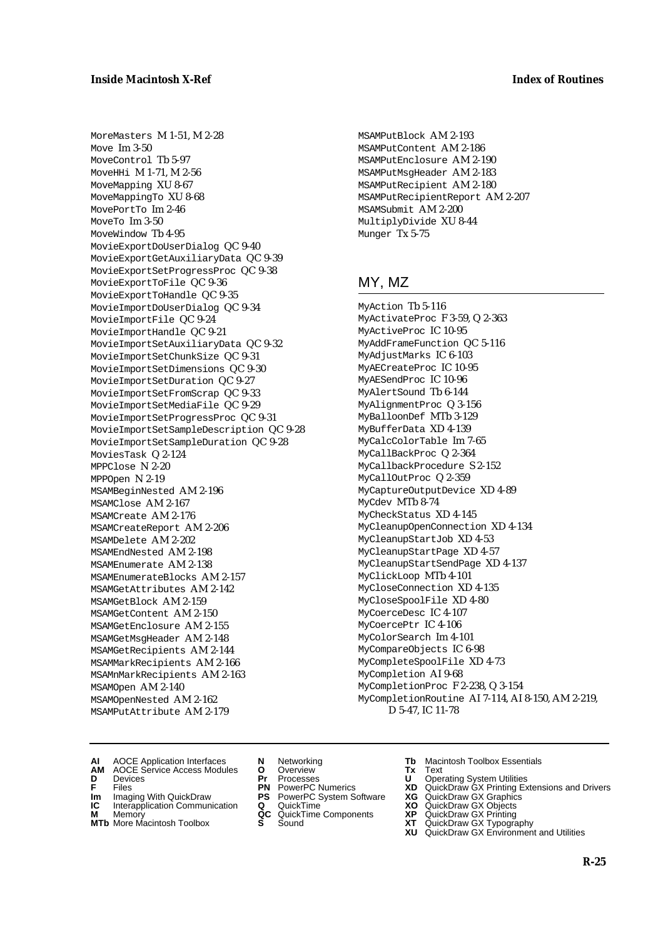MoreMasters M 1-51, M 2-28 Move  $Im 3-50$ MoveControl Tb 5-97 MoveHHi M 1-71, M 2-56 MoveMapping XU 8-67 MoveMappingTo XU 8-68 MovePortTo Im 2-46 MoveTo Im 3-50 MoveWindow Tb 4-95 MovieExportDoUserDialog QC 9-40 MovieExportGetAuxiliaryData QC 9-39 MovieExportSetProgressProc QC 9-38 MovieExportToFile QC 9-36 MovieExportToHandle QC 9-35 MovieImportDoUserDialog QC 9-34 MovieImportFile QC 9-24 MovieImportHandle QC 9-21 MovieImportSetAuxiliaryData QC 9-32 MovieImportSetChunkSize QC 9-31 MovieImportSetDimensions QC 9-30 MovieImportSetDuration QC 9-27 MovieImportSetFromScrap QC 9-33 MovieImportSetMediaFile QC 9-29 MovieImportSetProgressProc QC 9-31 MovieImportSetSampleDescription QC 9-28 MovieImportSetSampleDuration QC 9-28 MoviesTask Q 2-124 MPPClose N 2-20 MPPOpen N 2-19 MSAMBeginNested AM 2-196 MSAMClose AM 2-167 MSAMCreate AM 2-176 MSAMCreateReport AM 2-206 MSAMDelete AM 2-202 MSAMEndNested AM 2-198 MSAMEnumerate AM 2-138 MSAMEnumerateBlocks AM 2-157 MSAMGetAttributes AM 2-142 MSAMGetBlock AM 2-159 MSAMGetContent AM 2-150 MSAMGetEnclosure AM 2-155 MSAMGetMsgHeader AM 2-148 MSAMGetRecipients AM 2-144 MSAMMarkRecipients AM 2-166 MSAMnMarkRecipients AM 2-163 MSAMOpen AM 2-140 MSAMOpenNested AM 2-162 MSAMPutAttribute AM 2-179

MSAMPutBlock AM 2-193 MSAMPutContent AM 2-186 MSAMPutEnclosure AM 2-190 MSAMPutMsgHeader AM 2-183 MSAMPutRecipient AM 2-180 MSAMPutRecipientReport AM 2-207 MSAMSubmit AM 2-200 MultiplyDivide XU 8-44 Munger Tx 5-75

# MY, MZ

MyAction Tb 5-116 MyActivateProc F 3-59, Q 2-363 MyActiveProc IC 10-95 MyAddFrameFunction QC 5-116 MyAdjustMarks IC 6-103 MyAECreateProc IC 10-95 MyAESendProc IC 10-96 MyAlertSound Tb 6-144 MyAlignmentProc Q 3-156 MyBalloonDef MTb 3-129 MyBufferData XD 4-139 MyCalcColorTable Im 7-65 MyCallBackProc Q 2-364 MyCallbackProcedure S 2-152 MyCallOutProc Q 2-359 MyCaptureOutputDevice XD 4-89 MyCdev MTb 8-74 MyCheckStatus XD 4-145 MyCleanupOpenConnection XD 4-134 MyCleanupStartJob XD 4-53 MyCleanupStartPage XD 4-57 MyCleanupStartSendPage XD 4-137 MyClickLoop MTb 4-101 MyCloseConnection XD 4-135 MyCloseSpoolFile XD 4-80 MyCoerceDesc IC 4-107 MyCoercePtr IC 4-106 MyColorSearch Im 4-101 MyCompareObjects IC 6-98 MyCompleteSpoolFile XD 4-73 MyCompletion AI 9-68 MyCompletionProc F 2-238, Q 3-154 MyCompletionRoutine AI 7-114, AI 8-150, AM 2-219, D 5-47, IC 11-78

- **AI** AOCE Application Interfaces **N** Networking **Tb** Macintosh Toolbox Essentials
- **AM** AOCE Service Access Modules **O** Overview **Tx** Text
- 
- **Im** Files<br> **Im** Imaging With QuickDraw **PS** PowerPC System Software **XG**<br> **IC** Interapplication Communication **Q** QuickTime **XO**
- **IC** Interapplication Communication **Q** QuickTime **XO M** Memory **XP QC** QuickTime Components **XP**
- **M** Memory **Manufacture Communication**<br> **M** Memory **QC** QuickTime Components **XP**<br> **MTb** More Macintosh Toolbox **S** Sound **XT**
- 
- **D** Devices **Pr** Processes **U** Operating System Utilities
	-
	-
	-
	-
- 
- 
- **F** Files **PN** PowerPC Numerics **XD** QuickDraw GX Printing Extensions and Drivers
	-
	-
	-
- **MTb** More Macintosh Toolbox **S** Sound **XT** QuickDraw GX Typography **XU** QuickDraw GX Environment and Utilities
	-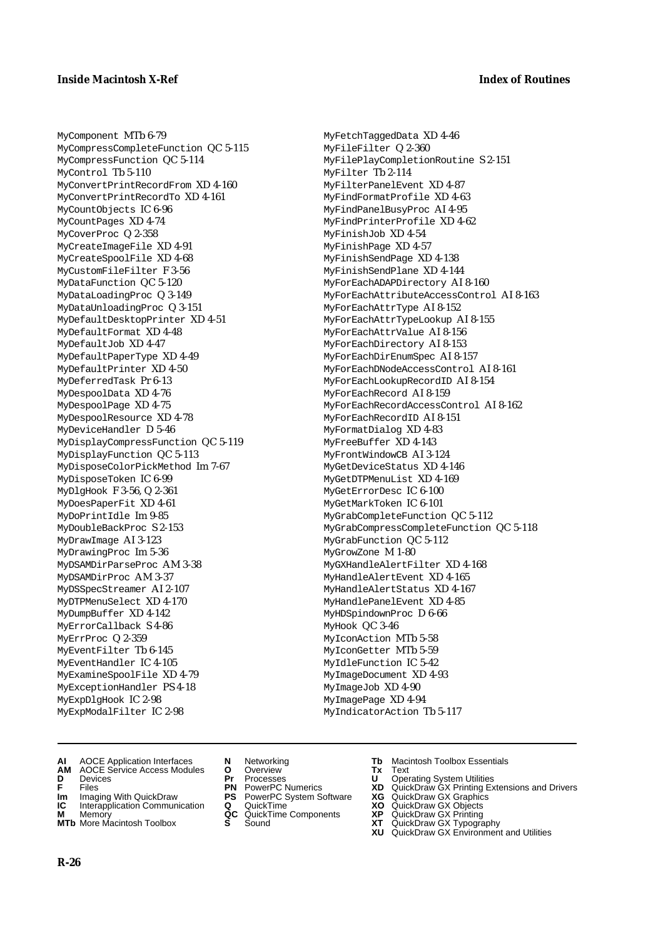MyComponent MTb 6-79 MyCompressCompleteFunction QC 5-115 MyCompressFunction QC 5-114 MyControl Tb 5-110 MyConvertPrintRecordFrom XD 4-160 MyConvertPrintRecordTo XD 4-161 MyCountObjects IC 6-96 MyCountPages XD 4-74 MyCoverProc Q 2-358 MyCreateImageFile XD 4-91 MyCreateSpoolFile XD 4-68 MyCustomFileFilter F 3-56 MyDataFunction QC 5-120 MyDataLoadingProc Q 3-149 MyDataUnloadingProc Q 3-151 MyDefaultDesktopPrinter XD 4-51 MyDefaultFormat XD 4-48 MyDefaultJob XD 4-47 MyDefaultPaperType XD 4-49 MyDefaultPrinter XD 4-50 MyDeferredTask Pr 6-13 MyDespoolData XD 4-76 MyDespoolPage XD 4-75 MyDespoolResource XD 4-78 MyDeviceHandler D 5-46 MyDisplayCompressFunction QC 5-119 MyDisplayFunction QC 5-113 MyDisposeColorPickMethod Im 7-67 MyDisposeToken IC 6-99 MyDlgHook F 3-56, Q 2-361 MyDoesPaperFit XD 4-61 MyDoPrintIdle Im 9-85 MyDoubleBackProc S 2-153 MyDrawImage AI 3-123 MyDrawingProc Im 5-36 MyDSAMDirParseProc AM 3-38 MyDSAMDirProc AM 3-37 MyDSSpecStreamer AI 2-107 MyDTPMenuSelect XD 4-170 MyDumpBuffer XD 4-142 MyErrorCallback S 4-86 MyErrProc Q 2-359 MyEventFilter Tb 6-145 MyEventHandler IC 4-105 MyExamineSpoolFile XD 4-79 MyExceptionHandler PS 4-18 MyExpDlgHook IC 2-98 MyExpModalFilter IC 2-98

MyFetchTaggedData XD 4-46 MyFileFilter Q 2-360 MyFilePlayCompletionRoutine S 2-151 MyFilter Tb 2-114 MyFilterPanelEvent XD 4-87 MyFindFormatProfile XD 4-63 MyFindPanelBusyProc AI 4-95 MyFindPrinterProfile XD 4-62 MyFinishJob XD 4-54 MyFinishPage XD 4-57 MyFinishSendPage XD 4-138 MyFinishSendPlane XD 4-144 MyForEachADAPDirectory AI 8-160 MyForEachAttributeAccessControl AI 8-163 MyForEachAttrType AI 8-152 MyForEachAttrTypeLookup AI 8-155 MyForEachAttrValue AI 8-156 MyForEachDirectory AI 8-153 MyForEachDirEnumSpec AI 8-157 MyForEachDNodeAccessControl AI 8-161 MyForEachLookupRecordID AI 8-154 MyForEachRecord AI 8-159 MyForEachRecordAccessControl AI 8-162 MyForEachRecordID AI 8-151 MyFormatDialog XD 4-83 MyFreeBuffer XD 4-143 MyFrontWindowCB AI 3-124 MyGetDeviceStatus XD 4-146 MyGetDTPMenuList XD 4-169 MyGetErrorDesc IC 6-100 MyGetMarkToken IC 6-101 MyGrabCompleteFunction QC 5-112 MyGrabCompressCompleteFunction QC 5-118 MyGrabFunction QC 5-112 MyGrowZone M 1-80 MyGXHandleAlertFilter XD 4-168 MyHandleAlertEvent XD 4-165 MyHandleAlertStatus XD 4-167 MyHandlePanelEvent XD 4-85 MyHDSpindownProc D 6-66 MyHook QC 3-46 MyIconAction MTb 5-58 MyIconGetter MTb 5-59 MyIdleFunction IC 5-42 MyImageDocument XD 4-93 MyImageJob XD 4-90 MyImagePage XD 4-94 MyIndicatorAction Tb 5-117

- **AI** AOCE Application Interfaces **N** Networking **Tb** Macintosh Toolbox Essentials
- **AM** AOCE Service Access Modules **O** Overview **Tx** Text
- 
- 
- **Im** Imaging With QuickDraw **PS** PowerPC System Software<br> **IC** Interapplication Communication **Q** QuickTime<br> **M** Memory **GC** QuickTime Components
- 
- **M** Memory **COMPONENTS COMPONENTS COMPONENTS NEWSLA**<br> **M** More Macintosh Toolbox **S** Sound **MTb** More Macintosh Toolbox **S** Sound **XT** QuickDraw GX Typography
- 
- **D** Devices **Pr** Processes **U** Operating System Utilities
	-
- **Im** Imaging With QuickDraw **PS** PowerPC System Software **XG** QuickDraw GX Graphics
	-
	-
- 
- 
- **F** Files **PN** PowerPC Numerics **XD** QuickDraw GX Printing Extensions and Drivers
	-
	-
	-
	-
	- **XU** QuickDraw GX Environment and Utilities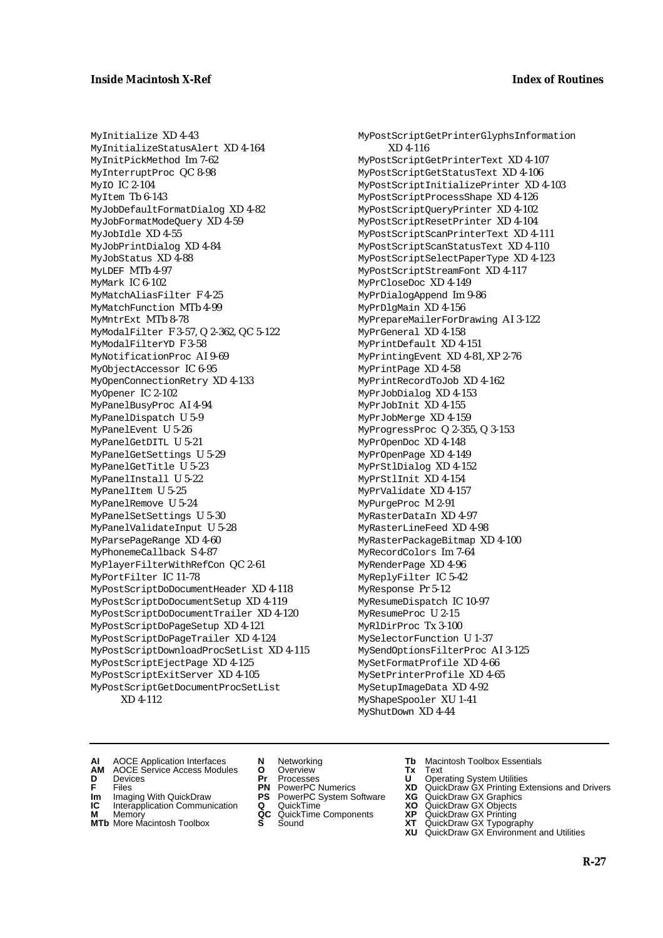MyInitialize XD 4-43 MyInitializeStatusAlert XD 4-164 MyInitPickMethod Im 7-62 MyInterruptProc QC 8-98 MyIO IC 2-104 MyItem Tb 6-143 MyJobDefaultFormatDialog XD 4-82 MyJobFormatModeQuery XD 4-59 MyJobIdle XD 4-55 MyJobPrintDialog XD 4-84 MyJobStatus XD 4-88 MyLDEF MTb 4-97 MyMark IC 6-102 MyMatchAliasFilter F 4-25 MyMatchFunction MTb 4-99 MyMntrExt MTb 8-78 MyModalFilter F 3-57, Q 2-362, QC 5-122 MyModalFilterYD F 3-58 MyNotificationProc AI 9-69 MyObjectAccessor IC 6-95 MyOpenConnectionRetry XD 4-133 MyOpener IC 2-102 MyPanelBusyProc AI 4-94 MyPanelDispatch U 5-9 MyPanelEvent U 5-26 MyPanelGetDITL U 5-21 MyPanelGetSettings U 5-29 MyPanelGetTitle U 5-23 MyPanelInstall U 5-22 MyPanelItem U 5-25 MyPanelRemove U 5-24 MyPanelSetSettings U 5-30 MyPanelValidateInput U 5-28 MyParsePageRange XD 4-60 MyPhonemeCallback S 4-87 MyPlayerFilterWithRefCon QC 2-61 MyPortFilter IC 11-78 MyPostScriptDoDocumentHeader XD 4-118 MyPostScriptDoDocumentSetup XD 4-119 MyPostScriptDoDocumentTrailer XD 4-120 MyPostScriptDoPageSetup XD 4-121 MyPostScriptDoPageTrailer XD 4-124 MyPostScriptDownloadProcSetList XD 4-115 MyPostScriptEjectPage XD 4-125 MyPostScriptExitServer XD 4-105 MyPostScriptGetDocumentProcSetList XD 4-112

MyPostScriptGetPrinterGlyphsInformation XD 4-116 MyPostScriptGetPrinterText XD 4-107 MyPostScriptGetStatusText XD 4-106 MyPostScriptInitializePrinter XD 4-103 MyPostScriptProcessShape XD 4-126 MyPostScriptQueryPrinter XD 4-102 MyPostScriptResetPrinter XD 4-104 MyPostScriptScanPrinterText XD 4-111 MyPostScriptScanStatusText XD 4-110 MyPostScriptSelectPaperType XD 4-123 MyPostScriptStreamFont XD 4-117 MyPrCloseDoc XD 4-149 MyPrDialogAppend Im 9-86 MyPrDlgMain XD 4-156 MyPrepareMailerForDrawing AI 3-122 MyPrGeneral XD 4-158 MyPrintDefault XD 4-151 MyPrintingEvent XD 4-81, XP 2-76 MyPrintPage XD 4-58 MyPrintRecordToJob XD 4-162 MyPrJobDialog XD 4-153 MyPrJobInit XD 4-155 MyPrJobMerge XD 4-159 MyProgressProc Q 2-355, Q 3-153 MyPrOpenDoc XD 4-148 MyPrOpenPage XD 4-149 MyPrStlDialog XD 4-152 MyPrStlInit XD 4-154 MyPrValidate XD 4-157 MyPurgeProc M 2-91 MyRasterDataIn XD 4-97 MyRasterLineFeed XD 4-98 MyRasterPackageBitmap XD 4-100 MyRecordColors Im 7-64 MyRenderPage XD 4-96 MyReplyFilter IC 5-42 MyResponse Pr 5-12 MyResumeDispatch IC 10-97 MyResumeProc U 2-15 MyRlDirProc Tx 3-100 MySelectorFunction U 1-37 MySendOptionsFilterProc AI 3-125 MySetFormatProfile XD 4-66 MySetPrinterProfile XD 4-65 MySetupImageData XD 4-92 MyShapeSpooler XU 1-41 MyShutDown XD 4-44

- 
- **AM** AOCE Service Access Modules **O** Overview **Tx** Text
- 
- 
- **Im** Imaging With QuickDraw **PS** PowerPC System Software **XG IC** Interapplication Communication **Q** QuickTime **XO IC** Interapplication Communication **Q** QuickTime **XO M** Memory **XP QC** QuickTime Components **XP**
- **M** Memory **Manufacture Communication**<br> **M** Memory **QC** QuickTime Components **XP**<br> **MTb** More Macintosh Toolbox **S** Sound **XT**
- **MTb** More Macintosh Toolbox **S** Sound **XT** QuickDraw GX Typography
- 
- **D** Devices **Pr** Processes **U** Operating System Utilities
	-
	-
	-
	-
- **AI** AOCE Application Interfaces **N** Networking **Tb** Macintosh Toolbox Essentials
	-
- **F** Files **PN** PowerPC Numerics **XD** QuickDraw GX Printing Extensions and Drivers
	-
	-
	-
	- **XU** QuickDraw GX Environment and Utilities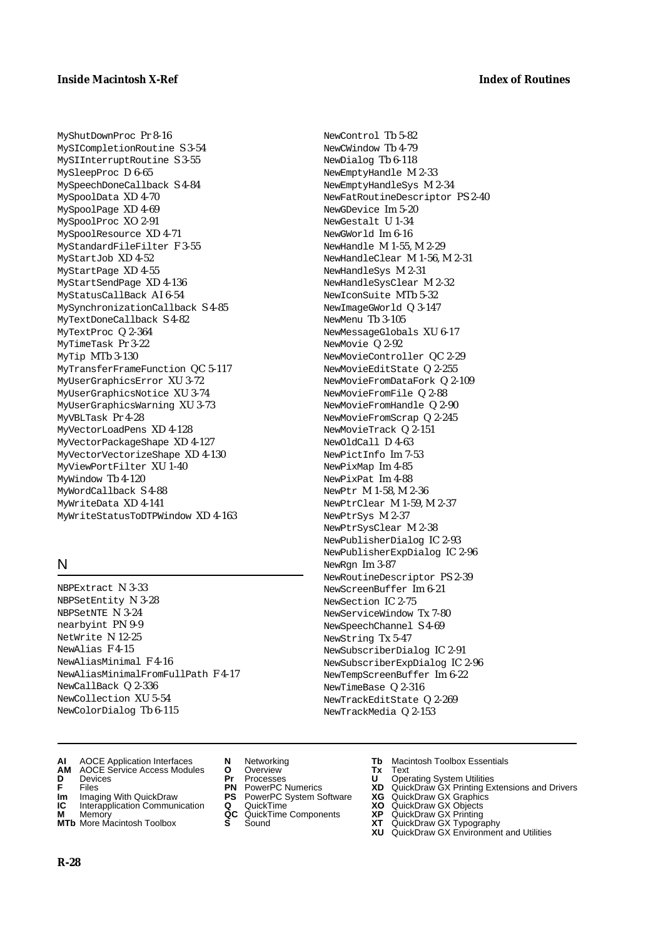MyShutDownProc Pr 8-16 MySICompletionRoutine S 3-54 MySIInterruptRoutine S 3-55 MySleepProc D 6-65 MySpeechDoneCallback S 4-84 MySpoolData XD 4-70 MySpoolPage XD 4-69 MySpoolProc XO 2-91 MySpoolResource XD 4-71 MyStandardFileFilter F 3-55 MyStartJob XD 4-52 MyStartPage XD 4-55 MyStartSendPage XD 4-136 MyStatusCallBack AI 6-54 MySynchronizationCallback S 4-85 MyTextDoneCallback S 4-82 MyTextProc Q 2-364 MyTimeTask Pr 3-22 MyTip MTb 3-130 MyTransferFrameFunction QC 5-117 MyUserGraphicsError XU 3-72 MyUserGraphicsNotice XU 3-74 MyUserGraphicsWarning XU 3-73 MyVBLTask Pr 4-28 MyVectorLoadPens XD 4-128 MyVectorPackageShape XD 4-127 MyVectorVectorizeShape XD 4-130 MyViewPortFilter XU 1-40 MyWindow Tb 4-120 MyWordCallback S 4-88 MyWriteData XD 4-141 MyWriteStatusToDTPWindow XD 4-163

# N

NBPExtract N 3-33 NBPSetEntity N 3-28 NBPSetNTE N 3-24 nearbyint PN 9-9 NetWrite N 12-25 NewAlias F 4-15 NewAliasMinimal F 4-16 NewAliasMinimalFromFullPath F 4-17 NewCallBack Q 2-336 NewCollection XU 5-54 NewColorDialog Tb 6-115

- **AI** AOCE Application Interfaces **N** Networking **Tb** Macintosh Toolbox Essentials
- **AM** AOCE Service Access Modules **O** Overview **Tx** Text
- 
- 
- **Im** Imaging With QuickDraw **PS** PowerPC System Software<br> **IC** Interapplication Communication **Q** QuickTime<br> **M** Memory **GC** QuickTime Components
- 
- **M** Memory **COMPONENTS COMPONENTS COMPONENTS NEWSLA**<br> **M** More Macintosh Toolbox **S** Sound **MTb** More Macintosh Toolbox **S** Sound **XT** QuickDraw GX Typography
- 
- **D** Devices **Pr** Processes **U** Operating System Utilities
	-
	-
	-
	-
- 
- 

NewControl Tb 5-82 NewCWindow Tb 4-79 NewDialog Tb 6-118 NewEmptyHandle M 2-33 NewEmptyHandleSys M 2-34 NewFatRoutineDescriptor PS 2-40

NewGDevice Im 5-20 NewGestalt U 1-34 NewGWorld Im 6-16 NewHandle M 1-55, M 2-29 NewHandleClear M 1-56, M 2-31

NewHandleSys M 2-31 NewHandleSysClear M 2-32 NewIconSuite MTb 5-32 NewImageGWorld Q 3-147 NewMenu Tb 3-105

NewMovie Q 2-92

NewPtrSys M 2-37 NewPtrSysClear M 2-38 NewPublisherDialog IC 2-93 NewPublisherExpDialog IC 2-96

NewRgn Im 3-87

NewRoutineDescriptor PS 2-39 NewScreenBuffer Im 6-21 NewSection IC 2-75 NewServiceWindow Tx 7-80 NewSpeechChannel S 4-69 NewString Tx 5-47

NewSubscriberDialog IC 2-91 NewSubscriberExpDialog IC 2-96 NewTempScreenBuffer Im 6-22

NewTimeBase Q 2-316 NewTrackEditState Q 2-269 NewTrackMedia Q 2-153

NewMessageGlobals XU 6-17

NewMovieController QC 2-29 NewMovieEditState Q 2-255 NewMovieFromDataFork Q 2-109 NewMovieFromFile Q 2-88 NewMovieFromHandle Q 2-90 NewMovieFromScrap Q 2-245 NewMovieTrack Q 2-151 NewOldCall D 4-63 NewPictInfo Im 7-53 NewPixMap Im 4-85 NewPixPat Im 4-88 NewPtr M 1-58, M 2-36 NewPtrClear M 1-59, M 2-37

- **F** Files **PN** PowerPC Numerics **XD** QuickDraw GX Printing Extensions and Drivers
- **Im** Imaging With QuickDraw **PS** PowerPC System Software **XG** QuickDraw GX Graphics
	-
	-
	-
	- **XU** QuickDraw GX Environment and Utilities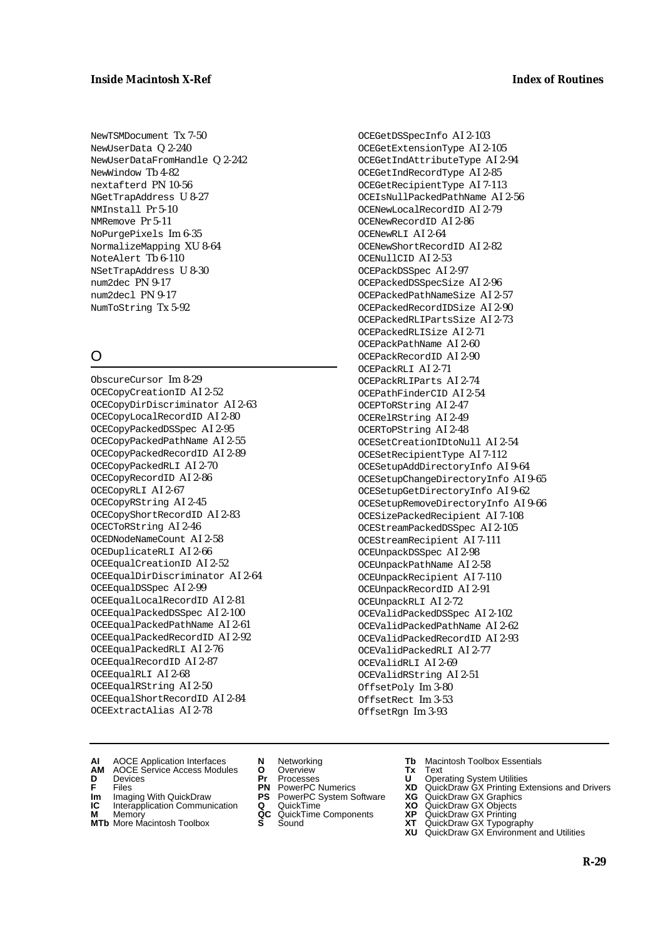NewTSMDocument Tx 7-50 NewUserData Q 2-240 NewUserDataFromHandle Q 2-242 NewWindow Tb 4-82 nextafterd PN 10-56 NGetTrapAddress U 8-27 NMInstall Pr 5-10 NMRemove Pr 5-11 NoPurgePixels Im 6-35 NormalizeMapping XU 8-64 NoteAlert Tb 6-110 NSetTrapAddress U 8-30 num2dec PN 9-17 num2decl PN 9-17 NumToString Tx 5-92

# O

ObscureCursor Im 8-29 OCECopyCreationID AI 2-52 OCECopyDirDiscriminator AI 2-63 OCECopyLocalRecordID AI 2-80 OCECopyPackedDSSpec AI 2-95 OCECopyPackedPathName AI 2-55 OCECopyPackedRecordID AI 2-89 OCECopyPackedRLI AI 2-70 OCECopyRecordID AI 2-86 OCECopyRLI AI 2-67 OCECopyRString AI 2-45 OCECopyShortRecordID AI 2-83 OCECToRString AI 2-46 OCEDNodeNameCount AI 2-58 OCEDuplicateRLI AI 2-66 OCEEqualCreationID AI 2-52 OCEEqualDirDiscriminator AI 2-64 OCEEqualDSSpec AI 2-99 OCEEqualLocalRecordID AI 2-81 OCEEqualPackedDSSpec AI 2-100 OCEEqualPackedPathName AI 2-61 OCEEqualPackedRecordID AI 2-92 OCEEqualPackedRLI AI 2-76 OCEEqualRecordID AI 2-87 OCEEqualRLI AI 2-68 OCEEqualRString AI 2-50 OCEEqualShortRecordID AI 2-84 OCEExtractAlias AI 2-78

OCEGetDSSpecInfo AI 2-103 OCEGetExtensionType AI 2-105 OCEGetIndAttributeType AI 2-94 OCEGetIndRecordType AI 2-85 OCEGetRecipientType AI 7-113 OCEIsNullPackedPathName AI 2-56 OCENewLocalRecordID AI 2-79 OCENewRecordID AI 2-86 OCENewRLI AI 2-64 OCENewShortRecordID AI 2-82 OCENullCID AI 2-53 OCEPackDSSpec AI 2-97 OCEPackedDSSpecSize AI 2-96 OCEPackedPathNameSize AI 2-57 OCEPackedRecordIDSize AI 2-90 OCEPackedRLIPartsSize AI 2-73 OCEPackedRLISize AI 2-71 OCEPackPathName AI 2-60 OCEPackRecordID AI 2-90 OCEPackRLI AI 2-71 OCEPackRLIParts AI 2-74 OCEPathFinderCID AI 2-54 OCEPToRString AI 2-47 OCERelRString AI 2-49 OCERToPString AI 2-48 OCESetCreationIDtoNull AI 2-54 OCESetRecipientType AI 7-112 OCESetupAddDirectoryInfo AI 9-64 OCESetupChangeDirectoryInfo AI 9-65 OCESetupGetDirectoryInfo AI 9-62 OCESetupRemoveDirectoryInfo AI 9-66 OCESizePackedRecipient AI 7-108 OCEStreamPackedDSSpec AI 2-105 OCEStreamRecipient AI 7-111 OCEUnpackDSSpec AI 2-98 OCEUnpackPathName AI 2-58 OCEUnpackRecipient AI 7-110 OCEUnpackRecordID AI 2-91 OCEUnpackRLI AI 2-72 OCEValidPackedDSSpec AI 2-102 OCEValidPackedPathName AI 2-62 OCEValidPackedRecordID AI 2-93 OCEValidPackedRLI AI 2-77 OCEValidRLI AI 2-69 OCEValidRString AI 2-51 OffsetPoly Im 3-80 OffsetRect Im 3-53 OffsetRgn Im 3-93

- **AI** AOCE Application Interfaces **N** Networking **Tb** Macintosh Toolbox Essentials
- **AM** AOCE Service Access Modules **O** Overview **Tx** Text **D** Devices **Pr** Processes **U** Operating System Utilities
- 
- **Im** Files<br> **Im** Imaging With QuickDraw **PS** PowerPC System Software **XG**<br> **IC** Interapplication Communication **Q** QuickTime **XO**
- **IC** Interapplication Communication **Q** QuickTime **XO M** Memory **XP QC** QuickTime Components **XP**
- **M** Memory **CONSISTENT COMPONENT MEMORY MEMORY MEMORY AND MEMORY OF A VIDEO MEMORY CONSISTENT CONSISTENT CONSISTENT CONSISTENT CONSISTENT CONSISTENT CONSISTENT CONSISTENT CONSISTENT CONSISTENT CONSISTENT CONSISTENT CONSIST**
- **MTb** More Macintosh Toolbox **S** Sound **XT** QuickDraw GX Typography
- 
- 
- 
- 
- 
- 
- 
- 
- **F** Files **PN** PowerPC Numerics **XD** QuickDraw GX Printing Extensions and Drivers
	-
	-
	-
	-
	- **XU** QuickDraw GX Environment and Utilities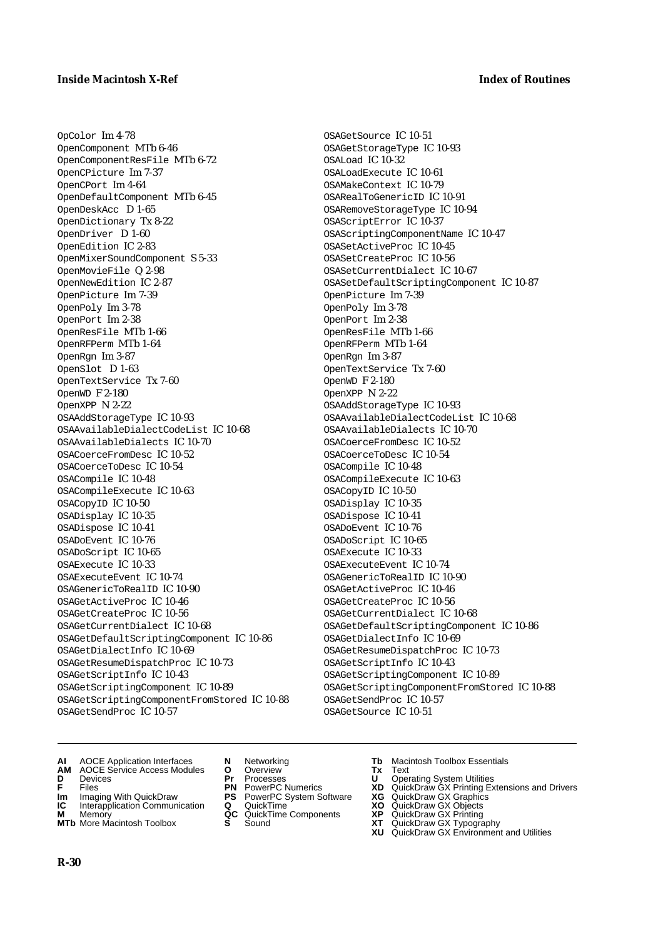OpColor Im 4-78 OpenComponent MTb 6-46 OpenComponentResFile MTb 6-72 OpenCPicture Im 7-37 OpenCPort Im 4-64 OpenDefaultComponent MTb 6-45 OpenDeskAcc D 1-65 OpenDictionary Tx 8-22 OpenDriver D 1-60 OpenEdition IC 2-83 OpenMixerSoundComponent S 5-33 OpenMovieFile Q 2-98 OpenNewEdition IC 2-87 OpenPicture Im 7-39 OpenPoly Im 3-78 OpenPort Im 2-38 OpenResFile MTb 1-66 OpenRFPerm MTb 1-64 OpenRgn Im 3-87 OpenSlot D 1-63 OpenTextService Tx 7-60 OpenWD F 2-180 OpenXPP N 2-22 OSAAddStorageType IC 10-93 OSAAvailableDialectCodeList IC 10-68 OSAAvailableDialects IC 10-70 OSACoerceFromDesc IC 10-52 OSACoerceToDesc IC 10-54 OSACompile IC 10-48 OSACompileExecute IC 10-63 OSACopyID IC 10-50 OSADisplay IC 10-35 OSADispose IC 10-41 OSADoEvent IC 10-76 OSADoScript IC 10-65 OSAExecute IC 10-33 OSAExecuteEvent IC 10-74 OSAGenericToRealID IC 10-90 OSAGetActiveProc IC 10-46 OSAGetCreateProc IC 10-56 OSAGetCurrentDialect IC 10-68 OSAGetDefaultScriptingComponent IC 10-86 OSAGetDialectInfo IC 10-69 OSAGetResumeDispatchProc IC 10-73 OSAGetScriptInfo IC 10-43 OSAGetScriptingComponent IC 10-89 OSAGetScriptingComponentFromStored IC 10-88 OSAGetSendProc IC 10-57

OSAGetSource IC 10-51 OSAGetStorageType IC 10-93 OSALoad IC 10-32 OSALoadExecute IC 10-61 OSAMakeContext IC 10-79 OSARealToGenericID IC 10-91 OSARemoveStorageType IC 10-94 OSAScriptError IC 10-37 OSAScriptingComponentName IC 10-47 OSASetActiveProc IC 10-45 OSASetCreateProc IC 10-56 OSASetCurrentDialect IC 10-67 OSASetDefaultScriptingComponent IC 10-87 OpenPicture Im 7-39 OpenPoly Im 3-78 OpenPort Im 2-38 OpenResFile MTb 1-66 OpenRFPerm MTb 1-64 OpenRgn Im 3-87 OpenTextService Tx 7-60 OpenWD F 2-180 OpenXPP N 2-22 OSAAddStorageType IC 10-93 OSAAvailableDialectCodeList IC 10-68 OSAAvailableDialects IC 10-70 OSACoerceFromDesc IC 10-52 OSACoerceToDesc IC 10-54 OSACompile IC 10-48 OSACompileExecute IC 10-63 OSACopyID IC 10-50 OSADisplay IC 10-35 OSADispose IC 10-41 OSADoEvent IC 10-76 OSADoScript IC 10-65 OSAExecute IC 10-33 OSAExecuteEvent IC 10-74 OSAGenericToRealID IC 10-90 OSAGetActiveProc IC 10-46 OSAGetCreateProc IC 10-56 OSAGetCurrentDialect IC 10-68 OSAGetDefaultScriptingComponent IC 10-86 OSAGetDialectInfo IC 10-69 OSAGetResumeDispatchProc IC 10-73 OSAGetScriptInfo IC 10-43 OSAGetScriptingComponent IC 10-89 OSAGetScriptingComponentFromStored IC 10-88 OSAGetSendProc IC 10-57 OSAGetSource IC 10-51

- **AI** AOCE Application Interfaces **N** Networking **Tb** Macintosh Toolbox Essentials
- **AM** AOCE Service Access Modules **O** Overview **Tx** Text
- 
- 
- **Im** Imaging With QuickDraw **PS** PowerPC System Software<br> **IC** Interapplication Communication **Q** QuickTime<br> **M** Memorv **GC** QuickTime Components
- 
- **M** Memory **Markt Communication**<br> **M** Memory **QC** QuickTime Components<br> **MTb** More Macintosh Toolbox **S** Sound **MTb** More Macintosh Toolbox **S** Sound **XT** QuickDraw GX Typography
- 
- **D** Devices **Pr** Processes **U** Operating System Utilities
	-
	-
	-
	-
- 
- 
- **F** Files **PN** PowerPC Numerics **XD** QuickDraw GX Printing Extensions and Drivers
- **Im** Imaging With QuickDraw **PS** PowerPC System Software **XG** QuickDraw GX Graphics
	-
	-
	-
	- **XU** QuickDraw GX Environment and Utilities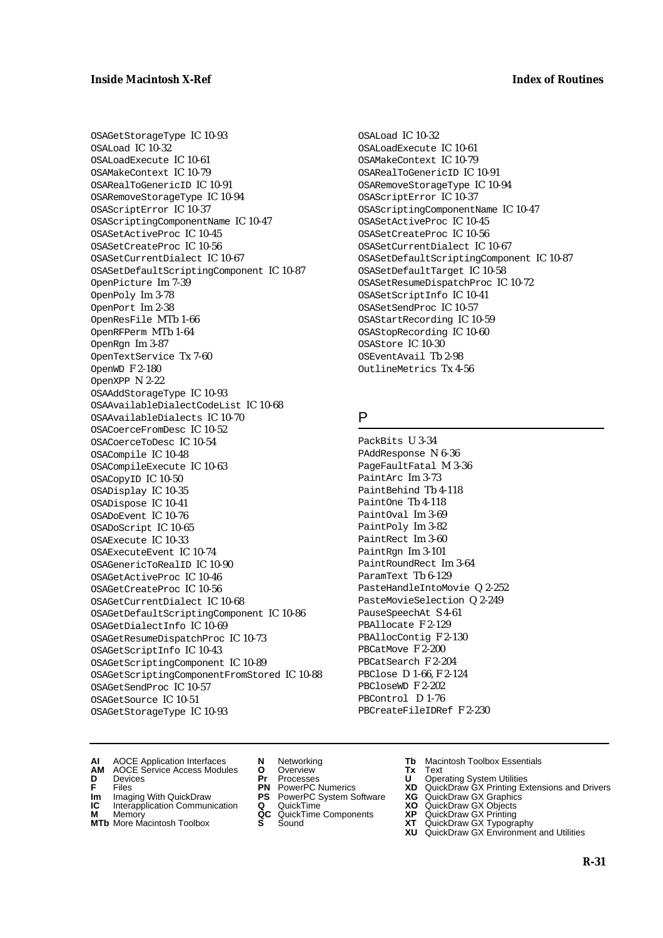OSAGetStorageType IC 10-93 OSALoad IC 10-32 OSALoadExecute IC 10-61 OSAMakeContext IC 10-79 OSARealToGenericID IC 10-91 OSARemoveStorageType IC 10-94 OSAScriptError IC 10-37 OSAScriptingComponentName IC 10-47 OSASetActiveProc IC 10-45 OSASetCreateProc IC 10-56 OSASetCurrentDialect IC 10-67 OSASetDefaultScriptingComponent IC 10-87 OpenPicture Im 7-39 OpenPoly Im 3-78 OpenPort Im 2-38 OpenResFile MTb 1-66 OpenRFPerm MTb 1-64 OpenRgn Im 3-87 OpenTextService Tx 7-60 OpenWD F 2-180 OpenXPP N 2-22 OSAAddStorageType IC 10-93 OSAAvailableDialectCodeList IC 10-68 OSAAvailableDialects IC 10-70 OSACoerceFromDesc IC 10-52 OSACoerceToDesc IC 10-54 OSACompile IC 10-48 OSACompileExecute IC 10-63 OSACopyID IC 10-50 OSADisplay IC 10-35 OSADispose IC 10-41 OSADoEvent IC 10-76 OSADoScript IC 10-65 OSAExecute IC 10-33 OSAExecuteEvent IC 10-74 OSAGenericToRealID IC 10-90 OSAGetActiveProc IC 10-46 OSAGetCreateProc IC 10-56 OSAGetCurrentDialect IC 10-68 OSAGetDefaultScriptingComponent IC 10-86 OSAGetDialectInfo IC 10-69 OSAGetResumeDispatchProc IC 10-73 OSAGetScriptInfo IC 10-43 OSAGetScriptingComponent IC 10-89 OSAGetScriptingComponentFromStored IC 10-88 OSAGetSendProc IC 10-57 OSAGetSource IC 10-51 OSAGetStorageType IC 10-93

OSALoad IC 10-32 OSALoadExecute IC 10-61 OSAMakeContext IC 10-79 OSARealToGenericID IC 10-91 OSARemoveStorageType IC 10-94 OSAScriptError IC 10-37 OSAScriptingComponentName IC 10-47 OSASetActiveProc IC 10-45 OSASetCreateProc IC 10-56 OSASetCurrentDialect IC 10-67 OSASetDefaultScriptingComponent IC 10-87 OSASetDefaultTarget IC 10-58 OSASetResumeDispatchProc IC 10-72 OSASetScriptInfo IC 10-41 OSASetSendProc IC 10-57 OSAStartRecording IC 10-59 OSAStopRecording IC 10-60 OSAStore IC 10-30 OSEventAvail Tb 2-98 OutlineMetrics Tx 4-56

#### P

PackBits U 3-34 PAddResponse N 6-36 PageFaultFatal M 3-36 PaintArc Im 3-73 PaintBehind Tb 4-118 PaintOne Tb 4-118 PaintOval Im 3-69 PaintPoly Im 3-82 PaintRect Im 3-60 PaintRgn Im 3-101 PaintRoundRect Im 3-64 ParamText Tb 6-129 PasteHandleIntoMovie Q 2-252 PasteMovieSelection Q 2-249 PauseSpeechAt S 4-61 PBAllocate F 2-129 PBAllocContig F 2-130 PBCatMove F 2-200 PBCatSearch F 2-204 PBClose D 1-66, F 2-124 PBCloseWD F 2-202 PBControl D 1-76 PBCreateFileIDRef F 2-230

- **AI** AOCE Application Interfaces **N** Networking **Tb** Macintosh Toolbox Essentials
- **AM** AOCE Service Access Modules **O** Overview **Tx** Text **D** Devices **Pr** Processes **U** Operating System Utilities
- 
- **Im** Files<br> **Im** Imaging With QuickDraw **PS** PowerPC System Software **XG**<br> **IC** Interapplication Communication **Q** QuickTime **XO**
- **IC** Interapplication Communication **Q** QuickTime **XO M** Memory **XO QC** QuickTime Components **XP**
- **M** Memory **Manufacture Communication**<br> **M** Memory **QC** QuickTime Components **XP**<br> **MTb** More Macintosh Toolbox **S** Sound **XT**
- 
- 
- 
- 
- -
- 
- 
- **F** Files **PN** PowerPC Numerics **XD** QuickDraw GX Printing Extensions and Drivers
	-
	-
	-
- **MTb** More Macintosh Toolbox **S** Sound **XT** QuickDraw GX Typography **XU** QuickDraw GX Environment and Utilities
	- **R-31**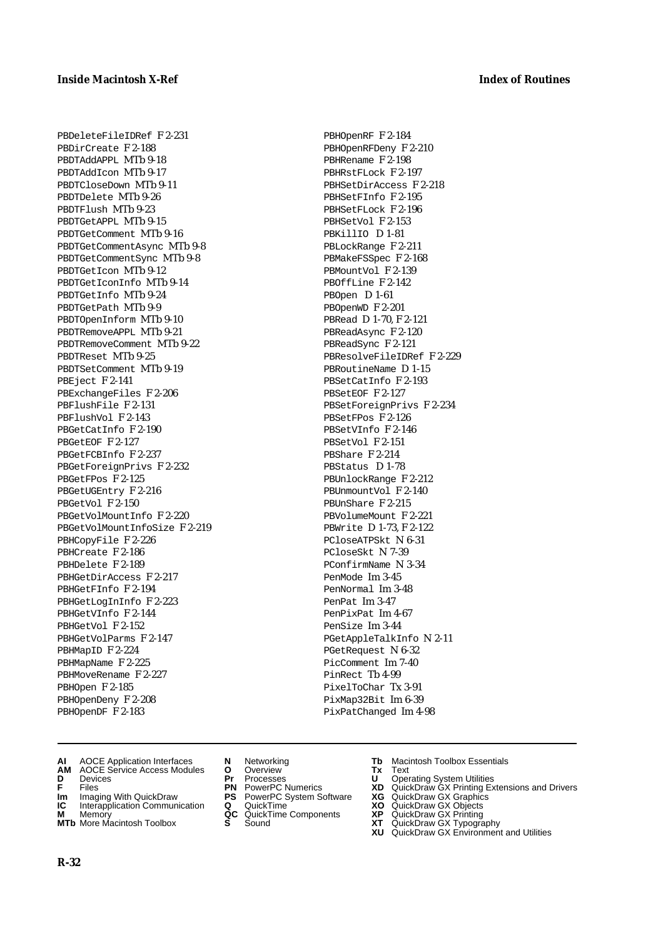PBDeleteFileIDRef F 2-231 PBDirCreate F 2-188 PBDTAddAPPL MTb 9-18 PBDTAddIcon MTb 9-17 PBDTCloseDown MTb 9-11 PBDTDelete MTb 9-26 PBDTFlush MTb 9-23 PBDTGetAPPL MTb 9-15 PBDTGetComment MTb 9-16 PBDTGetCommentAsync MTb 9-8 PBDTGetCommentSync MTb 9-8 PBDTGetIcon MTb 9-12 PBDTGetIconInfo MTb 9-14 PBDTGetInfo MTb 9-24 PBDTGetPath MTb 9-9 PBDTOpenInform MTb 9-10 PBDTRemoveAPPL MTb 9-21 PBDTRemoveComment MTb 9-22 PBDTReset MTb 9-25 PBDTSetComment MTb 9-19 PBEject F 2-141 PBExchangeFiles F 2-206 PBFlushFile F 2-131 PBFlushVol F 2-143 PBGetCatInfo F 2-190 PBGetEOF F 2-127 PBGetFCBInfo F 2-237 PBGetForeignPrivs F 2-232 PBGetFPos F 2-125 PBGetUGEntry F 2-216 PBGetVol F 2-150 PBGetVolMountInfo F 2-220 PBGetVolMountInfoSize F 2-219 PBHCopyFile F 2-226 PBHCreate F 2-186 PBHDelete F 2-189 PBHGetDirAccess F 2-217 PBHGetFInfo F 2-194 PBHGetLogInInfo F 2-223 PBHGetVInfo F 2-144 PBHGetVol F 2-152 PBHGetVolParms F 2-147 PBHMapID F 2-224 PBHMapName F 2-225 PBHMoveRename F 2-227 PBHOpen F 2-185 PBHOpenDeny F 2-208 PBHOpenDF F 2-183

- PBHOpenRF F 2-184 PBHOpenRFDeny F 2-210 PBHRename F 2-198 PBHRstFLock F 2-197 PBHSetDirAccess F 2-218 PBHSetFInfo F 2-195 PBHSetFLock F 2-196 PBHSetVol F 2-153 PBKillIO D 1-81 PBLockRange F 2-211 PBMakeFSSpec F 2-168 PBMountVol F 2-139 PBOffLine F 2-142 PBOpen D 1-61 PBOpenWD F 2-201 PBRead D 1-70, F 2-121 PBReadAsync F 2-120 PBReadSync F 2-121 PBResolveFileIDRef F 2-229 PBRoutineName D 1-15 PBSetCatInfo F 2-193 PBSetEOF F 2-127 PBSetForeignPrivs F 2-234 PBSetFPos F 2-126 PBSetVInfo F 2-146 PBSetVol F 2-151 PBShare F 2-214 PBStatus D 1-78 PBUnlockRange F 2-212 PBUnmountVol F 2-140 PBUnShare F 2-215 PBVolumeMount F 2-221 PBWrite D 1-73, F 2-122 PCloseATPSkt N 6-31 PCloseSkt N 7-39 PConfirmName N 3-34 PenMode Im 3-45 PenNormal Im 3-48 PenPat Im 3-47 PenPixPat Im 4-67 PenSize Im 3-44 PGetAppleTalkInfo N 2-11 PGetRequest N 6-32 PicComment Im 7-40 PinRect Tb 4-99 PixelToChar Tx 3-91 PixMap32Bit Im 6-39
- **AI** AOCE Application Interfaces **N** Networking **Tb** Macintosh Toolbox Essentials<br> **AM** AOCE Service Access Modules **O** Overview **Tx** Text<br> **D** Devices **Pr** Processes **U** Operating System Utilities
- AM ANCE Service Access Modules **O** Overview **Tx** Text<br>Devices **Pr** Processes **U** Oper
- 
- 
- **Im** Imaging With QuickDraw **PS** PowerPC System Software<br> **IC** Interapplication Communication **Q** QuickTime<br> **M** Memory **GC** QuickTime Components
- 
- **M** Memory **COMPONENTS COMPONENTS COMPONENTS COMPONENTS <b>XP** QC QuickT<br> **MTb** More Macintosh Toolbox **S** Sound **MTb** More Macintosh Toolbox **S** Sound **XT** QuickDraw GX Typography
- 
- 
- 
- 
- -
- **D** Devices **Pr** Processes **U** Operating System Utilities
- **F** Files **PN** PowerPC Numerics **XD** QuickDraw GX Printing Extensions and Drivers
- **Im** Imaging With QuickDraw **PS** PowerPC System Software **XG** QuickDraw GX Graphics

PixPatChanged Im 4-98

- 
- 
- 
- **XU** QuickDraw GX Environment and Utilities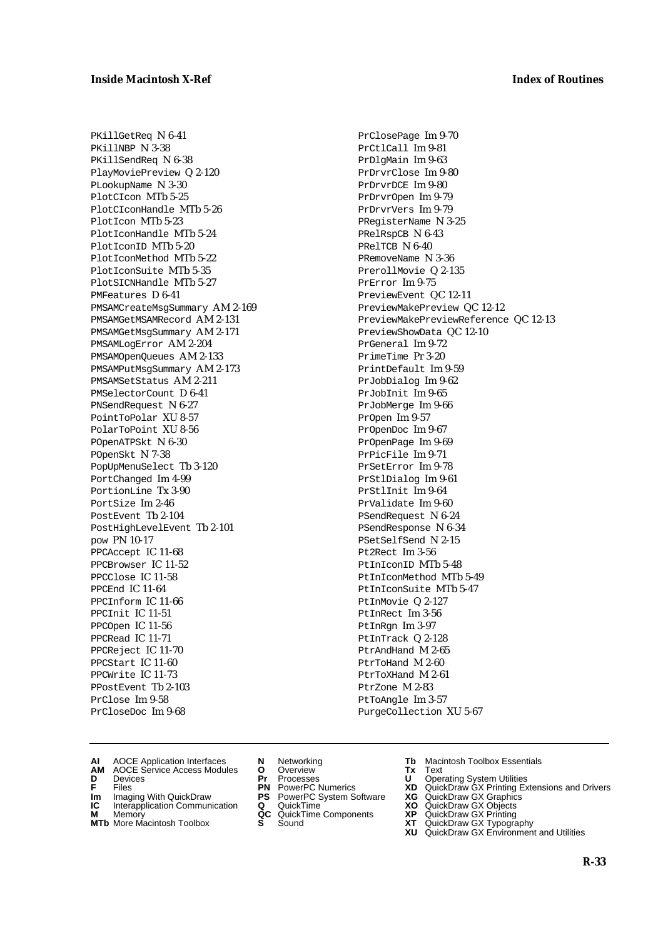PKillGetReq N 6-41 PKillNBP N 3-38 PKillSendReq N 6-38 PlayMoviePreview Q 2-120 PLookupName N 3-30 PlotCIcon MTb 5-25 PlotCIconHandle MTb 5-26 PlotIcon MTb 5-23 PlotIconHandle MTb 5-24 PlotIconID MTb 5-20 PlotIconMethod MTb 5-22 PlotIconSuite MTb 5-35 PlotSICNHandle MTb 5-27 PMFeatures D 6-41 PMSAMCreateMsgSummary AM 2-169 PMSAMGetMSAMRecord AM 2-131 PMSAMGetMsgSummary AM 2-171 PMSAMLogError AM 2-204 PMSAMOpenQueues AM 2-133 PMSAMPutMsgSummary AM 2-173 PMSAMSetStatus AM 2-211 PMSelectorCount D 6-41 PNSendRequest N 6-27 PointToPolar XU 8-57 PolarToPoint XU 8-56 POpenATPSkt N 6-30 POpenSkt N 7-38 PopUpMenuSelect Tb 3-120 PortChanged Im 4-99 PortionLine Tx 3-90 PortSize Im 2-46 PostEvent Tb 2-104 PostHighLevelEvent Tb 2-101 pow PN 10-17 PPCAccept IC 11-68 PPCBrowser IC 11-52 PPCClose IC 11-58 PPCEnd IC 11-64 PPCInform IC 11-66 PPCInit IC 11-51 PPCOpen IC 11-56 PPCRead IC 11-71 PPCReject IC 11-70 PPCStart IC 11-60 PPCWrite IC 11-73 PPostEvent Tb 2-103 PrClose Im 9-58 PrCloseDoc Im 9-68

PrClosePage Im 9-70 PrCtlCall Im 9-81 PrDlgMain Im 9-63 PrDrvrClose Im 9-80 PrDrvrDCE Im 9-80 PrDrvrOpen Im 9-79 PrDrvrVers Im 9-79 PRegisterName N 3-25 PRelRspCB N 6-43 PRelTCB N 6-40 PRemoveName N 3-36 PrerollMovie Q 2-135 PrError Im 9-75 PreviewEvent QC 12-11 PreviewMakePreview QC 12-12 PreviewMakePreviewReference QC 12-13 PreviewShowData QC 12-10 PrGeneral Im 9-72 PrimeTime Pr 3-20 PrintDefault Im 9-59 PrJobDialog Im 9-62 PrJobInit Im 9-65 PrJobMerge Im 9-66 PrOpen Im 9-57 PrOpenDoc Im 9-67 PrOpenPage Im 9-69 PrPicFile Im 9-71 PrSetError Im 9-78 PrStlDialog Im 9-61 PrStlInit Im 9-64 PrValidate Im 9-60 PSendRequest N 6-24 PSendResponse N 6-34 PSetSelfSend N 2-15 Pt2Rect Im 3-56 PtInIconID MTb 5-48 PtInIconMethod MTb 5-49 PtInIconSuite MTb 5-47 PtInMovie Q 2-127 PtInRect Im 3-56 PtInRgn Im 3-97 PtInTrack Q 2-128 PtrAndHand M 2-65 PtrToHand M 2-60 PtrToXHand M 2-61 PtrZone M 2-83 PtToAngle Im 3-57 PurgeCollection XU 5-67

- **AI** AOCE Application Interfaces **N** Networking **Tb** Macintosh Toolbox Essentials
- **AM** AOCE Service Access Modules **O** Overview **Tx** Text
- 
- 
- **Im** Files<br> **Im** Imaging With QuickDraw **PS** PowerPC System Software **XG**<br> **IC** Interapplication Communication **Q** QuickTime **XO IC** Interapplication Communication **Q** QuickTime **XO M** Memory **XP QC** QuickTime Components **XP**
- **M** Memory **Manufacture Communication**<br> **M** Memory **QC** QuickTime Components **XP**<br> **MTb** More Macintosh Toolbox **S** Sound **XT**
- **MTb** More Macintosh Toolbox **S** Sound **XT** QuickDraw GX Typography
- 
- **D** Devices **Pr** Processes **U** Operating System Utilities
	-
	-
	-
	-
- 
- 
- **F** Files **PN** PowerPC Numerics **XD** QuickDraw GX Printing Extensions and Drivers
	-
	-
	-
	-
	- **XU** QuickDraw GX Environment and Utilities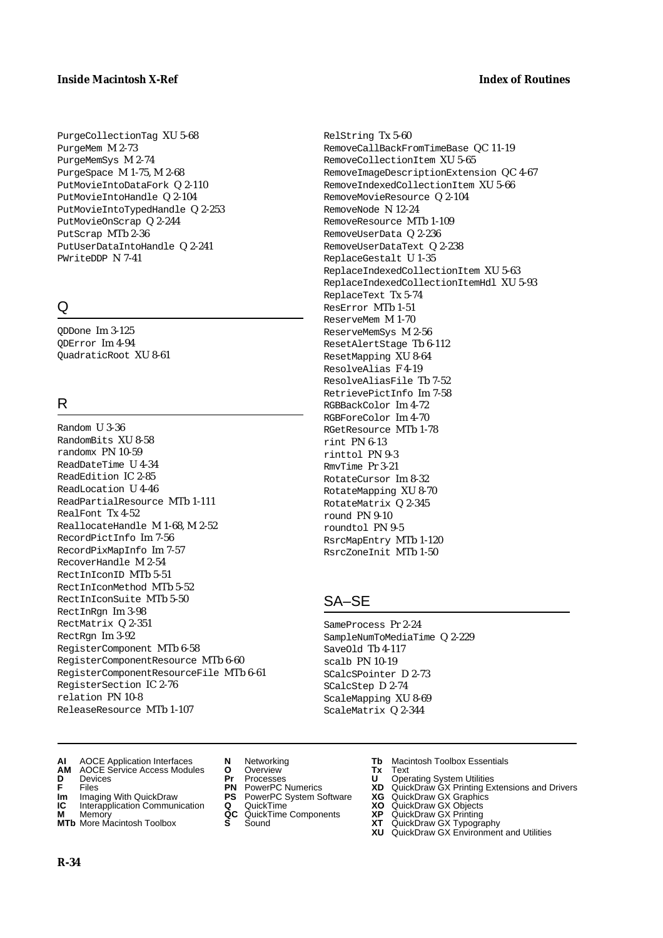PurgeCollectionTag XU 5-68 PurgeMem M 2-73 PurgeMemSys M 2-74 PurgeSpace M 1-75, M 2-68 PutMovieIntoDataFork Q 2-110 PutMovieIntoHandle Q 2-104 PutMovieIntoTypedHandle Q 2-253 PutMovieOnScrap Q 2-244 PutScrap MTb 2-36 PutUserDataIntoHandle Q 2-241 PWriteDDP N 7-41

# $\Omega$

QDDone Im 3-125 QDError Im 4-94 QuadraticRoot XU 8-61

# R

Random U 3-36 RandomBits XU 8-58 randomx PN 10-59 ReadDateTime U 4-34 ReadEdition IC 2-85 ReadLocation U 4-46 ReadPartialResource MTb 1-111 RealFont Tx 4-52 ReallocateHandle M 1-68, M 2-52 RecordPictInfo Im 7-56 RecordPixMapInfo Im 7-57 RecoverHandle M 2-54 RectInIconID MTb 5-51 RectInIconMethod MTb 5-52 RectInIconSuite MTb 5-50 RectInRgn Im 3-98 RectMatrix Q 2-351 RectRgn Im 3-92 RegisterComponent MTb 6-58 RegisterComponentResource MTb 6-60 RegisterComponentResourceFile MTb 6-61 RegisterSection IC 2-76 relation PN 10-8 ReleaseResource MTb 1-107

RelString Tx 5-60 RemoveCallBackFromTimeBase QC 11-19 RemoveCollectionItem XU 5-65 RemoveImageDescriptionExtension QC 4-67 RemoveIndexedCollectionItem XU 5-66 RemoveMovieResource Q 2-104 RemoveNode N 12-24 RemoveResource MTb 1-109 RemoveUserData Q 2-236 RemoveUserDataText Q 2-238 ReplaceGestalt U 1-35 ReplaceIndexedCollectionItem XU 5-63 ReplaceIndexedCollectionItemHdl XU 5-93 ReplaceText Tx 5-74 ResError MTb 1-51 ReserveMem M 1-70 ReserveMemSys M 2-56 ResetAlertStage Tb 6-112 ResetMapping XU 8-64 ResolveAlias F 4-19 ResolveAliasFile Tb 7-52 RetrievePictInfo Im 7-58 RGBBackColor Im 4-72 RGBForeColor Im 4-70 RGetResource MTb 1-78 rint PN 6-13 rinttol PN 9-3 RmvTime Pr 3-21 RotateCursor Im 8-32 RotateMapping XU 8-70 RotateMatrix Q 2-345 round PN 9-10 roundtol PN 9-5 RsrcMapEntry MTb 1-120

# SA–SE

SameProcess Pr 2-24 SampleNumToMediaTime Q 2-229 SaveOld Tb 4-117 scalb PN 10-19 SCalcSPointer D 2-73 SCalcStep D 2-74 ScaleMapping XU 8-69 ScaleMatrix Q 2-344

RsrcZoneInit MTb 1-50

- **AI** AOCE Application Interfaces **N** Networking **Tb** Macintosh Toolbox Essentials<br> **AM** AOCE Service Access Modules **O** Overview **Tx** Text<br> **D** Devices **Pr** Processes **U** Operating System Utilities
- **AM** AOCE Service Access Modules **O** Overview **Tx** Text
- 
- 
- **Im** Imaging With QuickDraw **PS** PowerPC System Software<br> **IC** Interapplication Communication **Q** QuickTime<br> **M** Memorv **GC** QuickTime Components
- **M** Memory **CONTACT COMPONENT MEMORY AND MEMORY MEMORY OF QUICKTIME Components <b>MTb** More Macintosh Toolbox **S** Sound
- **MTb** More Macintosh Toolbox **S** Sound **XT** QuickDraw GX Typography
- 
- **D** Devices **Pr** Processes **U** Operating System Utilities
	-
	-
	-
	-
- 
- 
- **F** Files **PN** PowerPC Numerics **XD** QuickDraw GX Printing Extensions and Drivers
- **Im** Imaging With QuickDraw **PS** PowerPC System Software **XG** QuickDraw GX Graphics
	-
	-
	-
	- **XU** QuickDraw GX Environment and Utilities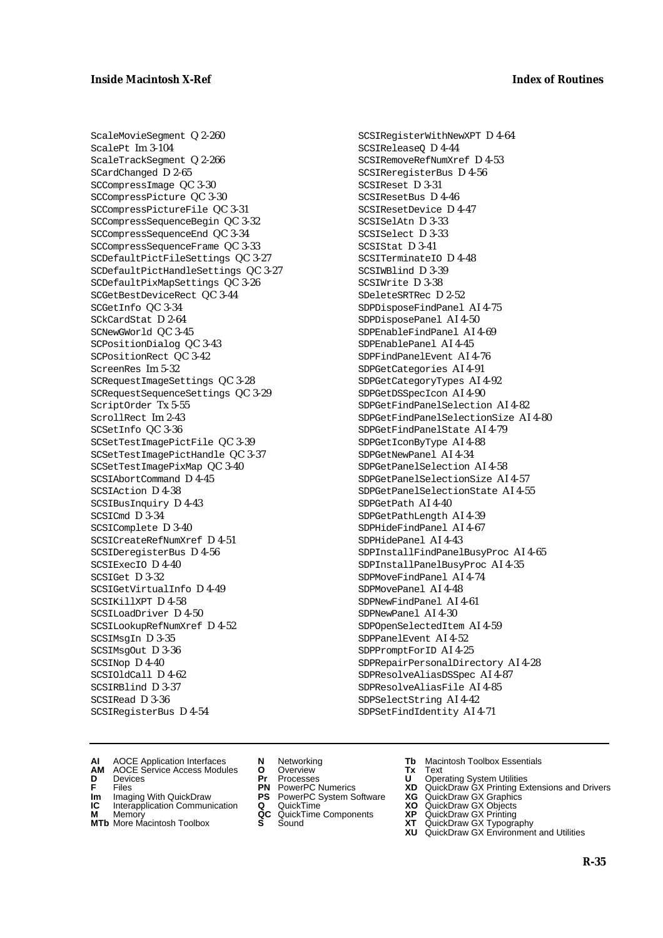ScaleMovieSegment Q 2-260 ScalePt Im 3-104 ScaleTrackSegment Q 2-266 SCardChanged D 2-65 SCCompressImage QC 3-30 SCCompressPicture QC 3-30 SCCompressPictureFile QC 3-31 SCCompressSequenceBegin QC 3-32 SCCompressSequenceEnd QC 3-34 SCCompressSequenceFrame QC 3-33 SCDefaultPictFileSettings QC 3-27 SCDefaultPictHandleSettings QC 3-27 SCDefaultPixMapSettings QC 3-26 SCGetBestDeviceRect QC 3-44 SCGetInfo QC 3-34 SCkCardStat D 2-64 SCNewGWorld QC 3-45 SCPositionDialog QC 3-43 SCPositionRect QC 3-42 ScreenRes Im 5-32 SCRequestImageSettings QC 3-28 SCRequestSequenceSettings QC 3-29 ScriptOrder Tx 5-55 ScrollRect Im 2-43 SCSetInfo QC 3-36 SCSetTestImagePictFile QC 3-39 SCSetTestImagePictHandle QC 3-37 SCSetTestImagePixMap QC 3-40 SCSIAbortCommand D 4-45 SCSIAction D 4-38 SCSIBusInquiry D 4-43 SCSICmd D 3-34 SCSIComplete D 3-40 SCSICreateRefNumXref D 4-51 SCSIDeregisterBus D 4-56 SCSIExecIO D 4-40 SCSIGet D 3-32 SCSIGetVirtualInfo D 4-49 SCSIKillXPT D 4-58 SCSILoadDriver D 4-50 SCSILookupRefNumXref D 4-52 SCSIMsgIn D 3-35 SCSIMsgOut D 3-36 SCSINop D 4-40 SCSIOldCall D 4-62 SCSIRBlind D 3-37 SCSIRead D 3-36 SCSIRegisterBus D 4-54

SCSIRegisterWithNewXPT D 4-64 SCSIReleaseQ D 4-44 SCSIRemoveRefNumXref D 4-53 SCSIReregisterBus D 4-56 SCSIReset D 3-31 SCSIResetBus D 4-46 SCSIResetDevice D 4-47 SCSISelAtn D 3-33 SCSISelect D 3-33 SCSIStat D 3-41 SCSITerminateIO D 4-48 SCSIWBlind D 3-39 SCSIWrite D 3-38 SDeleteSRTRec D 2-52 SDPDisposeFindPanel AI 4-75 SDPDisposePanel AI 4-50 SDPEnableFindPanel AI 4-69 SDPEnablePanel AI 4-45 SDPFindPanelEvent AI 4-76 SDPGetCategories AI 4-91 SDPGetCategoryTypes AI 4-92 SDPGetDSSpecIcon AI 4-90 SDPGetFindPanelSelection AI 4-82 SDPGetFindPanelSelectionSize AI 4-80 SDPGetFindPanelState AI 4-79 SDPGetIconByType AI 4-88 SDPGetNewPanel AI 4-34 SDPGetPanelSelection AI 4-58 SDPGetPanelSelectionSize AI 4-57 SDPGetPanelSelectionState AI 4-55 SDPGetPath AI 4-40 SDPGetPathLength AI 4-39 SDPHideFindPanel AI 4-67 SDPHidePanel AI 4-43 SDPInstallFindPanelBusyProc AI 4-65 SDPInstallPanelBusyProc AI 4-35 SDPMoveFindPanel AI 4-74 SDPMovePanel AI 4-48 SDPNewFindPanel AI 4-61 SDPNewPanel AI 4-30 SDPOpenSelectedItem AI 4-59 SDPPanelEvent AI 4-52 SDPPromptForID AI 4-25 SDPRepairPersonalDirectory AI 4-28 SDPResolveAliasDSSpec AI 4-87 SDPResolveAliasFile AI 4-85 SDPSelectString AI 4-42 SDPSetFindIdentity AI 4-71

- **AI** AOCE Application Interfaces **N** Networking **Tb** Macintosh Toolbox Essentials
- **AM** AOCE Service Access Modules **O** Overview **Tx** Text **D** Devices **Pr** Processes **U** Operating System Utilities
- 
- **Im** Imaging With QuickDraw **PS** PowerPC System Software **XG** QuickDraw GX Graphics
- **Im** Imaging With QuickDraw **PS** PowerPC System Software<br> **IC** Interapplication Communication **Q** QuickTime<br> **M** Memorv **GC** QuickTime Components
- **M** Memory **M** Memory **QC** QuickTime Components<br>**MTb** More Macintosh Toolbox **S** Sound
- 
- -
	-
	-
	-
- 
- 
- **F** Files **PN** PowerPC Numerics **XD** QuickDraw GX Printing Extensions and Drivers
	-
	-
	-
- **MTb** More Macintosh Toolbox **S** Sound **XT** QuickDraw GX Typography
	- **XU** QuickDraw GX Environment and Utilities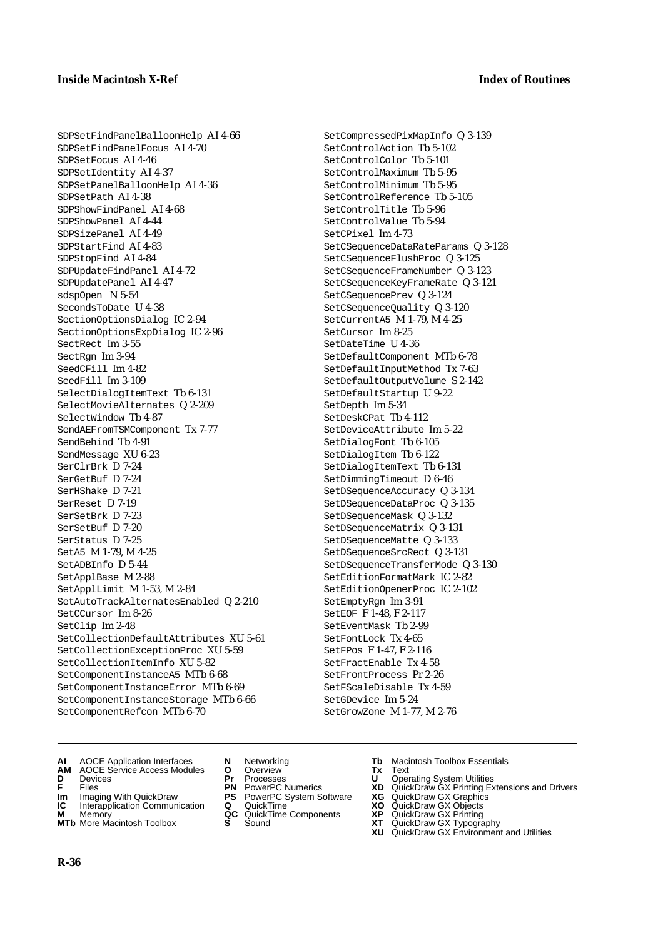SDPSetFindPanelBalloonHelp AI 4-66 SDPSetFindPanelFocus AI 4-70 SDPSetFocus AI 4-46 SDPSetIdentity AI 4-37 SDPSetPanelBalloonHelp AI 4-36 SDPSetPath AI 4-38 SDPShowFindPanel AI 4-68 SDPShowPanel AI 4-44 SDPSizePanel AI 4-49 SDPStartFind AI 4-83 SDPStopFind AI 4-84 SDPUpdateFindPanel AI 4-72 SDPUpdatePanel AI 4-47 sdspOpen N 5-54 SecondsToDate U 4-38 SectionOptionsDialog IC 2-94 SectionOptionsExpDialog IC 2-96 SectRect Im 3-55 SectRgn Im 3-94 SeedCFill Im 4-82 SeedFill Im 3-109 SelectDialogItemText Tb 6-131 SelectMovieAlternates Q 2-209 SelectWindow Tb 4-87 SendAEFromTSMComponent Tx 7-77 SendBehind Tb 4-91 SendMessage XU 6-23 SerClrBrk D 7-24 SerGetBuf D 7-24 SerHShake D 7-21 SerReset D 7-19 SerSetBrk D 7-23 SerSetBuf D 7-20 SerStatus D 7-25 SetA5 M 1-79, M 4-25 SetADBInfo D 5-44 SetApplBase M 2-88 SetApplLimit M 1-53, M 2-84 SetAutoTrackAlternatesEnabled Q 2-210 SetCCursor Im 8-26 SetClip Im 2-48 SetCollectionDefaultAttributes XU 5-61 SetCollectionExceptionProc XU 5-59 SetCollectionItemInfo XU 5-82 SetComponentInstanceA5 MTb 6-68 SetComponentInstanceError MTb 6-69 SetComponentInstanceStorage MTb 6-66 SetComponentRefcon MTb 6-70

- SetCompressedPixMapInfo Q 3-139 SetControlAction Tb 5-102 SetControlColor Tb 5-101 SetControlMaximum Tb 5-95 SetControlMinimum Tb 5-95 SetControlReference Tb 5-105 SetControlTitle Tb 5-96 SetControlValue Tb 5-94 SetCPixel Im 4-73 SetCSequenceDataRateParams Q 3-128 SetCSequenceFlushProc Q 3-125 SetCSequenceFrameNumber Q 3-123 SetCSequenceKeyFrameRate Q 3-121 SetCSequencePrev Q 3-124 SetCSequenceQuality Q 3-120 SetCurrentA5 M 1-79, M 4-25 SetCursor Im 8-25 SetDateTime U 4-36 SetDefaultComponent MTb 6-78 SetDefaultInputMethod Tx 7-63 SetDefaultOutputVolume S 2-142 SetDefaultStartup U 9-22 SetDepth Im 5-34 SetDeskCPat Tb 4-112 SetDeviceAttribute Im 5-22 SetDialogFont Tb 6-105 SetDialogItem Tb 6-122 SetDialogItemText Tb 6-131 SetDimmingTimeout D 6-46 SetDSequenceAccuracy Q 3-134 SetDSequenceDataProc Q 3-135 SetDSequenceMask Q 3-132 SetDSequenceMatrix Q 3-131 SetDSequenceMatte Q 3-133 SetDSequenceSrcRect Q 3-131 SetDSequenceTransferMode Q 3-130 SetEditionFormatMark IC 2-82 SetEditionOpenerProc IC 2-102 SetEmptyRgn Im 3-91 SetEOF F 1-48, F 2-117 SetEventMask Tb 2-99 SetFontLock Tx 4-65 SetFPos F 1-47, F 2-116 SetFractEnable Tx 4-58 SetFrontProcess Pr 2-26 SetFScaleDisable Tx 4-59 SetGDevice Im 5-24 SetGrowZone M 1-77, M 2-76
- **AI** AOCE Application Interfaces **N** Networking **Tb** Macintosh Toolbox Essentials
- **AM** AOCE Service Access Modules **O** Overview **Tx** Text
- 
- 
- **Im** Imaging With QuickDraw **PS** PowerPC System Software<br> **IC** Interapplication Communication **Q** QuickTime<br> **M** Memory **GC** QuickTime Components
- 
- **M** Memory **COMPONENTS COMPONENTS COMPONENTS NEWSLA**<br> **M** More Macintosh Toolbox **S** Sound **MTb** More Macintosh Toolbox **S** Sound **XT** QuickDraw GX Typography
- 
- **D** Devices **Pr** Processes **U** Operating System Utilities
	-
	-
	-
	-
- 
- 
- **F** Files **PN** PowerPC Numerics **XD** QuickDraw GX Printing Extensions and Drivers
- **Im** Imaging With QuickDraw **PS** PowerPC System Software **XG** QuickDraw GX Graphics
	-
	-
	-
	- **XU** QuickDraw GX Environment and Utilities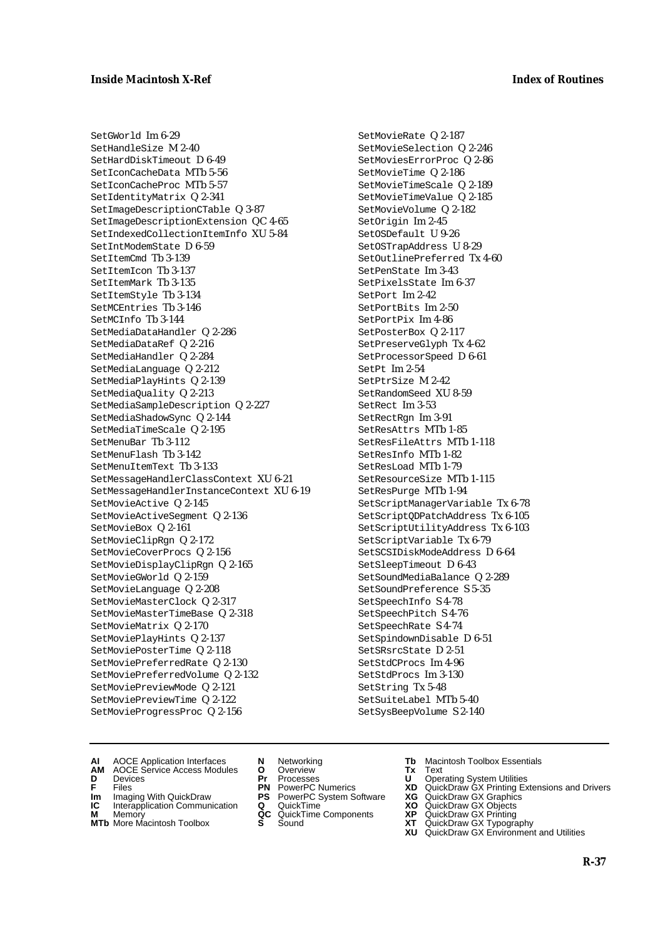SetGWorld Im 6-29 SetHandleSize M 2-40 SetHardDiskTimeout D 6-49 SetIconCacheData MTb 5-56 SetIconCacheProc MTb 5-57 SetIdentityMatrix Q 2-341 SetImageDescriptionCTable Q 3-87 SetImageDescriptionExtension QC 4-65 SetIndexedCollectionItemInfo XU 5-84 SetIntModemState D 6-59 SetItemCmd Tb 3-139 SetItemIcon Tb 3-137 SetItemMark Tb 3-135 SetItemStyle Tb 3-134 SetMCEntries Tb 3-146 SetMCInfo Tb 3-144 SetMediaDataHandler Q 2-286 SetMediaDataRef Q 2-216 SetMediaHandler Q 2-284 SetMediaLanguage Q 2-212 SetMediaPlayHints Q 2-139 SetMediaQuality Q 2-213 SetMediaSampleDescription Q 2-227 SetMediaShadowSync Q 2-144 SetMediaTimeScale Q 2-195 SetMenuBar Tb 3-112 SetMenuFlash Tb 3-142 SetMenuItemText Tb 3-133 SetMessageHandlerClassContext XU 6-21 SetMessageHandlerInstanceContext XU 6-19 SetMovieActive Q 2-145 SetMovieActiveSegment Q 2-136 SetMovieBox Q 2-161 SetMovieClipRgn Q 2-172 SetMovieCoverProcs Q 2-156 SetMovieDisplayClipRgn Q 2-165 SetMovieGWorld Q 2-159 SetMovieLanguage Q 2-208 SetMovieMasterClock Q 2-317 SetMovieMasterTimeBase Q 2-318 SetMovieMatrix Q 2-170 SetMoviePlayHints Q 2-137 SetMoviePosterTime Q 2-118 SetMoviePreferredRate Q 2-130 SetMoviePreferredVolume Q 2-132 SetMoviePreviewMode Q 2-121 SetMoviePreviewTime Q 2-122 SetMovieProgressProc Q 2-156

SetMovieRate Q 2-187 SetMovieSelection Q 2-246 SetMoviesErrorProc Q 2-86 SetMovieTime Q 2-186 SetMovieTimeScale Q 2-189 SetMovieTimeValue Q 2-185 SetMovieVolume Q 2-182 SetOrigin Im 2-45 SetOSDefault U 9-26 SetOSTrapAddress U 8-29 SetOutlinePreferred Tx 4-60 SetPenState Im 3-43 SetPixelsState Im 6-37  $S$ et Port  $Im 2-42$ SetPortBits Im 2-50 SetPortPix Im 4-86 SetPosterBox Q 2-117 SetPreserveGlyph Tx 4-62 SetProcessorSpeed D 6-61 SetPt Im 2-54 SetPtrSize M 2-42 SetRandomSeed XU 8-59 SetRect Im 3-53 SetRectRgn Im 3-91 SetResAttrs MTb 1-85 SetResFileAttrs MTb 1-118 SetResInfo MTb 1-82 SetResLoad MTb 1-79 SetResourceSize MTb 1-115 SetResPurge MTb 1-94 SetScriptManagerVariable Tx 6-78 SetScriptQDPatchAddress Tx 6-105 SetScriptUtilityAddress Tx 6-103 SetScriptVariable Tx 6-79 SetSCSIDiskModeAddress D 6-64 SetSleepTimeout D 6-43 SetSoundMediaBalance Q 2-289 SetSoundPreference S 5-35 SetSpeechInfo S 4-78 SetSpeechPitch S 4-76 SetSpeechRate S 4-74 SetSpindownDisable D 6-51 SetSRsrcState D 2-51 SetStdCProcs Im 4-96 SetStdProcs Im 3-130 SetString Tx 5-48 SetSuiteLabel MTb 5-40 SetSysBeepVolume S 2-140

- **AI** AOCE Application Interfaces **N** Networking **Tb** Macintosh Toolbox Essentials
- **AM** AOCE Service Access Modules **O** Overview **Tx** Text
- 
- **Im** Files<br> **Im** Imaging With QuickDraw **PS** PowerPC System Software **XG**<br> **IC** Interapplication Communication **Q** QuickTime **XO**
- **IC** Interapplication Communication **Q** QuickTime **XO M** Memory **XP QC** QuickTime Components **XP**
- **M** Memory **Manufacture Communication**<br> **M** Memory **QC** QuickTime Components **XP**<br> **MTb** More Macintosh Toolbox **S** Sound **XT**
- 
- **D** Devices **Pr** Processes **U** Operating System Utilities
	-
	-
	-
	-
- 
- 
- **F** Files **PN** PowerPC Numerics **XD** QuickDraw GX Printing Extensions and Drivers
	-
	-
	-
- **MTb** More Macintosh Toolbox **S** Sound **XT** QuickDraw GX Typography
	- **XU** QuickDraw GX Environment and Utilities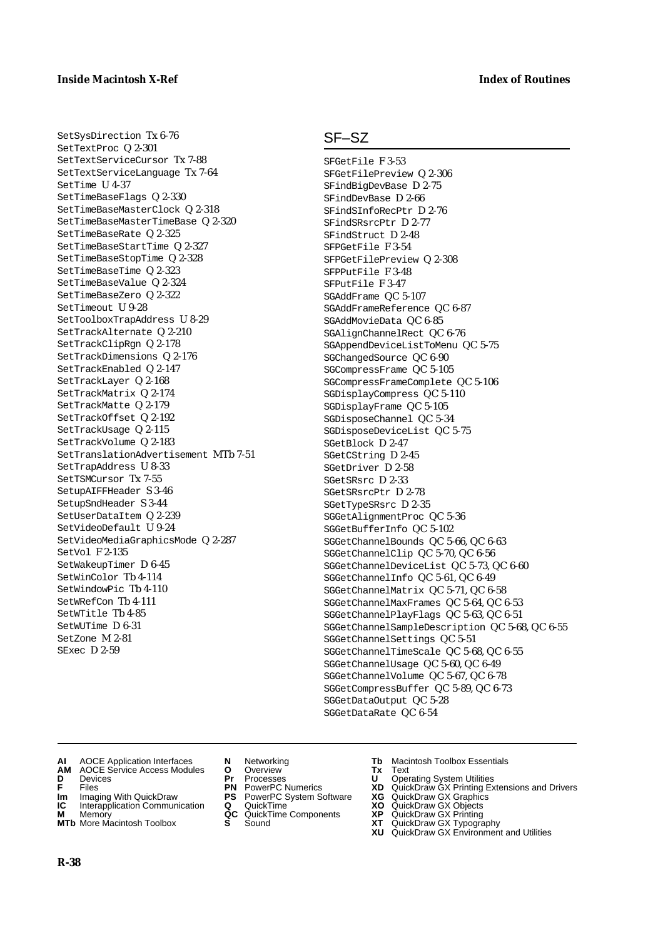# SetSysDirection Tx 6-76 SetTextProc Q 2-301 SetTextServiceCursor Tx 7-88 SetTextServiceLanguage Tx 7-64 SetTime U 4-37

SetTimeBaseFlags Q 2-330 SetTimeBaseMasterClock Q 2-318 SetTimeBaseMasterTimeBase Q 2-320 SetTimeBaseRate Q 2-325 SetTimeBaseStartTime Q 2-327 SetTimeBaseStopTime Q 2-328 SetTimeBaseTime Q 2-323 SetTimeBaseValue Q 2-324 SetTimeBaseZero Q 2-322 SetTimeout U 9-28 SetToolboxTrapAddress U 8-29 SetTrackAlternate Q 2-210 SetTrackClipRgn Q 2-178 SetTrackDimensions Q 2-176 SetTrackEnabled Q 2-147 SetTrackLayer Q 2-168 SetTrackMatrix Q 2-174 SetTrackMatte Q 2-179 SetTrackOffset Q 2-192 SetTrackUsage Q 2-115 SetTrackVolume Q 2-183 SetTranslationAdvertisement MTb 7-51 SetTrapAddress U 8-33 SetTSMCursor Tx 7-55 SetupAIFFHeader S 3-46 SetupSndHeader S 3-44 SetUserDataItem Q 2-239 SetVideoDefault U 9-24 SetVideoMediaGraphicsMode Q 2-287 SetVol F 2-135 SetWakeupTimer D 6-45 SetWinColor Tb 4-114 SetWindowPic Tb 4-110 SetWRefCon Tb 4-111 SetWTitle Tb 4-85 SetWUTime D 6-31 SetZone M 2-81 SExec D 2-59

# SF–SZ

SFGetFile F 3-53 SFGetFilePreview Q 2-306 SFindBigDevBase D 2-75 SFindDevBase D 2-66 SFindSInfoRecPtr D 2-76 SFindSRsrcPtr D 2-77 SFindStruct D 2-48 SFPGetFile F 3-54 SFPGetFilePreview Q 2-308 SFPPutFile F 3-48 SFPutFile F 3-47 SGAddFrame QC 5-107 SGAddFrameReference QC 6-87 SGAddMovieData QC 6-85 SGAlignChannelRect QC 6-76 SGAppendDeviceListToMenu QC 5-75 SGChangedSource QC 6-90 SGCompressFrame QC 5-105 SGCompressFrameComplete QC 5-106 SGDisplayCompress QC 5-110 SGDisplayFrame QC 5-105 SGDisposeChannel QC 5-34 SGDisposeDeviceList QC 5-75 SGetBlock D 2-47 SGetCString D 2-45 SGetDriver D 2-58 SGetSRsrc D 2-33 SGetSRsrcPtr D 2-78 SGetTypeSRsrc D 2-35 SGGetAlignmentProc QC 5-36 SGGetBufferInfo QC 5-102 SGGetChannelBounds QC 5-66, QC 6-63 SGGetChannelClip QC 5-70, QC 6-56 SGGetChannelDeviceList QC 5-73, QC 6-60 SGGetChannelInfo QC 5-61, QC 6-49 SGGetChannelMatrix QC 5-71, QC 6-58 SGGetChannelMaxFrames QC 5-64, QC 6-53 SGGetChannelPlayFlags QC 5-63, QC 6-51 SGGetChannelSampleDescription QC 5-68, QC 6-55 SGGetChannelSettings QC 5-51 SGGetChannelTimeScale QC 5-68, QC 6-55 SGGetChannelUsage QC 5-60, QC 6-49 SGGetChannelVolume QC 5-67, QC 6-78 SGGetCompressBuffer QC 5-89, QC 6-73 SGGetDataOutput QC 5-28 SGGetDataRate QC 6-54

- 
- **AI** AOCE Application Interfaces **N** Networking **Tb** Macintosh Toolbox Essentials<br> **AM** AOCE Service Access Modules **O** Overview **Tx** Text<br> **D** Devices **Pr** Processes **U** Operating System Utilities **AOCE Service Access Modules <b>O** Overview **Tx** Text<br> **Devices Devices Pr** Processes **U** Oper
- 
- 
- **Im** Imaging With QuickDraw **PS** PowerPC System Software **XG** QuickDraw GX Graphics **Im** Imaging With QuickDraw **PS** PowerPC System Software<br> **IC** Interapplication Communication **Q** QuickTime<br> **M** Memory **GC** QuickTime Components
- 
- **M** Memory **COMPONENTS COMPONENTS COMPONENTS NEWSLA**<br> **M** More Macintosh Toolbox **S** Sound
- 
- **D** Devices **Pr** Processes **U** Operating System Utilities
	-
	-
	-
	-
- 
- 
- **F** Files **PN** PowerPC Numerics **XD** QuickDraw GX Printing Extensions and Drivers
	-
	-
	-
- **MTb** More Macintosh Toolbox **S** Sound **XT** QuickDraw GX Typography
	- **XU** QuickDraw GX Environment and Utilities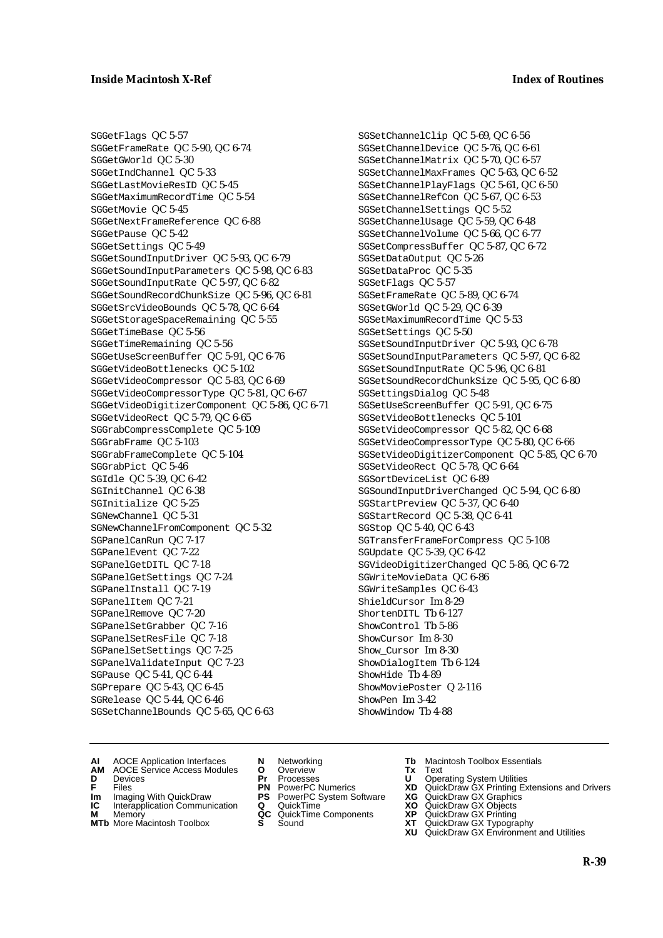SGGetFlags QC 5-57 SGGetFrameRate QC 5-90, QC 6-74 SGGetGWorld QC 5-30 SGGetIndChannel QC 5-33 SGGetLastMovieResID QC 5-45 SGGetMaximumRecordTime QC 5-54 SGGetMovie QC 5-45 SGGetNextFrameReference QC 6-88 SGGetPause QC 5-42 SGGetSettings QC 5-49 SGGetSoundInputDriver QC 5-93, QC 6-79 SGGetSoundInputParameters QC 5-98, QC 6-83 SGGetSoundInputRate QC 5-97, QC 6-82 SGGetSoundRecordChunkSize QC 5-96, QC 6-81 SGGetSrcVideoBounds QC 5-78, QC 6-64 SGGetStorageSpaceRemaining QC 5-55 SGGetTimeBase QC 5-56 SGGetTimeRemaining QC 5-56 SGGetUseScreenBuffer QC 5-91, QC 6-76 SGGetVideoBottlenecks QC 5-102 SGGetVideoCompressor QC 5-83, QC 6-69 SGGetVideoCompressorType QC 5-81, QC 6-67 SGGetVideoDigitizerComponent QC 5-86, QC 6-71 SGGetVideoRect QC 5-79, QC 6-65 SGGrabCompressComplete QC 5-109 SGGrabFrame QC 5-103 SGGrabFrameComplete QC 5-104 SGGrabPict QC 5-46 SGIdle QC 5-39, QC 6-42 SGInitChannel QC 6-38 SGInitialize QC 5-25 SGNewChannel QC 5-31 SGNewChannelFromComponent QC 5-32 SGPanelCanRun QC 7-17 SGPanelEvent QC 7-22 SGPanelGetDITL QC 7-18 SGPanelGetSettings QC 7-24 SGPanelInstall QC 7-19 SGPanelItem QC 7-21 SGPanelRemove QC 7-20 SGPanelSetGrabber QC 7-16 SGPanelSetResFile QC 7-18 SGPanelSetSettings QC 7-25 SGPanelValidateInput QC 7-23 SGPause QC 5-41, QC 6-44 SGPrepare QC 5-43, QC 6-45 SGRelease QC 5-44, QC 6-46 SGSetChannelBounds QC 5-65, QC 6-63

SGSetChannelClip QC 5-69, QC 6-56 SGSetChannelDevice QC 5-76, QC 6-61 SGSetChannelMatrix QC 5-70, QC 6-57 SGSetChannelMaxFrames QC 5-63, QC 6-52 SGSetChannelPlayFlags QC 5-61, QC 6-50 SGSetChannelRefCon QC 5-67, QC 6-53 SGSetChannelSettings QC 5-52 SGSetChannelUsage QC 5-59, QC 6-48 SGSetChannelVolume QC 5-66, QC 6-77 SGSetCompressBuffer QC 5-87, QC 6-72 SGSetDataOutput QC 5-26 SGSetDataProc QC 5-35 SGSetFlags QC 5-57 SGSetFrameRate QC 5-89, QC 6-74 SGSetGWorld QC 5-29, QC 6-39 SGSetMaximumRecordTime QC 5-53 SGSetSettings QC 5-50 SGSetSoundInputDriver QC 5-93, QC 6-78 SGSetSoundInputParameters QC 5-97, QC 6-82 SGSetSoundInputRate QC 5-96, QC 6-81 SGSetSoundRecordChunkSize QC 5-95, QC 6-80 SGSettingsDialog QC 5-48 SGSetUseScreenBuffer QC 5-91, QC 6-75 SGSetVideoBottlenecks QC 5-101 SGSetVideoCompressor QC 5-82, QC 6-68 SGSetVideoCompressorType QC 5-80, QC 6-66 SGSetVideoDigitizerComponent QC 5-85, QC 6-70 SGSetVideoRect QC 5-78, QC 6-64 SGSortDeviceList QC 6-89 SGSoundInputDriverChanged QC 5-94, QC 6-80 SGStartPreview QC 5-37, QC 6-40 SGStartRecord QC 5-38, QC 6-41 SGStop QC 5-40, QC 6-43 SGTransferFrameForCompress QC 5-108 SGUpdate QC 5-39, QC 6-42 SGVideoDigitizerChanged QC 5-86, QC 6-72 SGWriteMovieData QC 6-86 SGWriteSamples QC 6-43 ShieldCursor Im 8-29 ShortenDITL Tb 6-127 ShowControl Tb 5-86 ShowCursor Im 8-30 Show\_Cursor Im 8-30 ShowDialogItem Tb 6-124 ShowHide Tb 4-89 ShowMoviePoster Q 2-116 ShowPen Im 3-42 ShowWindow Tb 4-88

- **AI** AOCE Application Interfaces **N** Networking **Tb** Macintosh Toolbox Essentials
- **AM** AOCE Service Access Modules **O** Overview **Tx** Text
- 
- 
- **IM** FILES<br> **Im** Imaging With QuickDraw **PS** PowerPC System Software **XG**<br> **IC** Interapplication Communication **Q** QuickTime **XO**
- **IC** Interapplication Communication **Q** QuickTime **XO M** Memory **XP QC** QuickTime Components **XP**
- **M** Memory **Manufacture Communication**<br> **M** Memory **QC** QuickTime Components **XP**<br> **MTb** More Macintosh Toolbox **S** Sound **XT MTb** More Macintosh Toolbox **S** Sound **XT** QuickDraw GX Typography
- 
- **D** Devices **Pr** Processes **U** Operating System Utilities
	-
	-
	-
	-
- 
- 
- **F** Files **PN** PowerPC Numerics **XD** QuickDraw GX Printing Extensions and Drivers
	-
	-
	-
	-
	- **XU** QuickDraw GX Environment and Utilities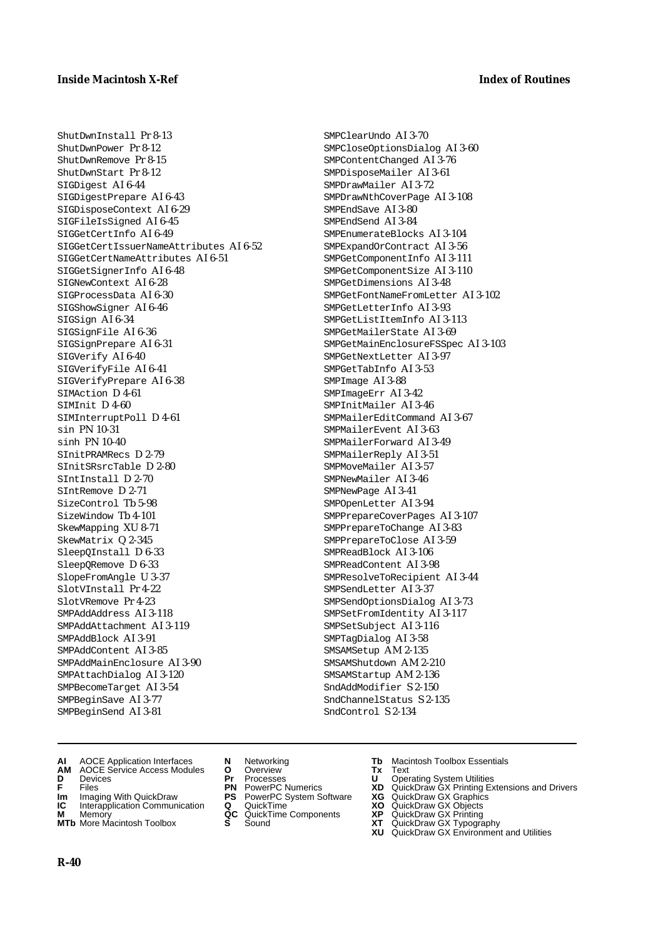ShutDwnInstall Pr 8-13

ShutDwnPower Pr 8-12 ShutDwnRemove Pr 8-15 ShutDwnStart Pr 8-12 SIGDigest AI 6-44 SIGDigestPrepare AI 6-43 SIGDisposeContext AI 6-29 SIGFileIsSigned AI 6-45 SIGGetCertInfo AI 6-49 SIGGetCertIssuerNameAttributes AI 6-52 SIGGetCertNameAttributes AI 6-51 SIGGetSignerInfo AI 6-48 SIGNewContext AI 6-28 SIGProcessData AI 6-30 SIGShowSigner AI 6-46 SIGSign AI 6-34 SIGSignFile AI 6-36 SIGSignPrepare AI 6-31 SIGVerify AI 6-40 SIGVerifyFile AI 6-41 SIGVerifyPrepare AI 6-38 SIMAction D 4-61 SIMInit D 4-60 SIMInterruptPoll D 4-61 sin PN 10-31 sinh PN 10-40 SInitPRAMRecs D 2-79 SInitSRsrcTable D 2-80 SIntInstall D 2-70 SIntRemove D 2-71 SizeControl Tb 5-98 SizeWindow Tb 4-101 SkewMapping XU 8-71 SkewMatrix Q 2-345 SleepQInstall D 6-33 SleepQRemove D 6-33 SlopeFromAngle U 3-37 SlotVInstall Pr 4-22 SlotVRemove Pr 4-23 SMPAddAddress AI 3-118 SMPAddAttachment AI 3-119 SMPAddBlock AI 3-91 SMPAddContent AI 3-85 SMPAddMainEnclosure AI 3-90 SMPAttachDialog AI 3-120 SMPBecomeTarget AI 3-54 SMPBeginSave AI 3-77 SMPBeginSend AI 3-81

SMPCloseOptionsDialog AI 3-60 SMPContentChanged AI 3-76 SMPDisposeMailer AI 3-61 SMPDrawMailer AI 3-72 SMPDrawNthCoverPage AI 3-108 SMPEndSave AI 3-80 SMPEndSend AI 3-84 SMPEnumerateBlocks AI 3-104 SMPExpandOrContract AI 3-56 SMPGetComponentInfo AI 3-111 SMPGetComponentSize AI 3-110 SMPGetDimensions AI 3-48 SMPGetFontNameFromLetter AI 3-102 SMPGetLetterInfo AI 3-93 SMPGetListItemInfo AI 3-113 SMPGetMailerState AI 3-69 SMPGetMainEnclosureFSSpec AI 3-103 SMPGetNextLetter AI 3-97 SMPGetTabInfo AI 3-53 SMPImage AI 3-88 SMPImageErr AI 3-42 SMPInitMailer AI 3-46 SMPMailerEditCommand AI 3-67 SMPMailerEvent AI 3-63 SMPMailerForward AI 3-49 SMPMailerReply AI 3-51 SMPMoveMailer AI 3-57 SMPNewMailer AI 3-46 SMPNewPage AI 3-41 SMPOpenLetter AI 3-94 SMPPrepareCoverPages AI 3-107 SMPPrepareToChange AI 3-83 SMPPrepareToClose AI 3-59 SMPReadBlock AI 3-106 SMPReadContent AI 3-98 SMPResolveToRecipient AI 3-44 SMPSendLetter AI 3-37 SMPSendOptionsDialog AI 3-73 SMPSetFromIdentity AI 3-117 SMPSetSubject AI 3-116 SMPTagDialog AI 3-58 SMSAMSetup AM 2-135 SMSAMShutdown AM 2-210 SMSAMStartup AM 2-136 SndAddModifier S 2-150 SndChannelStatus S 2-135

SMPClearUndo AI 3-70

SndControl S 2-134

- 
- **AI** AOCE Application Interfaces **N** Networking **Tb** Macintosh Toolbox Essentials<br> **AM** AOCE Service Access Modules **O** Overview **Tx** Text<br> **D** Devices **Pr** Processes **U** Operating System Utilities **AM** AOCE Service Access Modules **O** Overview **Tx** Text
- 
- 
- **Im** Imaging With QuickDraw **PS** PowerPC System Software<br> **IC** Interapplication Communication **Q** QuickTime<br> **M** Memorv **GC** QuickTime Components
- **M** Memory<br>**MTb** More Macintosh Toolbox **S** Sound<br>**XP** Sound Gallery Gallery Gallery S Sound
- **MTb** More Macintosh Toolbox **S** Sound **XT** QuickDraw GX Typography
- 
- **D** Devices **Pr** Processes **U** Operating System Utilities
	-
	-
	-
	-
- 
- 
- **F** Files **PN** PowerPC Numerics **XD** QuickDraw GX Printing Extensions and Drivers
- **Im** Imaging With QuickDraw **PS** PowerPC System Software **XG** QuickDraw GX Graphics
	-
	-
	- **XU** QuickDraw GX Environment and Utilities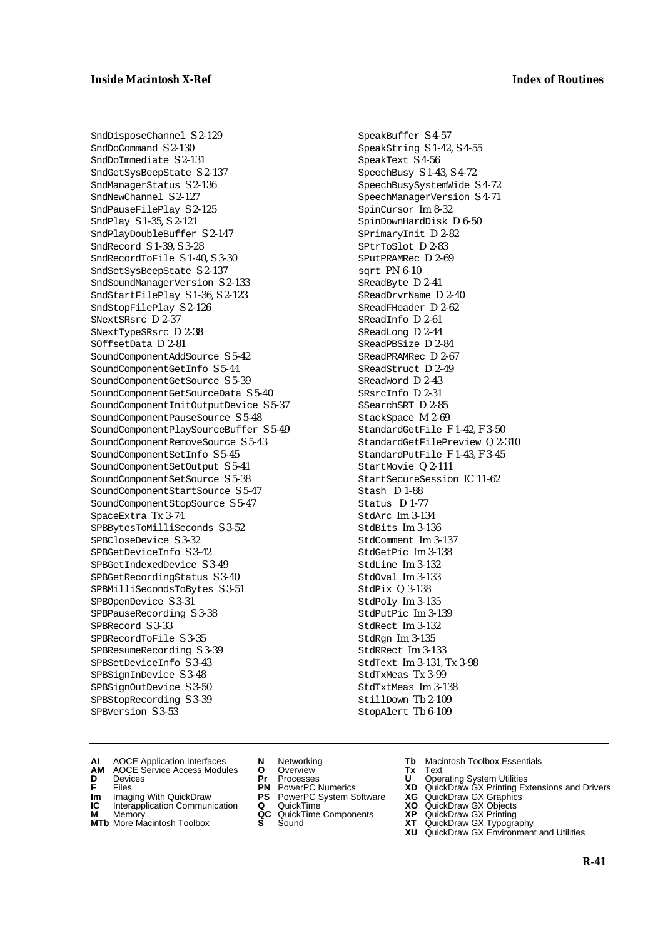SndDisposeChannel S 2-129 SndDoCommand S 2-130 SndDoImmediate S 2-131 SndGetSysBeepState S 2-137 SndManagerStatus S 2-136 SndNewChannel S 2-127 SndPauseFilePlay S 2-125 SndPlay S 1-35, S 2-121 SndPlayDoubleBuffer S 2-147 SndRecord S 1-39, S 3-28 SndRecordToFile S 1-40, S 3-30 SndSetSysBeepState S 2-137 SndSoundManagerVersion S 2-133 SndStartFilePlay S 1-36, S 2-123 SndStopFilePlay S 2-126 SNextSRsrc D 2-37 SNextTypeSRsrc D 2-38 SOffsetData D 2-81 SoundComponentAddSource S 5-42 SoundComponentGetInfo S 5-44 SoundComponentGetSource S 5-39 SoundComponentGetSourceData S 5-40 SoundComponentInitOutputDevice S 5-37 SoundComponentPauseSource S 5-48 SoundComponentPlaySourceBuffer S 5-49 SoundComponentRemoveSource S 5-43 SoundComponentSetInfo S 5-45 SoundComponentSetOutput S 5-41 SoundComponentSetSource S 5-38 SoundComponentStartSource S 5-47 SoundComponentStopSource S 5-47 SpaceExtra Tx 3-74 SPBBytesToMilliSeconds S 3-52 SPBCloseDevice S 3-32 SPBGetDeviceInfo S 3-42 SPBGetIndexedDevice S 3-49 SPBGetRecordingStatus S 3-40 SPBMilliSecondsToBytes S 3-51 SPBOpenDevice S 3-31 SPBPauseRecording S 3-38 SPBRecord S 3-33 SPBRecordToFile S 3-35 SPBResumeRecording S 3-39 SPBSetDeviceInfo S 3-43 SPBSignInDevice S 3-48 SPBSignOutDevice S 3-50 SPBStopRecording S 3-39 SPBVersion S 3-53

SpeakBuffer S 4-57 SpeakString S 1-42, S 4-55 SpeakText S 4-56 SpeechBusy S 1-43, S 4-72 SpeechBusySystemWide S 4-72 SpeechManagerVersion S 4-71 SpinCursor Im 8-32 SpinDownHardDisk D 6-50 SPrimaryInit D 2-82 SPtrToSlot D 2-83 SPutPRAMRec D 2-69 sqrt PN 6-10 SReadByte D 2-41 SReadDrvrName D 2-40 SReadFHeader D 2-62 SReadInfo D 2-61 SReadLong D 2-44 SReadPBSize D 2-84 SReadPRAMRec D 2-67 SReadStruct D 2-49 SReadWord D 2-43 SRsrcInfo D 2-31 SSearchSRT D 2-85 StackSpace M 2-69 StandardGetFile F 1-42, F 3-50 StandardGetFilePreview Q 2-310 StandardPutFile F 1-43, F 3-45 StartMovie Q 2-111 StartSecureSession IC 11-62 Stash D 1-88 Status D 1-77 StdArc Im 3-134 StdBits Im 3-136 StdComment Im 3-137 StdGetPic Im 3-138 StdLine Im 3-132 StdOval Im 3-133 StdPix Q 3-138 StdPoly Im 3-135 StdPutPic Im 3-139 StdRect Im 3-132 StdRgn Im 3-135 StdRRect Im 3-133 StdText Im 3-131, Tx 3-98 StdTxMeas Tx 3-99 StdTxtMeas Im 3-138 StillDown Tb 2-109 StopAlert Tb 6-109

- **AI** AOCE Application Interfaces **N** Networking **Tb** Macintosh Toolbox Essentials
- **AM** AOCE Service Access Modules **O** Overview **Tx** Text
- 
- 
- **Im** Files<br> **Im** Imaging With QuickDraw **PS** PowerPC System Software **XG**<br> **IC** Interapplication Communication **Q** QuickTime **XO IC** Interapplication Communication **Q** QuickTime **XO M** Memory **XP QC** QuickTime Components **XP**
- **M** Memory **Manufacture Communication**<br> **M** Memory **QC** QuickTime Components **XP**<br> **MTb** More Macintosh Toolbox **S** Sound **XT**
- **MTb** More Macintosh Toolbox **S** Sound **XT** QuickDraw GX Typography
- 
- **D** Devices **Pr** Processes **U** Operating System Utilities
	-
	-
	-
	-
- 
- 
- **F** Files **PN** PowerPC Numerics **XD** QuickDraw GX Printing Extensions and Drivers
	-
	-
	-
	-
	- **XU** QuickDraw GX Environment and Utilities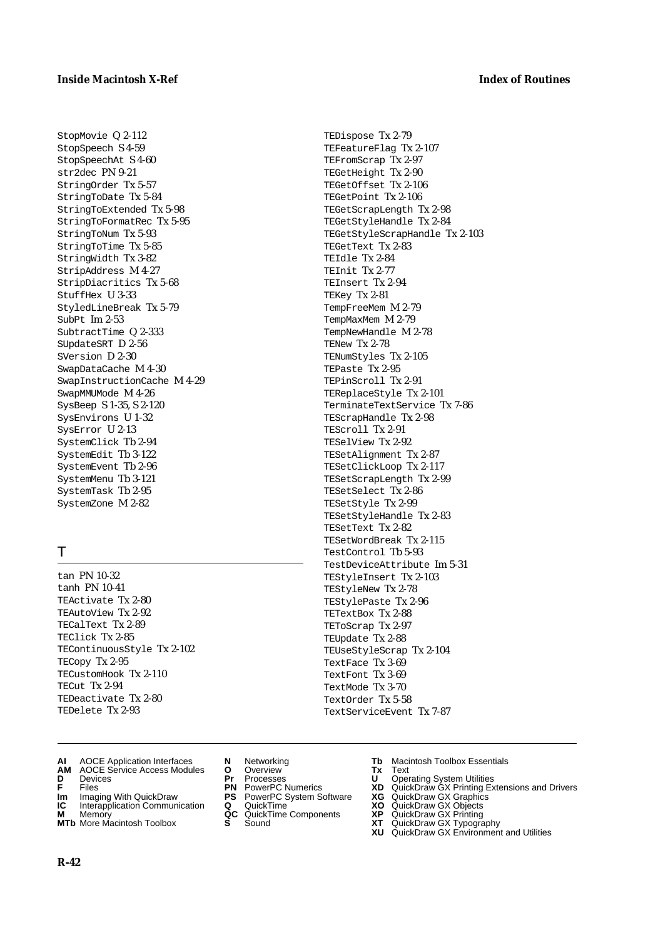TEDispose Tx 2-79 TEFeatureFlag Tx 2-107 TEFromScrap Tx 2-97 TEGetHeight Tx 2-90 TEGetOffset Tx 2-106 TEGetPoint Tx 2-106 TEGetScrapLength Tx 2-98 TEGetStyleHandle Tx 2-84 TEGetStyleScrapHandle Tx 2-103

TEGetText Tx 2-83 TEIdle Tx 2-84 TEInit Tx 2-77 TEInsert Tx 2-94 TEKey Tx 2-81 TempFreeMem M 2-79 TempMaxMem M 2-79 TempNewHandle M 2-78

TENew Tx 2-78

TENumStyles Tx 2-105 TEPaste Tx 2-95 TEPinScroll Tx 2-91 TEReplaceStyle Tx 2-101 TerminateTextService Tx 7-86

TEScrapHandle Tx 2-98 TEScroll Tx 2-91 TESelView Tx 2-92 TESetAlignment Tx 2-87 TESetClickLoop Tx 2-117 TESetScrapLength Tx 2-99 TESetSelect Tx 2-86 TESetStyle Tx 2-99 TESetStyleHandle Tx 2-83

TESetText Tx 2-82 TESetWordBreak Tx 2-115 TestControl Tb 5-93

TestDeviceAttribute Im 5-31 TEStyleInsert Tx 2-103 TEStyleNew Tx 2-78 TEStylePaste Tx 2-96 TETextBox Tx 2-88 TEToScrap Tx 2-97 TEUpdate Tx 2-88

TEUseStyleScrap Tx 2-104

TextServiceEvent Tx 7-87

TextFace Tx 3-69 TextFont Tx 3-69 TextMode Tx 3-70 TextOrder Tx 5-58

StopMovie Q 2-112 StopSpeech S 4-59 StopSpeechAt S 4-60 str2dec PN 9-21 StringOrder Tx 5-57 StringToDate Tx 5-84 StringToExtended Tx 5-98 StringToFormatRec Tx 5-95 StringToNum Tx 5-93 StringToTime Tx 5-85 StringWidth Tx 3-82 StripAddress M 4-27 StripDiacritics Tx 5-68 StuffHex U 3-33 StyledLineBreak Tx 5-79 SubPt Im 2-53 SubtractTime Q 2-333 SUpdateSRT D 2-56 SVersion D 2-30 SwapDataCache M 4-30 SwapInstructionCache M 4-29 SwapMMUMode M 4-26 SysBeep S 1-35, S 2-120 SysEnvirons U 1-32 SysError U 2-13 SystemClick Tb 2-94 SystemEdit Tb 3-122 SystemEvent Tb 2-96 SystemMenu Tb 3-121 SystemTask Tb 2-95 SystemZone M 2-82

# T

tan PN 10-32 tanh PN 10-41 TEActivate Tx 2-80 TEAutoView Tx 2-92 TECalText Tx 2-89 TEClick Tx 2-85 TEContinuousStyle Tx 2-102 TECopy Tx 2-95 TECustomHook Tx 2-110 TECut Tx 2-94 TEDeactivate Tx 2-80 TEDelete Tx 2-93

- **AI** AOCE Application Interfaces **N** Networking **Tb** Macintosh Toolbox Essentials<br> **AM** AOCE Service Access Modules **O** Overview **Tx** Text<br> **D** Devices **Pr** Processes **U** Operating System Utilities
- **AM** AOCE Service Access Modules **O** Overview **Tx** Text
- 
- 
- **Im** Imaging With QuickDraw **PS** PowerPC System Software **XG** QuickDraw GX Graphics **Im** Imaging With QuickDraw **PS** PowerPC System Software<br> **IC** Interapplication Communication **Q** QuickTime<br> **M** Memory **GC** QuickTime Components
- 
- **M** Memory **COMPONENTS COMPONENTS COMPONENTS NEWSLA**<br> **M** More Macintosh Toolbox **S** Sound **MTb** More Macintosh Toolbox **S** Sound **XT** QuickDraw GX Typography
- 
- **D** Devices **Pr** Processes **U** Operating System Utilities
	-
	-
	-
	-
- 
- 
- **F** Files **PN** PowerPC Numerics **XD** QuickDraw GX Printing Extensions and Drivers
	-
	-
	-
	-
	- **XU** QuickDraw GX Environment and Utilities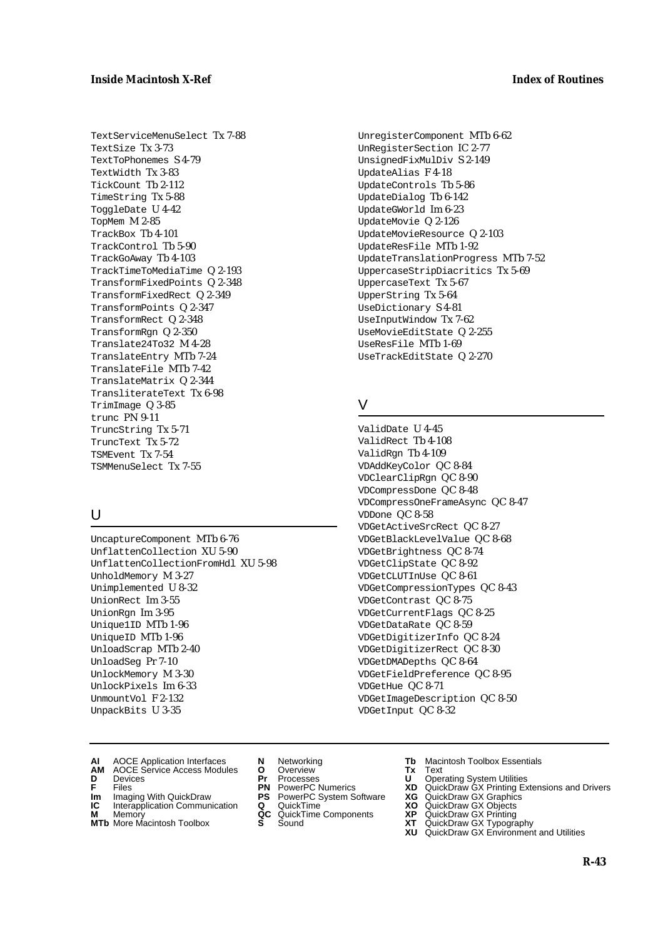TextServiceMenuSelect Tx 7-88 TextSize Tx 3-73 TextToPhonemes S 4-79 TextWidth Tx 3-83 TickCount Tb 2-112 TimeString Tx 5-88 ToggleDate U 4-42 TopMem M 2-85 TrackBox Tb 4-101 TrackControl Tb 5-90 TrackGoAway Tb 4-103 TrackTimeToMediaTime Q 2-193 TransformFixedPoints Q 2-348 TransformFixedRect Q 2-349 TransformPoints Q 2-347 TransformRect Q 2-348 TransformRgn Q 2-350 Translate24To32 M 4-28 TranslateEntry MTb 7-24 TranslateFile MTb 7-42 TranslateMatrix Q 2-344 TransliterateText Tx 6-98 TrimImage Q 3-85 trunc PN 9-11 TruncString Tx 5-71 TruncText Tx 5-72 TSMEvent Tx 7-54 TSMMenuSelect Tx 7-55

# $\cup$

UncaptureComponent MTb 6-76 UnflattenCollection XU 5-90 UnflattenCollectionFromHdl XU 5-98 UnholdMemory M 3-27 Unimplemented U 8-32 UnionRect Im 3-55 UnionRgn Im 3-95 Unique1ID MTb 1-96 UniqueID MTb 1-96 UnloadScrap MTb 2-40 UnloadSeg Pr 7-10 UnlockMemory M 3-30 UnlockPixels Im 6-33 UnmountVol F 2-132 UnpackBits U 3-35

UnregisterComponent MTb 6-62 UnRegisterSection IC 2-77 UnsignedFixMulDiv S 2-149 UpdateAlias F 4-18 UpdateControls Tb 5-86 UpdateDialog Tb 6-142 UpdateGWorld Im 6-23 UpdateMovie Q 2-126 UpdateMovieResource Q 2-103 UpdateResFile MTb 1-92 UpdateTranslationProgress MTb 7-52 UppercaseStripDiacritics Tx 5-69 UppercaseText Tx 5-67 UpperString Tx 5-64 UseDictionary S 4-81 UseInputWindow Tx 7-62 UseMovieEditState Q 2-255 UseResFile MTb 1-69 UseTrackEditState Q 2-270

# V

ValidDate U 4-45 ValidRect Tb 4-108 ValidRgn Tb 4-109 VDAddKeyColor QC 8-84 VDClearClipRgn QC 8-90 VDCompressDone QC 8-48 VDCompressOneFrameAsync QC 8-47 VDDone QC 8-58 VDGetActiveSrcRect QC 8-27 VDGetBlackLevelValue QC 8-68 VDGetBrightness QC 8-74 VDGetClipState QC 8-92 VDGetCLUTInUse QC 8-61 VDGetCompressionTypes QC 8-43 VDGetContrast QC 8-75 VDGetCurrentFlags QC 8-25 VDGetDataRate QC 8-59 VDGetDigitizerInfo QC 8-24 VDGetDigitizerRect QC 8-30 VDGetDMADepths QC 8-64 VDGetFieldPreference QC 8-95 VDGetHue QC 8-71 VDGetImageDescription QC 8-50 VDGetInput QC 8-32

- **AI** AOCE Application Interfaces **N** Networking **Tb** Macintosh Toolbox Essentials
- **AM** AOCE Service Access Modules **O** Overview **Tx** Text **D** Devices **Pr** Processes **U** Operating System Utilities
- 
- **Im** Imaging With QuickDraw **PS** PowerPC System Software **XG IC** Interapplication Communication **Q** QuickTime **XO**
- **IC** Interapplication Communication **Q** QuickTime **XO M** Memory **XP QC** QuickTime Components **XP**
- **M** Memory **Manufacture Communication**<br> **M** Memory **QC** QuickTime Components **XP**<br> **MTb** More Macintosh Toolbox **S** Sound **XT**
- 
- 
- 
- -
	-
- 
- 
- **F** Files **PN** PowerPC Numerics **XD** QuickDraw GX Printing Extensions and Drivers
	-
	-
	-
- **MTb** More Macintosh Toolbox **S** Sound **XT** QuickDraw GX Typography
	- **XU** QuickDraw GX Environment and Utilities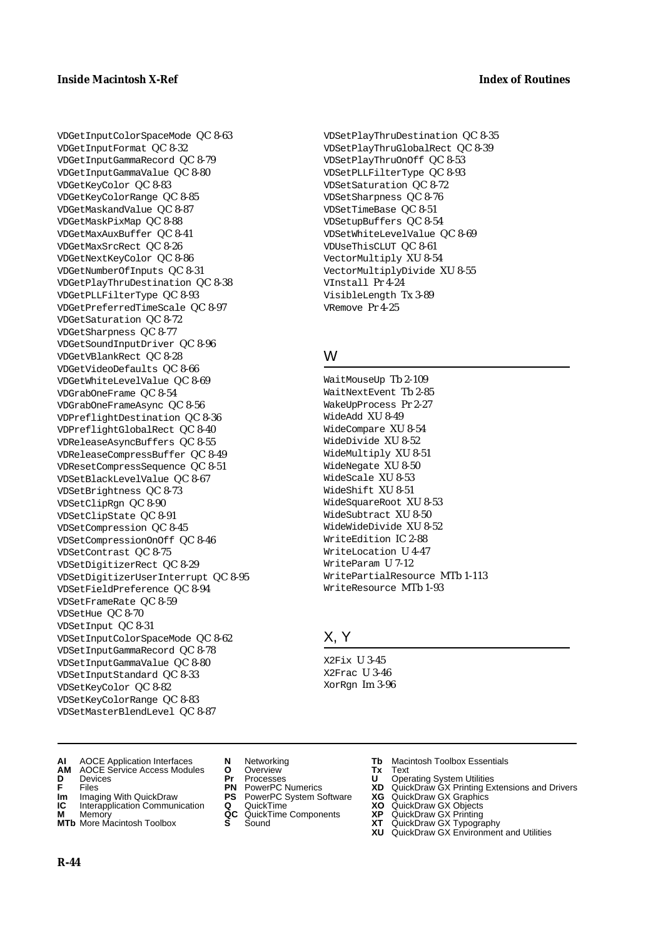VDGetInputColorSpaceMode QC 8-63 VDGetInputFormat QC 8-32 VDGetInputGammaRecord QC 8-79 VDGetInputGammaValue QC 8-80 VDGetKeyColor QC 8-83 VDGetKeyColorRange QC 8-85 VDGetMaskandValue QC 8-87 VDGetMaskPixMap QC 8-88 VDGetMaxAuxBuffer QC 8-41 VDGetMaxSrcRect QC 8-26 VDGetNextKeyColor QC 8-86 VDGetNumberOfInputs QC 8-31 VDGetPlayThruDestination QC 8-38 VDGetPLLFilterType QC 8-93 VDGetPreferredTimeScale QC 8-97 VDGetSaturation QC 8-72 VDGetSharpness QC 8-77 VDGetSoundInputDriver QC 8-96 VDGetVBlankRect QC 8-28 VDGetVideoDefaults QC 8-66 VDGetWhiteLevelValue QC 8-69 VDGrabOneFrame QC 8-54 VDGrabOneFrameAsync QC 8-56 VDPreflightDestination QC 8-36 VDPreflightGlobalRect QC 8-40 VDReleaseAsyncBuffers QC 8-55 VDReleaseCompressBuffer QC 8-49 VDResetCompressSequence QC 8-51 VDSetBlackLevelValue QC 8-67 VDSetBrightness QC 8-73 VDSetClipRgn QC 8-90 VDSetClipState QC 8-91 VDSetCompression QC 8-45 VDSetCompressionOnOff QC 8-46 VDSetContrast QC 8-75 VDSetDigitizerRect QC 8-29 VDSetDigitizerUserInterrupt QC 8-95 VDSetFieldPreference QC 8-94 VDSetFrameRate QC 8-59 VDSetHue QC 8-70 VDSetInput QC 8-31 VDSetInputColorSpaceMode QC 8-62 VDSetInputGammaRecord QC 8-78 VDSetInputGammaValue QC 8-80 VDSetInputStandard QC 8-33 VDSetKeyColor QC 8-82 VDSetKeyColorRange QC 8-83 VDSetMasterBlendLevel QC 8-87

VDSetPlayThruDestination QC 8-35 VDSetPlayThruGlobalRect QC 8-39 VDSetPlayThruOnOff QC 8-53 VDSetPLLFilterType QC 8-93 VDSetSaturation QC 8-72 VDSetSharpness QC 8-76 VDSetTimeBase QC 8-51 VDSetupBuffers QC 8-54 VDSetWhiteLevelValue QC 8-69 VDUseThisCLUT QC 8-61 VectorMultiply XU 8-54 VectorMultiplyDivide XU 8-55 VInstall Pr 4-24 VisibleLength Tx 3-89 VRemove Pr 4-25

# W

WaitMouseUp Tb 2-109 WaitNextEvent Tb 2-85 WakeUpProcess Pr 2-27 WideAdd XU 8-49 WideCompare XU 8-54 WideDivide XU 8-52 WideMultiply XU 8-51 WideNegate XU 8-50 WideScale XU 8-53 WideShift XU 8-51 WideSquareRoot XU 8-53 WideSubtract XU 8-50 WideWideDivide XU 8-52 WriteEdition IC 2-88 WriteLocation U 4-47 WriteParam U 7-12 WritePartialResource MTb 1-113 WriteResource MTb 1-93

# X, Y

X2Fix U 3-45 X2Frac U 3-46 XorRgn Im 3-96

- **AI** AOCE Application Interfaces **N** Networking **Tb** Macintosh Toolbox Essentials
- **AM** AOCE Service Access Modules **O** Overview **Tx** Text
- 
- 
- **Im** Imaging With QuickDraw **PS** PowerPC System Software **XG IC** Interapplication Communication **Q** QuickTime **COVIC**
- **IC** Interapplication Communication **Q** QuickTime **XO M** Memory **XP C** QuickTime Components **XP M** Memory **CONSIST MANUS AND MEMORY AND MEMORY AND MEMORY AND MEMORY OF A VIDEO CONSIST MANUSCRIPS AND MEMORY GALLERY GALLERY CONSISTENT CONTINUES AND MEMORY GALLERY CONTINUES AND MEMORY CONTINUES AND MANUSCRIPS AND MEMOR**
- **MTb** More Macintosh Toolbox **S** Sound **XT** QuickDraw GX Typography
- 
- 
- 
- 
- 
- 
- 
- **D** Devices **Pr** Processes **U** Operating System Utilities
- **F** Files **PN** PowerPC Numerics **XD** QuickDraw GX Printing Extensions and Drivers
	-
	-
	-
	- **XU** QuickDraw GX Environment and Utilities